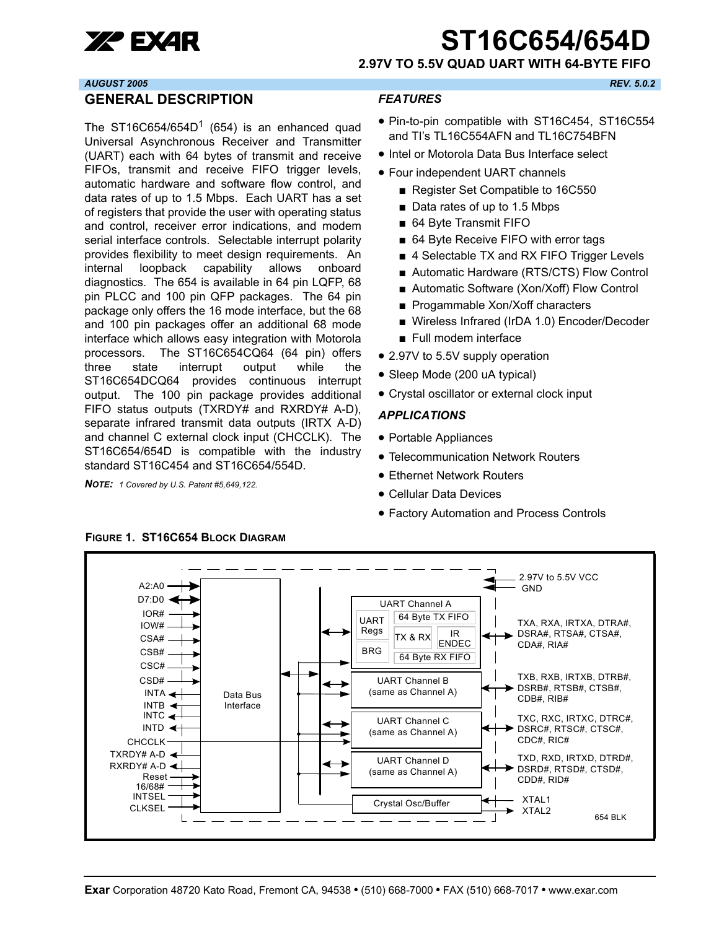

# **XP EXAR ST16C654/654**

**2.97V TO 5.5V QUAD UART WITH 64-BYTE FIFO**

#### *AUGUST 2005 REV. 5.0.2*

#### <span id="page-0-0"></span>**GENERAL DESCRIPTION**

The ST16C654/654D<sup>1</sup> (654) is an enhanced quad Universal Asynchronous Receiver and Transmitter (UART) each with 64 bytes of transmit and receive FIFOs, transmit and receive FIFO trigger levels, automatic hardware and software flow control, and data rates of up to 1.5 Mbps. Each UART has a set of registers that provide the user with operating status and control, receiver error indications, and modem serial interface controls. Selectable interrupt polarity provides flexibility to meet design requirements. An internal loopback capability allows onboard diagnostics. The 654 is available in 64 pin LQFP, 68 pin PLCC and 100 pin QFP packages. The 64 pin package only offers the 16 mode interface, but the 68 and 100 pin packages offer an additional 68 mode interface which allows easy integration with Motorola processors. The ST16C654CQ64 (64 pin) offers three state interrupt output while the ST16C654DCQ64 provides continuous interrupt output. The 100 pin package provides additional FIFO status outputs (TXRDY# and RXRDY# A-D), separate infrared transmit data outputs (IRTX A-D) and channel C external clock input (CHCCLK). The ST16C654/654D is compatible with the industry standard ST16C454 and ST16C654/554D.

*NOTE: 1 Covered by U.S. Patent #5,649,122.*

#### <span id="page-0-1"></span>*FEATURES*

- Pin-to-pin compatible with ST16C454, ST16C554 and TI's TL16C554AFN and TL16C754BFN
- Intel or Motorola Data Bus Interface select
- Four independent UART channels
	- Register Set Compatible to 16C550
	- Data rates of up to 1.5 Mbps
	- 64 Byte Transmit FIFO
	- 64 Byte Receive FIFO with error tags
	- 4 Selectable TX and RX FIFO Trigger Levels
	- Automatic Hardware (RTS/CTS) Flow Control
	- Automatic Software (Xon/Xoff) Flow Control
	- Progammable Xon/Xoff characters
	- Wireless Infrared (IrDA 1.0) Encoder/Decoder
	- Full modem interface
- 2.97V to 5.5V supply operation
- Sleep Mode (200 uA typical)
- Crystal oscillator or external clock input

#### <span id="page-0-2"></span>*APPLICATIONS*

- Portable Appliances
- Telecommunication Network Routers
- Ethernet Network Routers
- Cellular Data Devices
- Factory Automation and Process Controls



<span id="page-0-3"></span>**FIGURE 1. ST16C654 BLOCK DIAGRAM**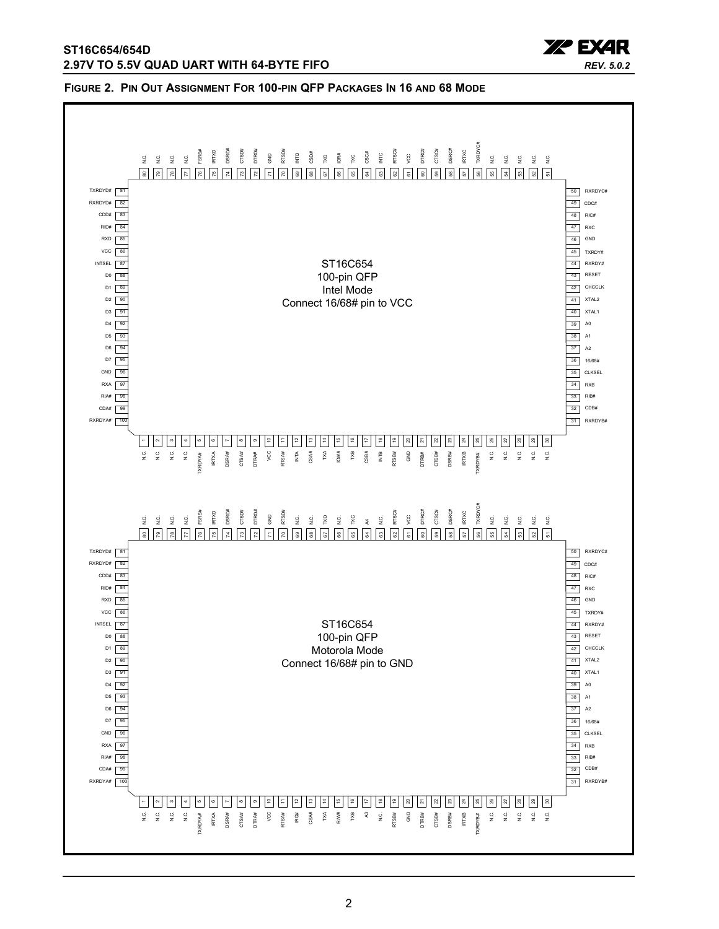

#### <span id="page-1-0"></span>**FIGURE 2. PIN OUT ASSIGNMENT FOR 100-PIN QFP PACKAGES IN 16 AND 68 MODE**

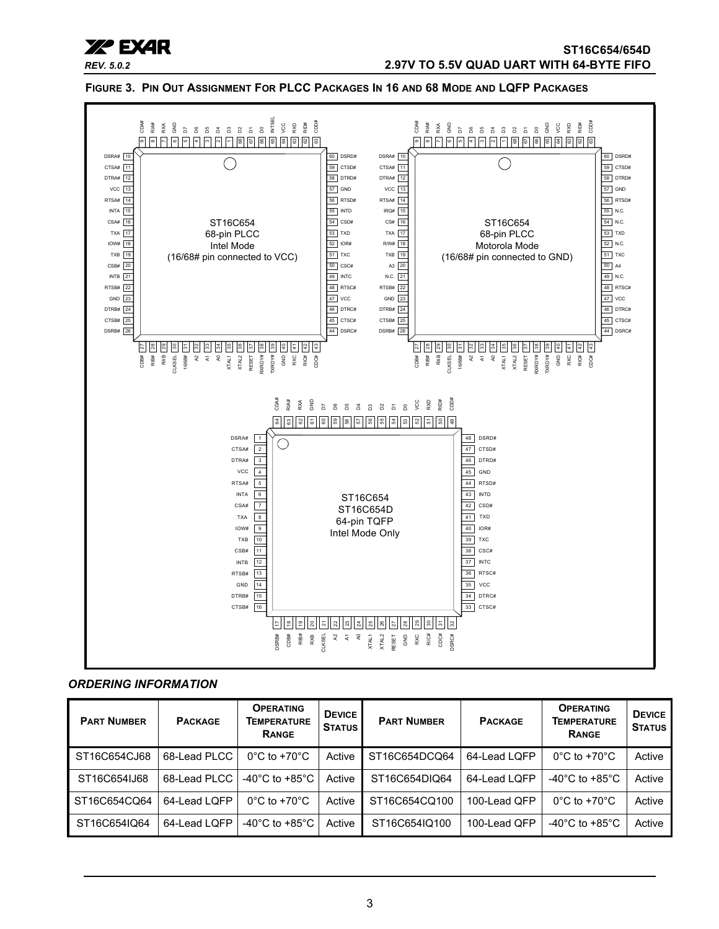

<span id="page-2-0"></span>**FIGURE 3. PIN OUT ASSIGNMENT FOR PLCC PACKAGES IN 16 AND 68 MODE AND LQFP PACKAGES**



#### <span id="page-2-1"></span>*ORDERING INFORMATION*

| <b>PART NUMBER</b> | <b>PACKAGE</b> | <b>OPERATING</b><br><b>TEMPERATURE</b><br><b>RANGE</b> | <b>DEVICE</b><br><b>STATUS</b> | <b>PART NUMBER</b> | <b>PACKAGE</b> | <b>OPERATING</b><br><b>TEMPERATURE</b><br><b>RANGE</b> | <b>DEVICE</b><br><b>STATUS</b> |
|--------------------|----------------|--------------------------------------------------------|--------------------------------|--------------------|----------------|--------------------------------------------------------|--------------------------------|
| ST16C654CJ68       | 68-Lead PLCC   | $0^{\circ}$ C to +70 $^{\circ}$ C                      | Active                         | ST16C654DCQ64      | 64-Lead LQFP   | $0^{\circ}$ C to +70 $^{\circ}$ C                      | Active                         |
| ST16C654IJ68       | 68-Lead PLCC   | -40 $^{\circ}$ C to +85 $^{\circ}$ C                   | Active                         | ST16C654DIQ64      | 64-Lead LQFP   | -40 $^{\circ}$ C to +85 $^{\circ}$ C                   | Active                         |
| ST16C654CQ64       | 64-Lead LOFP   | $0^{\circ}$ C to +70 $^{\circ}$ C                      | Active                         | ST16C654CQ100      | 100-Lead OFP   | $0^{\circ}$ C to +70 $^{\circ}$ C                      | Active                         |
| ST16C654IQ64       | 64-Lead LOFP   | -40 $^{\circ}$ C to +85 $^{\circ}$ C                   | Active                         | ST16C654IQ100      | 100-Lead OFP   | -40 $^{\circ}$ C to +85 $^{\circ}$ C                   | Active                         |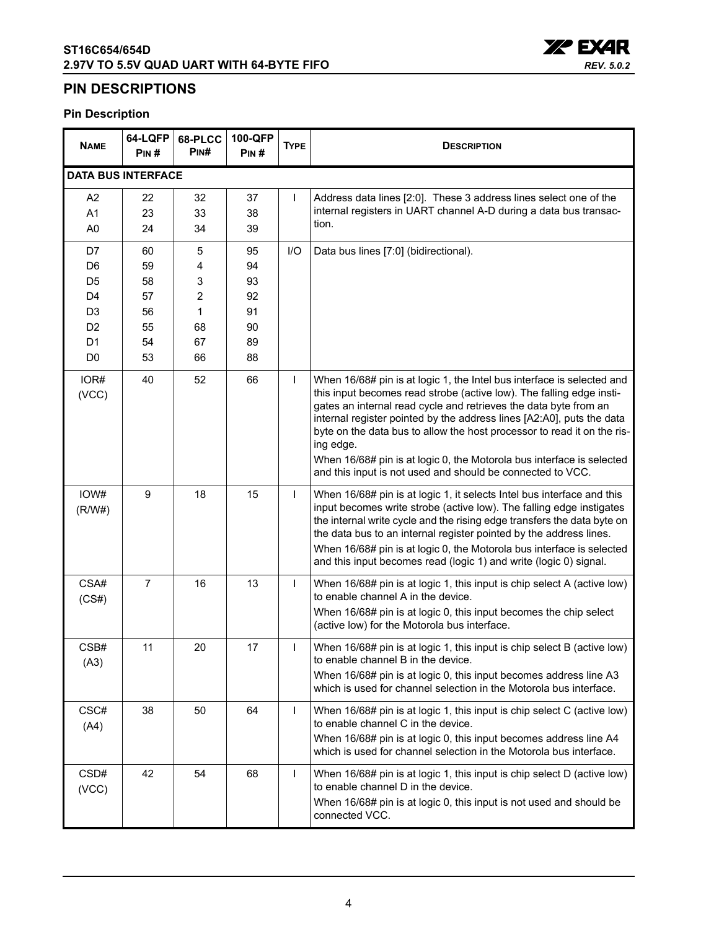

### <span id="page-3-0"></span>**PIN DESCRIPTIONS**

### **Pin Description**

| <b>NAME</b>               | 64-LQFP<br>PIN# | 68-PLCC<br>PIN# | 100-QFP<br>PIN# | <b>TYPE</b>  | <b>DESCRIPTION</b>                                                                                                                                                                                                                                                                                                                                                                                                                                                                                                         |
|---------------------------|-----------------|-----------------|-----------------|--------------|----------------------------------------------------------------------------------------------------------------------------------------------------------------------------------------------------------------------------------------------------------------------------------------------------------------------------------------------------------------------------------------------------------------------------------------------------------------------------------------------------------------------------|
| <b>DATA BUS INTERFACE</b> |                 |                 |                 |              |                                                                                                                                                                                                                                                                                                                                                                                                                                                                                                                            |
| A <sub>2</sub>            | 22              | 32              | 37              | $\mathbf{I}$ | Address data lines [2:0]. These 3 address lines select one of the                                                                                                                                                                                                                                                                                                                                                                                                                                                          |
| A <sub>1</sub>            | 23              | 33              | 38              |              | internal registers in UART channel A-D during a data bus transac-                                                                                                                                                                                                                                                                                                                                                                                                                                                          |
| A <sub>0</sub>            | 24              | 34              | 39              |              | tion.                                                                                                                                                                                                                                                                                                                                                                                                                                                                                                                      |
| D7                        | 60              | 5               | 95              | I/O          | Data bus lines [7:0] (bidirectional).                                                                                                                                                                                                                                                                                                                                                                                                                                                                                      |
| D <sub>6</sub>            | 59              | 4               | 94              |              |                                                                                                                                                                                                                                                                                                                                                                                                                                                                                                                            |
| D <sub>5</sub>            | 58              | 3               | 93              |              |                                                                                                                                                                                                                                                                                                                                                                                                                                                                                                                            |
| D <sub>4</sub>            | 57              | 2               | 92              |              |                                                                                                                                                                                                                                                                                                                                                                                                                                                                                                                            |
| D <sub>3</sub>            | 56              | $\mathbf{1}$    | 91              |              |                                                                                                                                                                                                                                                                                                                                                                                                                                                                                                                            |
| D <sub>2</sub>            | 55              | 68              | 90              |              |                                                                                                                                                                                                                                                                                                                                                                                                                                                                                                                            |
| D <sub>1</sub>            | 54              | 67              | 89              |              |                                                                                                                                                                                                                                                                                                                                                                                                                                                                                                                            |
| D <sub>0</sub>            | 53              | 66              | 88              |              |                                                                                                                                                                                                                                                                                                                                                                                                                                                                                                                            |
| IOR#<br>(VCC)             | 40              | 52              | 66              | $\mathbf{I}$ | When 16/68# pin is at logic 1, the Intel bus interface is selected and<br>this input becomes read strobe (active low). The falling edge insti-<br>gates an internal read cycle and retrieves the data byte from an<br>internal register pointed by the address lines [A2:A0], puts the data<br>byte on the data bus to allow the host processor to read it on the ris-<br>ing edge.<br>When 16/68# pin is at logic 0, the Motorola bus interface is selected<br>and this input is not used and should be connected to VCC. |
| IOW#<br>(R/W#)            | 9               | 18              | 15              | $\mathbf{I}$ | When 16/68# pin is at logic 1, it selects Intel bus interface and this<br>input becomes write strobe (active low). The falling edge instigates<br>the internal write cycle and the rising edge transfers the data byte on<br>the data bus to an internal register pointed by the address lines.<br>When 16/68# pin is at logic 0, the Motorola bus interface is selected<br>and this input becomes read (logic 1) and write (logic 0) signal.                                                                              |
| CSA#<br>(CS#)             | $\overline{7}$  | 16              | 13              | $\mathbf{I}$ | When 16/68# pin is at logic 1, this input is chip select A (active low)<br>to enable channel A in the device.<br>When 16/68# pin is at logic 0, this input becomes the chip select<br>(active low) for the Motorola bus interface.                                                                                                                                                                                                                                                                                         |
| CSB#<br>(A3)              | 11              | 20              | 17              | $\mathsf{I}$ | When 16/68# pin is at logic 1, this input is chip select B (active low)<br>to enable channel B in the device.<br>When 16/68# pin is at logic 0, this input becomes address line A3<br>which is used for channel selection in the Motorola bus interface.                                                                                                                                                                                                                                                                   |
| CSC#<br>(A4)              | 38              | 50              | 64              | $\mathbf{I}$ | When 16/68# pin is at logic 1, this input is chip select C (active low)<br>to enable channel C in the device.<br>When 16/68# pin is at logic 0, this input becomes address line A4<br>which is used for channel selection in the Motorola bus interface.                                                                                                                                                                                                                                                                   |
| CSD#<br>(VCC)             | 42              | 54              | 68              | $\mathbf{I}$ | When 16/68# pin is at logic 1, this input is chip select D (active low)<br>to enable channel D in the device.<br>When 16/68# pin is at logic 0, this input is not used and should be<br>connected VCC.                                                                                                                                                                                                                                                                                                                     |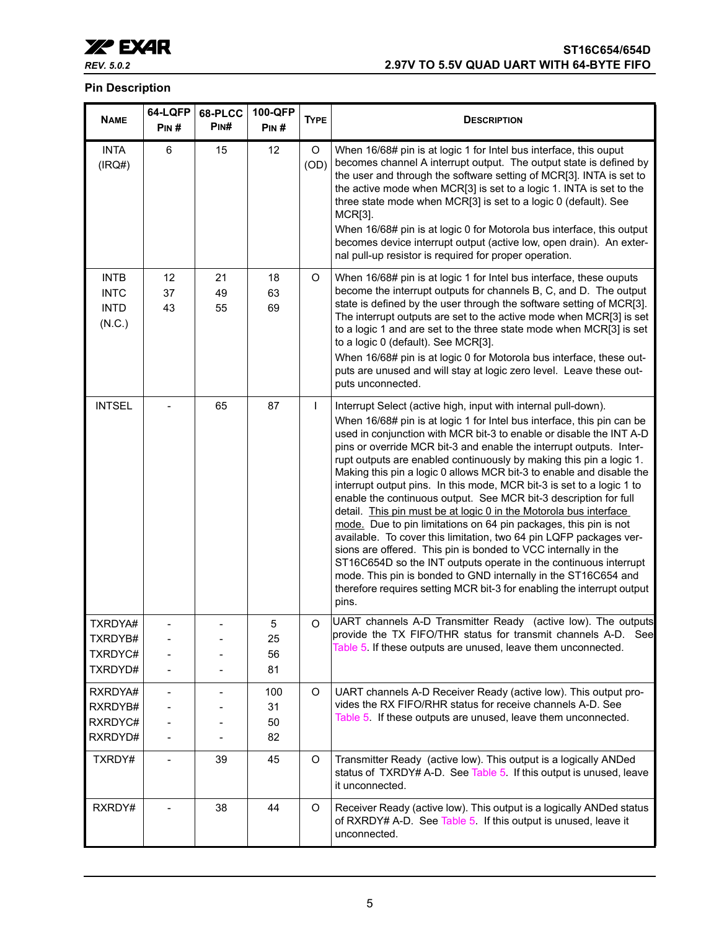

### **Pin Description**

| <b>NAME</b>                                         | 64-LQFP<br>PIN#   | 68-PLCC<br>PINH | 100-QFP<br>PIN#       | <b>TYPE</b>  | <b>DESCRIPTION</b>                                                                                                                                                                                                                                                                                                                                                                                                                                                                                                                                                                                                                                                                                                                                                                                                                                                                                                                                                                                                                                                                           |
|-----------------------------------------------------|-------------------|-----------------|-----------------------|--------------|----------------------------------------------------------------------------------------------------------------------------------------------------------------------------------------------------------------------------------------------------------------------------------------------------------------------------------------------------------------------------------------------------------------------------------------------------------------------------------------------------------------------------------------------------------------------------------------------------------------------------------------------------------------------------------------------------------------------------------------------------------------------------------------------------------------------------------------------------------------------------------------------------------------------------------------------------------------------------------------------------------------------------------------------------------------------------------------------|
| <b>INTA</b><br>(IRQ#)                               | 6                 | 15              | 12                    | O<br>(OD)    | When 16/68# pin is at logic 1 for Intel bus interface, this ouput<br>becomes channel A interrupt output. The output state is defined by<br>the user and through the software setting of MCR[3]. INTA is set to<br>the active mode when MCR[3] is set to a logic 1. INTA is set to the<br>three state mode when MCR[3] is set to a logic 0 (default). See<br>MCR[3].<br>When 16/68# pin is at logic 0 for Motorola bus interface, this output<br>becomes device interrupt output (active low, open drain). An exter-<br>nal pull-up resistor is required for proper operation.                                                                                                                                                                                                                                                                                                                                                                                                                                                                                                                |
| <b>INTB</b><br><b>INTC</b><br><b>INTD</b><br>(N.C.) | 12<br>37<br>43    | 21<br>49<br>55  | 18<br>63<br>69        | O            | When 16/68# pin is at logic 1 for Intel bus interface, these ouputs<br>become the interrupt outputs for channels B, C, and D. The output<br>state is defined by the user through the software setting of MCR[3].<br>The interrupt outputs are set to the active mode when MCR[3] is set<br>to a logic 1 and are set to the three state mode when MCR[3] is set<br>to a logic 0 (default). See MCR[3].<br>When 16/68# pin is at logic 0 for Motorola bus interface, these out-<br>puts are unused and will stay at logic zero level. Leave these out-<br>puts unconnected.                                                                                                                                                                                                                                                                                                                                                                                                                                                                                                                    |
| <b>INTSEL</b>                                       |                   | 65              | 87                    | $\mathbf{I}$ | Interrupt Select (active high, input with internal pull-down).<br>When 16/68# pin is at logic 1 for Intel bus interface, this pin can be<br>used in conjunction with MCR bit-3 to enable or disable the INT A-D<br>pins or override MCR bit-3 and enable the interrupt outputs. Inter-<br>rupt outputs are enabled continuously by making this pin a logic 1.<br>Making this pin a logic 0 allows MCR bit-3 to enable and disable the<br>interrupt output pins. In this mode, MCR bit-3 is set to a logic 1 to<br>enable the continuous output. See MCR bit-3 description for full<br>detail. This pin must be at logic 0 in the Motorola bus interface<br>mode. Due to pin limitations on 64 pin packages, this pin is not<br>available. To cover this limitation, two 64 pin LQFP packages ver-<br>sions are offered. This pin is bonded to VCC internally in the<br>ST16C654D so the INT outputs operate in the continuous interrupt<br>mode. This pin is bonded to GND internally in the ST16C654 and<br>therefore requires setting MCR bit-3 for enabling the interrupt output<br>pins. |
| TXRDYA#<br>TXRDYB#<br>TXRDYC#<br>TXRDYD#            |                   |                 | 5<br>25<br>56<br>81   | O            | UART channels A-D Transmitter Ready (active low). The outputs<br>provide the TX FIFO/THR status for transmit channels A-D. See<br>Table 5. If these outputs are unused, leave them unconnected.                                                                                                                                                                                                                                                                                                                                                                                                                                                                                                                                                                                                                                                                                                                                                                                                                                                                                              |
| RXRDYA#<br>RXRDYB#<br>RXRDYC#<br>RXRDYD#            |                   |                 | 100<br>31<br>50<br>82 | O            | UART channels A-D Receiver Ready (active low). This output pro-<br>vides the RX FIFO/RHR status for receive channels A-D. See<br>Table 5. If these outputs are unused, leave them unconnected.                                                                                                                                                                                                                                                                                                                                                                                                                                                                                                                                                                                                                                                                                                                                                                                                                                                                                               |
| TXRDY#                                              | $\qquad \qquad -$ | 39              | 45                    | O            | Transmitter Ready (active low). This output is a logically ANDed<br>status of TXRDY# A-D. See Table 5. If this output is unused, leave<br>it unconnected.                                                                                                                                                                                                                                                                                                                                                                                                                                                                                                                                                                                                                                                                                                                                                                                                                                                                                                                                    |
| RXRDY#                                              |                   | 38              | 44                    | O            | Receiver Ready (active low). This output is a logically ANDed status<br>of RXRDY# A-D. See Table 5. If this output is unused, leave it<br>unconnected.                                                                                                                                                                                                                                                                                                                                                                                                                                                                                                                                                                                                                                                                                                                                                                                                                                                                                                                                       |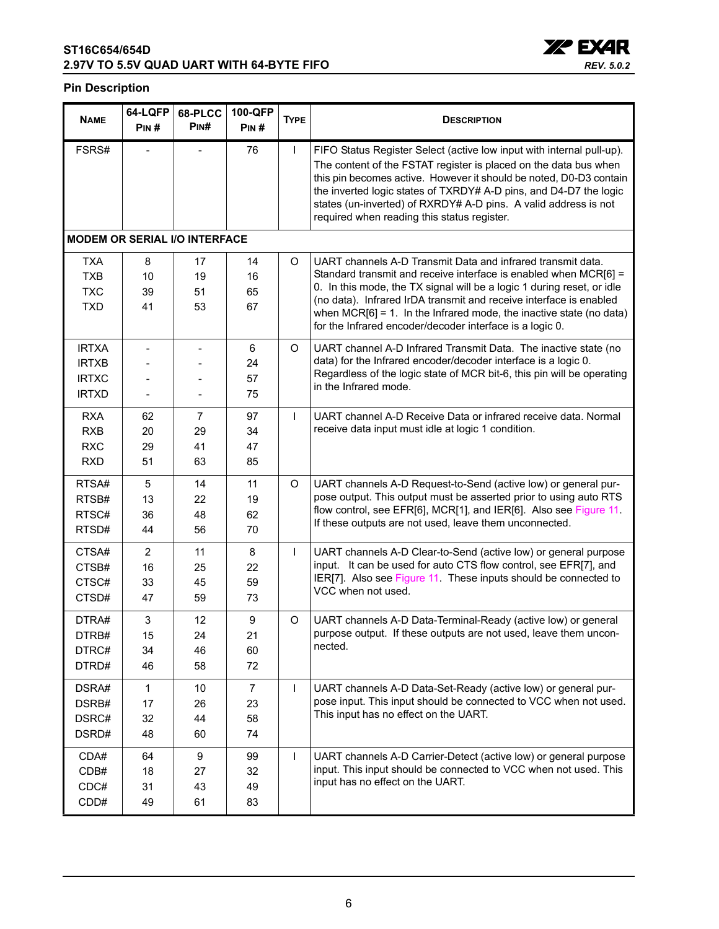

#### **Pin Description**

| <b>NAME</b>                                                  | 64-LQFP<br>PIN#                  | 68-PLCC<br>Pin#          | 100-QFP<br>PIN#                  | <b>TYPE</b>  | <b>DESCRIPTION</b>                                                                                                                                                                                                                                                                                                                                                                                                    |
|--------------------------------------------------------------|----------------------------------|--------------------------|----------------------------------|--------------|-----------------------------------------------------------------------------------------------------------------------------------------------------------------------------------------------------------------------------------------------------------------------------------------------------------------------------------------------------------------------------------------------------------------------|
| FSRS#                                                        |                                  |                          | 76                               | <b>I</b>     | FIFO Status Register Select (active low input with internal pull-up).<br>The content of the FSTAT register is placed on the data bus when<br>this pin becomes active. However it should be noted, D0-D3 contain<br>the inverted logic states of TXRDY# A-D pins, and D4-D7 the logic<br>states (un-inverted) of RXRDY# A-D pins. A valid address is not<br>required when reading this status register.                |
| <b>MODEM OR SERIAL I/O INTERFACE</b>                         |                                  |                          |                                  |              |                                                                                                                                                                                                                                                                                                                                                                                                                       |
| TXA<br><b>TXB</b><br><b>TXC</b><br><b>TXD</b>                | 8<br>10<br>39<br>41              | 17<br>19<br>51<br>53     | 14<br>16<br>65<br>67             | O            | UART channels A-D Transmit Data and infrared transmit data.<br>Standard transmit and receive interface is enabled when MCR[6] =<br>0. In this mode, the TX signal will be a logic 1 during reset, or idle<br>(no data). Infrared IrDA transmit and receive interface is enabled<br>when $MCR[6] = 1$ . In the Infrared mode, the inactive state (no data)<br>for the Infrared encoder/decoder interface is a logic 0. |
| <b>IRTXA</b><br><b>IRTXB</b><br><b>IRTXC</b><br><b>IRTXD</b> | $\overline{\phantom{a}}$         | $\overline{\phantom{a}}$ | 6<br>24<br>57<br>75              | O            | UART channel A-D Infrared Transmit Data. The inactive state (no<br>data) for the Infrared encoder/decoder interface is a logic 0.<br>Regardless of the logic state of MCR bit-6, this pin will be operating<br>in the Infrared mode.                                                                                                                                                                                  |
| <b>RXA</b><br><b>RXB</b><br><b>RXC</b><br><b>RXD</b>         | 62<br>20<br>29<br>51             | 7<br>29<br>41<br>63      | 97<br>34<br>47<br>85             | $\mathbf{I}$ | UART channel A-D Receive Data or infrared receive data. Normal<br>receive data input must idle at logic 1 condition.                                                                                                                                                                                                                                                                                                  |
| RTSA#<br>RTSB#<br>RTSC#<br>RTSD#                             | 5<br>13<br>36<br>44              | 14<br>22<br>48<br>56     | 11<br>19<br>62<br>70             | O            | UART channels A-D Request-to-Send (active low) or general pur-<br>pose output. This output must be asserted prior to using auto RTS<br>flow control, see EFR[6], MCR[1], and IER[6]. Also see Figure 11.<br>If these outputs are not used, leave them unconnected.                                                                                                                                                    |
| CTSA#<br>CTSB#<br>CTSC#<br>CTSD#                             | $\overline{2}$<br>16<br>33<br>47 | 11<br>25<br>45<br>59     | 8<br>22<br>59<br>73              | $\mathsf{I}$ | UART channels A-D Clear-to-Send (active low) or general purpose<br>input. It can be used for auto CTS flow control, see EFR[7], and<br>IER[7]. Also see Figure 11. These inputs should be connected to<br>VCC when not used.                                                                                                                                                                                          |
| DTRA#<br>DTRB#<br>DTRC#<br>DTRD#                             | 3<br>15<br>34<br>46              | 12<br>24<br>46<br>58     | 9<br>21<br>60<br>72              | O            | UART channels A-D Data-Terminal-Ready (active low) or general<br>purpose output. If these outputs are not used, leave them uncon-<br>nected.                                                                                                                                                                                                                                                                          |
| DSRA#<br>DSRB#<br>DSRC#<br>DSRD#                             | 1<br>17<br>32<br>48              | 10<br>26<br>44<br>60     | $\overline{7}$<br>23<br>58<br>74 | $\mathbf{I}$ | UART channels A-D Data-Set-Ready (active low) or general pur-<br>pose input. This input should be connected to VCC when not used.<br>This input has no effect on the UART.                                                                                                                                                                                                                                            |
| CDA#<br>CDB#<br>CDC#<br>CDD#                                 | 64<br>18<br>31<br>49             | 9<br>27<br>43<br>61      | 99<br>32<br>49<br>83             | $\mathbf{I}$ | UART channels A-D Carrier-Detect (active low) or general purpose<br>input. This input should be connected to VCC when not used. This<br>input has no effect on the UART.                                                                                                                                                                                                                                              |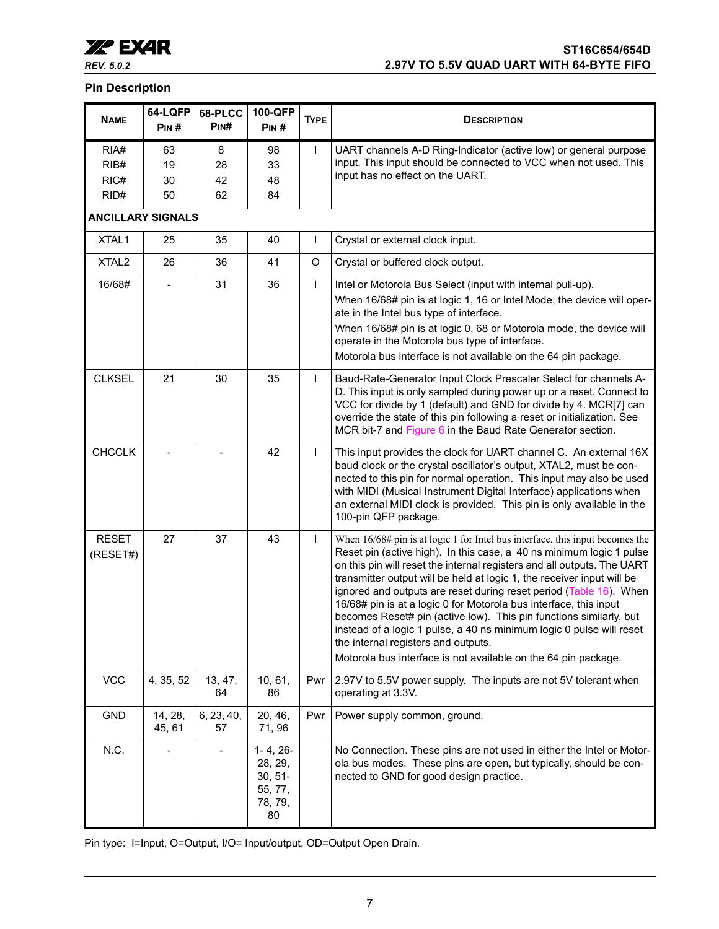

#### **Pin Description**

| <b>NAME</b>                  | 64-LQFP<br>PIN#      | 68-PLCC<br>P <sub>IN</sub> # | 100-QFP<br>PIN#                                                    | <b>TYPE</b>  | <b>DESCRIPTION</b>                                                                                                                                                                                                                                                                                                                                                                                                                                                                                                                                                                                                                                                                                              |
|------------------------------|----------------------|------------------------------|--------------------------------------------------------------------|--------------|-----------------------------------------------------------------------------------------------------------------------------------------------------------------------------------------------------------------------------------------------------------------------------------------------------------------------------------------------------------------------------------------------------------------------------------------------------------------------------------------------------------------------------------------------------------------------------------------------------------------------------------------------------------------------------------------------------------------|
| RIA#<br>RIB#<br>RIC#<br>RID# | 63<br>19<br>30<br>50 | 8<br>28<br>42<br>62          | 98<br>33<br>48<br>84                                               | $\mathsf{I}$ | UART channels A-D Ring-Indicator (active low) or general purpose<br>input. This input should be connected to VCC when not used. This<br>input has no effect on the UART.                                                                                                                                                                                                                                                                                                                                                                                                                                                                                                                                        |
| <b>ANCILLARY SIGNALS</b>     |                      |                              |                                                                    |              |                                                                                                                                                                                                                                                                                                                                                                                                                                                                                                                                                                                                                                                                                                                 |
| XTAL1                        | 25                   | 35                           | 40                                                                 | $\mathsf{I}$ | Crystal or external clock input.                                                                                                                                                                                                                                                                                                                                                                                                                                                                                                                                                                                                                                                                                |
| XTAL <sub>2</sub>            | 26                   | 36                           | 41                                                                 | O            | Crystal or buffered clock output.                                                                                                                                                                                                                                                                                                                                                                                                                                                                                                                                                                                                                                                                               |
| 16/68#                       |                      | 31                           | 36                                                                 | $\mathsf{I}$ | Intel or Motorola Bus Select (input with internal pull-up).<br>When 16/68# pin is at logic 1, 16 or Intel Mode, the device will oper-<br>ate in the Intel bus type of interface.<br>When 16/68# pin is at logic 0, 68 or Motorola mode, the device will<br>operate in the Motorola bus type of interface.<br>Motorola bus interface is not available on the 64 pin package.                                                                                                                                                                                                                                                                                                                                     |
| <b>CLKSEL</b>                | 21                   | 30                           | 35                                                                 | $\mathsf{I}$ | Baud-Rate-Generator Input Clock Prescaler Select for channels A-<br>D. This input is only sampled during power up or a reset. Connect to<br>VCC for divide by 1 (default) and GND for divide by 4. MCR[7] can<br>override the state of this pin following a reset or initialization. See<br>MCR bit-7 and Figure 6 in the Baud Rate Generator section.                                                                                                                                                                                                                                                                                                                                                          |
| <b>CHCCLK</b>                |                      |                              | 42                                                                 | $\mathsf{I}$ | This input provides the clock for UART channel C. An external 16X<br>baud clock or the crystal oscillator's output, XTAL2, must be con-<br>nected to this pin for normal operation. This input may also be used<br>with MIDI (Musical Instrument Digital Interface) applications when<br>an external MIDI clock is provided. This pin is only available in the<br>100-pin QFP package.                                                                                                                                                                                                                                                                                                                          |
| <b>RESET</b><br>(RESET#)     | 27                   | 37                           | 43                                                                 | $\mathsf{I}$ | When $16/68\#$ pin is at logic 1 for Intel bus interface, this input becomes the<br>Reset pin (active high). In this case, a 40 ns minimum logic 1 pulse<br>on this pin will reset the internal registers and all outputs. The UART<br>transmitter output will be held at logic 1, the receiver input will be<br>ignored and outputs are reset during reset period (Table 16). When<br>16/68# pin is at a logic 0 for Motorola bus interface, this input<br>becomes Reset# pin (active low). This pin functions similarly, but<br>instead of a logic 1 pulse, a 40 ns minimum logic 0 pulse will reset<br>the internal registers and outputs.<br>Motorola bus interface is not available on the 64 pin package. |
| <b>VCC</b>                   | 4, 35, 52            | 13, 47,<br>64                | 10, 61,<br>86                                                      | Pwr          | 2.97V to 5.5V power supply. The inputs are not 5V tolerant when<br>operating at 3.3V.                                                                                                                                                                                                                                                                                                                                                                                                                                                                                                                                                                                                                           |
| <b>GND</b>                   | 14, 28,<br>45, 61    | 6, 23, 40,<br>57             | 20, 46,<br>71, 96                                                  | Pwr          | Power supply common, ground.                                                                                                                                                                                                                                                                                                                                                                                                                                                                                                                                                                                                                                                                                    |
| N.C.                         | ٠                    |                              | $1 - 4, 26 -$<br>28, 29,<br>$30, 51 -$<br>55, 77,<br>78, 79,<br>80 |              | No Connection. These pins are not used in either the Intel or Motor-<br>ola bus modes. These pins are open, but typically, should be con-<br>nected to GND for good design practice.                                                                                                                                                                                                                                                                                                                                                                                                                                                                                                                            |

Pin type: I=Input, O=Output, I/O= Input/output, OD=Output Open Drain.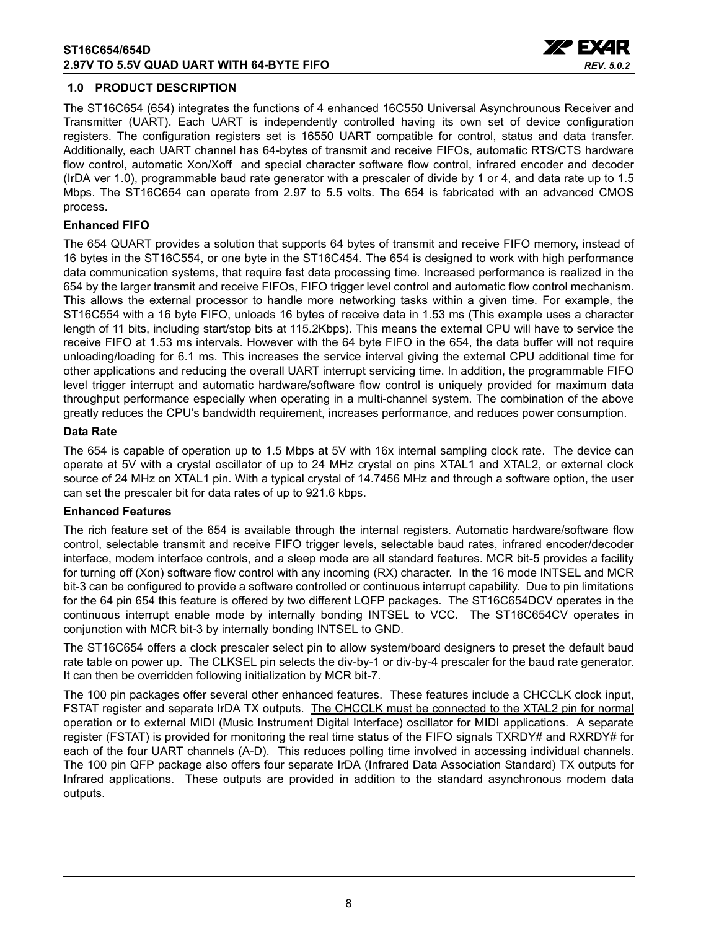

#### <span id="page-7-0"></span>**1.0 PRODUCT DESCRIPTION**

The ST16C654 (654) integrates the functions of 4 enhanced 16C550 Universal Asynchrounous Receiver and Transmitter (UART). Each UART is independently controlled having its own set of device configuration registers. The configuration registers set is 16550 UART compatible for control, status and data transfer. Additionally, each UART channel has 64-bytes of transmit and receive FIFOs, automatic RTS/CTS hardware flow control, automatic Xon/Xoff and special character software flow control, infrared encoder and decoder (IrDA ver 1.0), programmable baud rate generator with a prescaler of divide by 1 or 4, and data rate up to 1.5 Mbps. The ST16C654 can operate from 2.97 to 5.5 volts. The 654 is fabricated with an advanced CMOS process.

#### **Enhanced FIFO**

The 654 QUART provides a solution that supports 64 bytes of transmit and receive FIFO memory, instead of 16 bytes in the ST16C554, or one byte in the ST16C454. The 654 is designed to work with high performance data communication systems, that require fast data processing time. Increased performance is realized in the 654 by the larger transmit and receive FIFOs, FIFO trigger level control and automatic flow control mechanism. This allows the external processor to handle more networking tasks within a given time. For example, the ST16C554 with a 16 byte FIFO, unloads 16 bytes of receive data in 1.53 ms (This example uses a character length of 11 bits, including start/stop bits at 115.2Kbps). This means the external CPU will have to service the receive FIFO at 1.53 ms intervals. However with the 64 byte FIFO in the 654, the data buffer will not require unloading/loading for 6.1 ms. This increases the service interval giving the external CPU additional time for other applications and reducing the overall UART interrupt servicing time. In addition, the programmable FIFO level trigger interrupt and automatic hardware/software flow control is uniquely provided for maximum data throughput performance especially when operating in a multi-channel system. The combination of the above greatly reduces the CPU's bandwidth requirement, increases performance, and reduces power consumption.

#### **Data Rate**

The 654 is capable of operation up to 1.5 Mbps at 5V with 16x internal sampling clock rate. The device can operate at 5V with a crystal oscillator of up to 24 MHz crystal on pins XTAL1 and XTAL2, or external clock source of 24 MHz on XTAL1 pin. With a typical crystal of 14.7456 MHz and through a software option, the user can set the prescaler bit for data rates of up to 921.6 kbps.

#### **Enhanced Features**

The rich feature set of the 654 is available through the internal registers. Automatic hardware/software flow control, selectable transmit and receive FIFO trigger levels, selectable baud rates, infrared encoder/decoder interface, modem interface controls, and a sleep mode are all standard features. MCR bit-5 provides a facility for turning off (Xon) software flow control with any incoming (RX) character. In the 16 mode INTSEL and MCR bit-3 can be configured to provide a software controlled or continuous interrupt capability. Due to pin limitations for the 64 pin 654 this feature is offered by two different LQFP packages. The ST16C654DCV operates in the continuous interrupt enable mode by internally bonding INTSEL to VCC. The ST16C654CV operates in conjunction with MCR bit-3 by internally bonding INTSEL to GND.

The ST16C654 offers a clock prescaler select pin to allow system/board designers to preset the default baud rate table on power up. The CLKSEL pin selects the div-by-1 or div-by-4 prescaler for the baud rate generator. It can then be overridden following initialization by MCR bit-7.

The 100 pin packages offer several other enhanced features. These features include a CHCCLK clock input, FSTAT register and separate IrDA TX outputs. The CHCCLK must be connected to the XTAL2 pin for normal operation or to external MIDI (Music Instrument Digital Interface) oscillator for MIDI applications. A separate register (FSTAT) is provided for monitoring the real time status of the FIFO signals TXRDY# and RXRDY# for each of the four UART channels (A-D). This reduces polling time involved in accessing individual channels. The 100 pin QFP package also offers four separate IrDA (Infrared Data Association Standard) TX outputs for Infrared applications. These outputs are provided in addition to the standard asynchronous modem data outputs.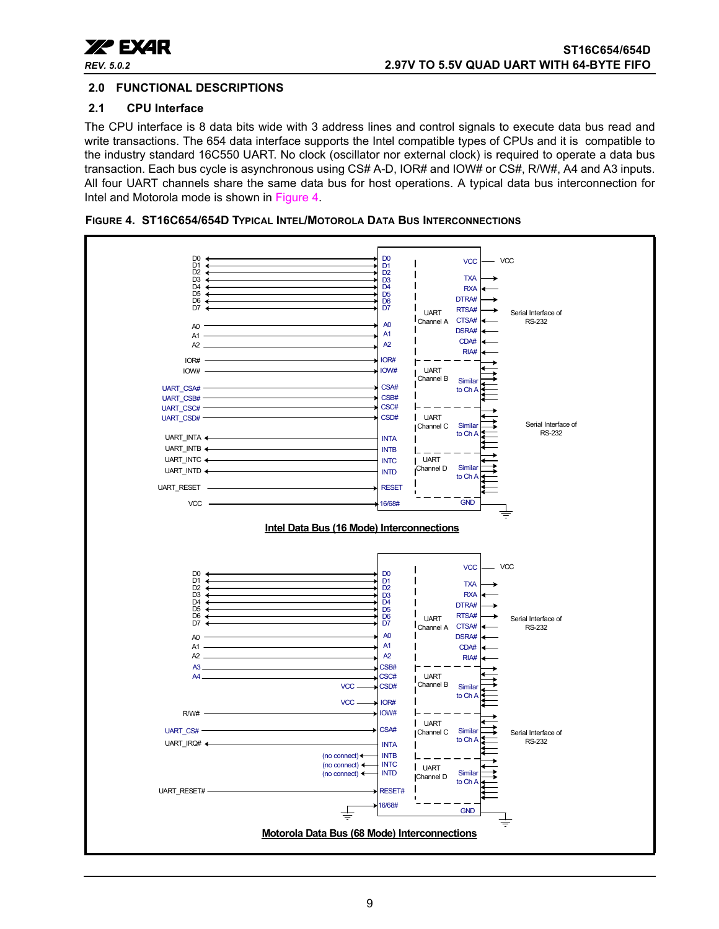

#### <span id="page-8-1"></span>**2.0 FUNCTIONAL DESCRIPTIONS**

#### <span id="page-8-2"></span>**2.1 CPU Interface**

The CPU interface is 8 data bits wide with 3 address lines and control signals to execute data bus read and write transactions. The 654 data interface supports the Intel compatible types of CPUs and it is compatible to the industry standard 16C550 UART. No clock (oscillator nor external clock) is required to operate a data bus transaction. Each bus cycle is asynchronous using CS# A-D, IOR# and IOW# or CS#, R/W#, A4 and A3 inputs. All four UART channels share the same data bus for host operations. A typical data bus interconnection for Intel and Motorola mode is shown in [Figure](#page-8-0) 4.



<span id="page-8-0"></span>**FIGURE 4. ST16C654/654D TYPICAL INTEL/MOTOROLA DATA BUS INTERCONNECTIONS**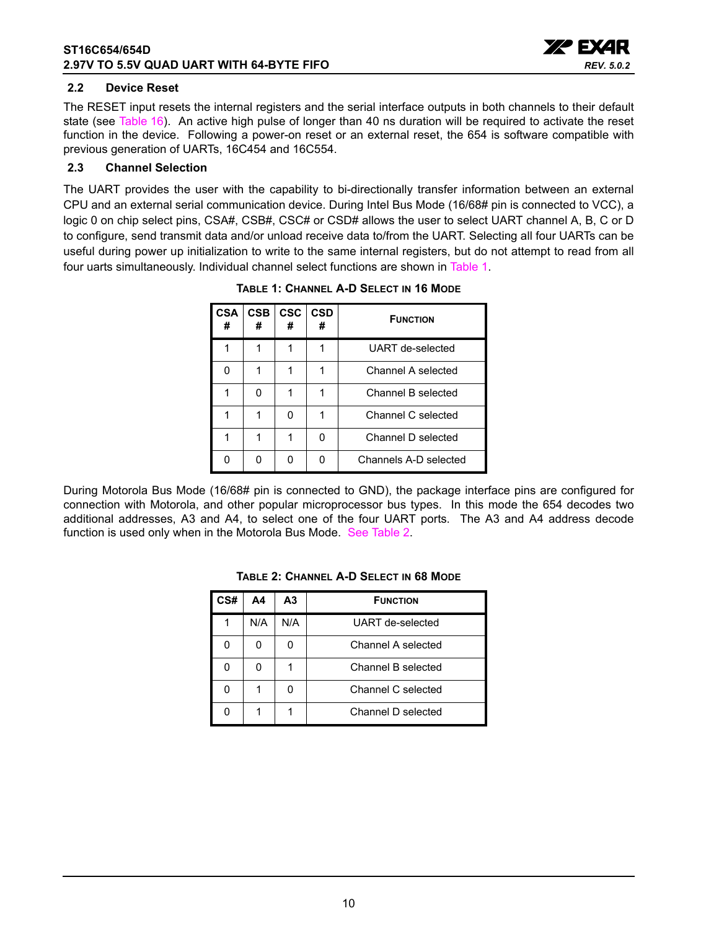

#### <span id="page-9-2"></span>**2.2 Device Reset**

The RESET input resets the internal registers and the serial interface outputs in both channels to their default state (see [Table](#page-35-0) 16). An active high pulse of longer than 40 ns duration will be required to activate the reset function in the device. Following a power-on reset or an external reset, the 654 is software compatible with previous generation of UARTs, 16C454 and 16C554.

#### <span id="page-9-3"></span>**2.3 Channel Selection**

<span id="page-9-0"></span>The UART provides the user with the capability to bi-directionally transfer information between an external CPU and an external serial communication device. During Intel Bus Mode (16/68# pin is connected to VCC), a logic 0 on chip select pins, CSA#, CSB#, CSC# or CSD# allows the user to select UART channel A, B, C or D to configure, send transmit data and/or unload receive data to/from the UART. Selecting all four UARTs can be useful during power up initialization to write to the same internal registers, but do not attempt to read from all four uarts simultaneously. Individual channel select functions are shown in [Table](#page-9-0) 1.

| <b>CSA</b><br># | <b>CSB</b><br># | <b>CSC</b><br># | <b>CSD</b><br># | <b>FUNCTION</b>       |
|-----------------|-----------------|-----------------|-----------------|-----------------------|
|                 |                 |                 |                 | UART de-selected      |
| n               |                 |                 |                 | Channel A selected    |
|                 |                 |                 | 1               | Channel B selected    |
|                 |                 |                 |                 | Channel C selected    |
|                 |                 |                 | n               | Channel D selected    |
|                 |                 |                 |                 | Channels A-D selected |

**TABLE 1: CHANNEL A-D SELECT IN 16 MODE**

<span id="page-9-1"></span>During Motorola Bus Mode (16/68# pin is connected to GND), the package interface pins are configured for connection with Motorola, and other popular microprocessor bus types. In this mode the 654 decodes two additional addresses, A3 and A4, to select one of the four UART ports. The A3 and A4 address decode function is used only when in the Motorola Bus Mode. [See Table](#page-9-1) 2.

| `S# | Α4  | А3  | <b>FUNCTION</b>    |
|-----|-----|-----|--------------------|
|     | N/A | N/A | UART de-selected   |
|     |     |     | Channel A selected |
|     |     |     | Channel B selected |
|     |     |     | Channel C selected |
|     |     |     | Channel D selected |

#### **TABLE 2: CHANNEL A-D SELECT IN 68 MODE**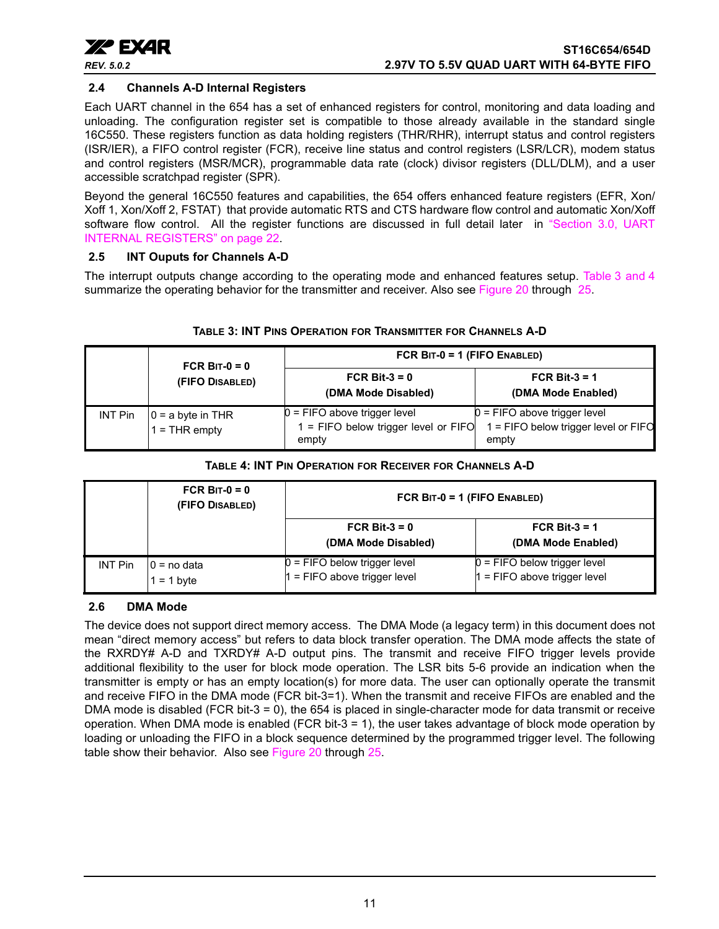

#### <span id="page-10-2"></span>**2.4 Channels A-D Internal Registers**

Each UART channel in the 654 has a set of enhanced registers for control, monitoring and data loading and unloading. The configuration register set is compatible to those already available in the standard single 16C550. These registers function as data holding registers (THR/RHR), interrupt status and control registers (ISR/IER), a FIFO control register (FCR), receive line status and control registers (LSR/LCR), modem status and control registers (MSR/MCR), programmable data rate (clock) divisor registers (DLL/DLM), and a user accessible scratchpad register (SPR).

Beyond the general 16C550 features and capabilities, the 654 offers enhanced feature registers (EFR, Xon/ Xoff 1, Xon/Xoff 2, FSTAT) that provide automatic RTS and CTS hardware flow control and automatic Xon/Xoff software flow control. All the register functions are discussed in full detail later in ["Section 3.0, UART](#page-21-0) [INTERNAL REGISTERS" on page](#page-21-0) 22.

#### <span id="page-10-3"></span>**2.5 INT Ouputs for Channels A-D**

The interrupt outputs change according to the operating mode and enhanced features setup. [Table](#page-10-0) 3 [and](#page-10-1) 4 summarize the operating behavior for the transmitter and receiver. Also see [Figure](#page-41-0) 20 through [25.](#page-44-0)

<span id="page-10-0"></span>

|                | FCR BIT- $0 = 0$                        | FCR BIT-0 = 1 (FIFO ENABLED)                                                    |                                                                                 |  |  |
|----------------|-----------------------------------------|---------------------------------------------------------------------------------|---------------------------------------------------------------------------------|--|--|
|                | (FIFO DISABLED)                         | FCR Bit- $3 = 0$<br>(DMA Mode Disabled)                                         | FCR Bit-3 = $1$<br>(DMA Mode Enabled)                                           |  |  |
| <b>INT Pin</b> | $ 0 = a$ byte in THR<br>$1 =$ THR empty | 0 = FIFO above trigger level<br>$1 =$ FIFO below trigger level or FIFO<br>empty | $0 =$ FIFO above trigger level<br>1 = FIFO below trigger level or FIFO<br>empty |  |  |

#### **TABLE 3: INT PINS OPERATION FOR TRANSMITTER FOR CHANNELS A-D**

#### **TABLE 4: INT PIN OPERATION FOR RECEIVER FOR CHANNELS A-D**

<span id="page-10-1"></span>

|         | FCR BIT-0 = $0$<br>(FIFO DISABLED) | FCR BIT-0 = 1 (FIFO ENABLED)                                 |                                                              |  |  |
|---------|------------------------------------|--------------------------------------------------------------|--------------------------------------------------------------|--|--|
|         |                                    | FCR Bit- $3 = 0$<br>(DMA Mode Disabled)                      | FCR Bit-3 = $1$<br>(DMA Mode Enabled)                        |  |  |
| INT Pin | 10 = no data<br>$= 1$ byte         | $0 =$ FIFO below trigger level<br>= FIFO above trigger level | $0 =$ FIFO below trigger level<br>= FIFO above trigger level |  |  |

#### <span id="page-10-4"></span>**2.6 DMA Mode**

The device does not support direct memory access. The DMA Mode (a legacy term) in this document does not mean "direct memory access" but refers to data block transfer operation. The DMA mode affects the state of the RXRDY# A-D and TXRDY# A-D output pins. The transmit and receive FIFO trigger levels provide additional flexibility to the user for block mode operation. The LSR bits 5-6 provide an indication when the transmitter is empty or has an empty location(s) for more data. The user can optionally operate the transmit and receive FIFO in the DMA mode (FCR bit-3=1). When the transmit and receive FIFOs are enabled and the DMA mode is disabled (FCR bit-3 = 0), the 654 is placed in single-character mode for data transmit or receive operation. When DMA mode is enabled (FCR bit-3 = 1), the user takes advantage of block mode operation by loading or unloading the FIFO in a block sequence determined by the programmed trigger level. The following table show their behavior. Also see [Figure](#page-41-0) 20 through [25.](#page-44-0)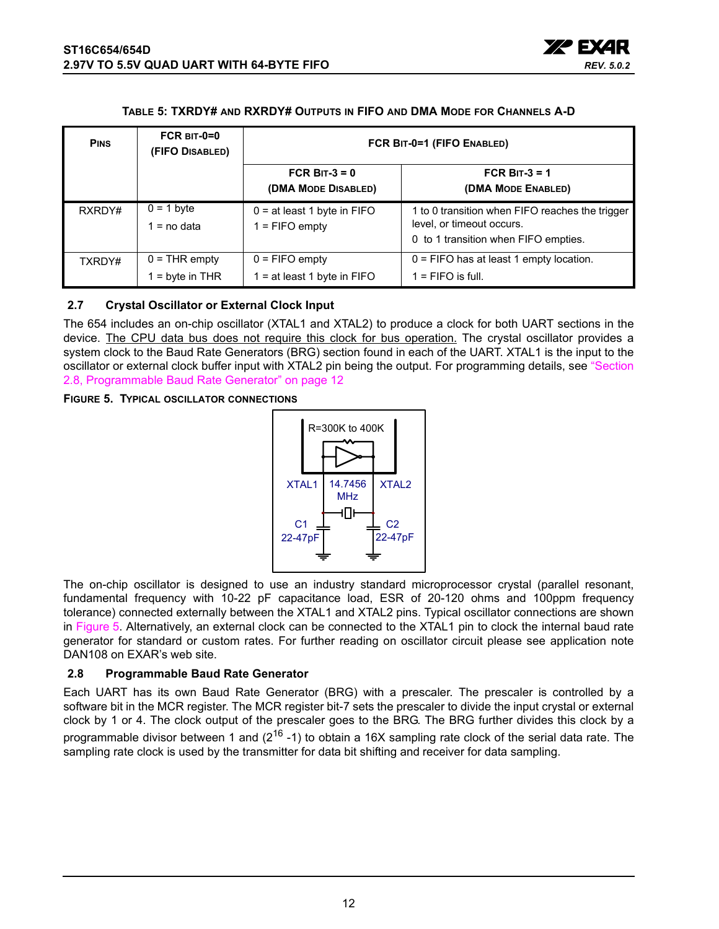

#### **TABLE 5: TXRDY# AND RXRDY# OUTPUTS IN FIFO AND DMA MODE FOR CHANNELS A-D**

<span id="page-11-0"></span>

| <b>PINS</b> | $FCR$ BIT-0=0<br>(FIFO DISABLED)   | FCR BIT-0=1 (FIFO ENABLED)                        |                                                                                                                      |  |  |
|-------------|------------------------------------|---------------------------------------------------|----------------------------------------------------------------------------------------------------------------------|--|--|
|             |                                    | FCR BIT-3 = $0$<br>(DMA MODE DISABLED)            | FCR BIT-3 = $1$<br>(DMA MODE ENABLED)                                                                                |  |  |
| RXRDY#      | $0 = 1$ byte<br>= no data          | $0 = at least 1 byte in FIFO$<br>$1 =$ FIFO empty | 1 to 0 transition when FIFO reaches the trigger<br>level, or timeout occurs.<br>0 to 1 transition when FIFO empties. |  |  |
| TXRDY#      | $0 = THR$ empty<br>$=$ byte in THR | $0 =$ FIFO empty<br>1 = at least 1 byte in FIFO   | $0 =$ FIFO has at least 1 empty location.<br>$1 =$ FIFO is full.                                                     |  |  |

#### <span id="page-11-3"></span>**2.7 Crystal Oscillator or External Clock Input**

The 654 includes an on-chip oscillator (XTAL1 and XTAL2) to produce a clock for both UART sections in the device. The CPU data bus does not require this clock for bus operation. The crystal oscillator provides a system clock to the Baud Rate Generators (BRG) section found in each of the UART. XTAL1 is the input to the oscillator or external clock buffer input with XTAL2 pin being the output. For programming details, see ["Section](#page-11-2)  [2.8, Programmable Baud Rate Generator" on page](#page-11-2) 12

#### <span id="page-11-1"></span>**FIGURE 5. TYPICAL OSCILLATOR CONNECTIONS**



The on-chip oscillator is designed to use an industry standard microprocessor crystal (parallel resonant, fundamental frequency with 10-22 pF capacitance load, ESR of 20-120 ohms and 100ppm frequency tolerance) connected externally between the XTAL1 and XTAL2 pins. Typical oscillator connections are shown in [Figure](#page-11-1) 5. Alternatively, an external clock can be connected to the XTAL1 pin to clock the internal baud rate generator for standard or custom rates. For further reading on oscillator circuit please see application note DAN108 on EXAR's web site.

#### <span id="page-11-2"></span>**2.8 Programmable Baud Rate Generator**

Each UART has its own Baud Rate Generator (BRG) with a prescaler. The prescaler is controlled by a software bit in the MCR register. The MCR register bit-7 sets the prescaler to divide the input crystal or external clock by 1 or 4. The clock output of the prescaler goes to the BRG. The BRG further divides this clock by a programmable divisor between 1 and  $(2^{16} - 1)$  to obtain a 16X sampling rate clock of the serial data rate. The sampling rate clock is used by the transmitter for data bit shifting and receiver for data sampling.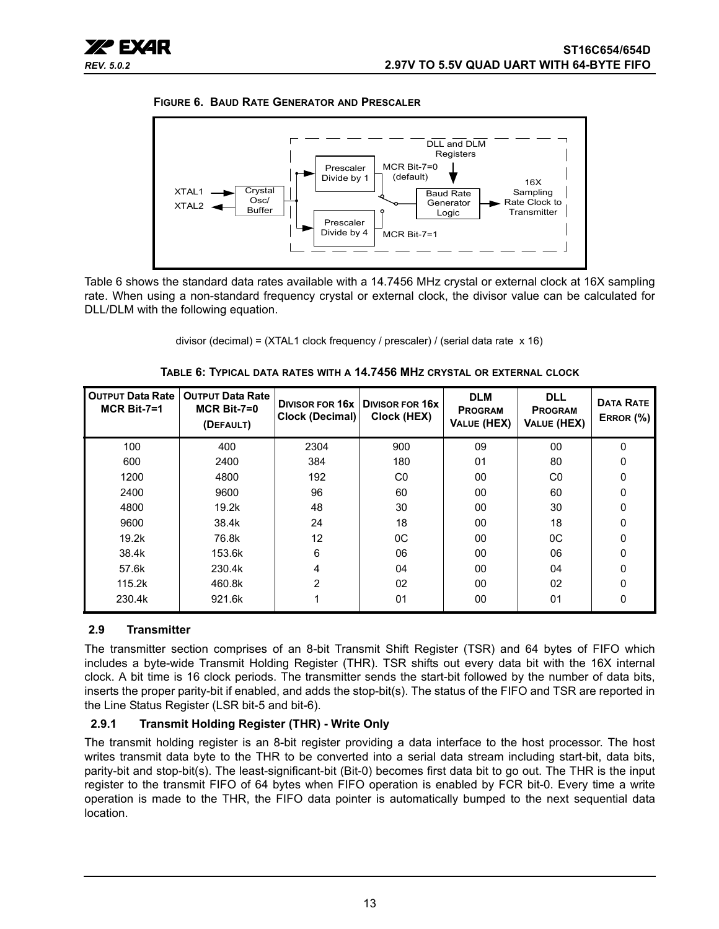<span id="page-12-0"></span>



[Table](#page-12-1) 6 shows the standard data rates available with a 14.7456 MHz crystal or external clock at 16X sampling rate. When using a non-standard frequency crystal or external clock, the divisor value can be calculated for DLL/DLM with the following equation.

divisor (decimal) = (XTAL1 clock frequency / prescaler) / (serial data rate x 16)

<span id="page-12-1"></span>

| <b>OUTPUT Data Rate</b><br>$MCR$ Bit-7=1 | <b>OUTPUT Data Rate</b><br>$MCR$ Bit-7=0<br>(DEFAULT) | <b>DIVISOR FOR 16x</b><br>Clock (Decimal) | <b>DIVISOR FOR 16X</b><br>Clock (HEX) | <b>DLM</b><br><b>PROGRAM</b><br><b>VALUE (HEX)</b> | <b>DLL</b><br><b>PROGRAM</b><br>VALUE (HEX) | <b>DATA RATE</b><br>ERROR $(\%)$ |
|------------------------------------------|-------------------------------------------------------|-------------------------------------------|---------------------------------------|----------------------------------------------------|---------------------------------------------|----------------------------------|
| 100                                      | 400                                                   | 2304                                      | 900                                   | 09                                                 | 00                                          | $\Omega$                         |
| 600                                      | 2400                                                  | 384                                       | 180                                   | 01                                                 | 80                                          | 0                                |
| 1200                                     | 4800                                                  | 192                                       | C0                                    | 00                                                 | C <sub>0</sub>                              | 0                                |
| 2400                                     | 9600                                                  | 96                                        | 60                                    | 00                                                 | 60                                          | 0                                |
| 4800                                     | 19.2k                                                 | 48                                        | 30                                    | 00                                                 | 30                                          | 0                                |
| 9600                                     | 38.4k                                                 | 24                                        | 18                                    | 00                                                 | 18                                          | $\mathbf{0}$                     |
| 19.2k                                    | 76.8k                                                 | 12                                        | 0C                                    | 00                                                 | 0C                                          | 0                                |
| 38.4k                                    | 153.6k                                                | 6                                         | 06                                    | 00                                                 | 06                                          | $\mathbf{0}$                     |
| 57.6k                                    | 230.4k                                                | 4                                         | 04                                    | 00                                                 | 04                                          | 0                                |
| 115.2k                                   | 460.8k                                                | $\overline{2}$                            | 02                                    | 00                                                 | 02                                          | 0                                |
| 230.4k                                   | 921.6k                                                |                                           | 01                                    | 00                                                 | 01                                          | 0                                |

#### <span id="page-12-2"></span>**2.9 Transmitter**

The transmitter section comprises of an 8-bit Transmit Shift Register (TSR) and 64 bytes of FIFO which includes a byte-wide Transmit Holding Register (THR). TSR shifts out every data bit with the 16X internal clock. A bit time is 16 clock periods. The transmitter sends the start-bit followed by the number of data bits, inserts the proper parity-bit if enabled, and adds the stop-bit(s). The status of the FIFO and TSR are reported in the Line Status Register (LSR bit-5 and bit-6).

#### <span id="page-12-3"></span>**2.9.1 Transmit Holding Register (THR) - Write Only**

The transmit holding register is an 8-bit register providing a data interface to the host processor. The host writes transmit data byte to the THR to be converted into a serial data stream including start-bit, data bits, parity-bit and stop-bit(s). The least-significant-bit (Bit-0) becomes first data bit to go out. The THR is the input register to the transmit FIFO of 64 bytes when FIFO operation is enabled by FCR bit-0. Every time a write operation is made to the THR, the FIFO data pointer is automatically bumped to the next sequential data location.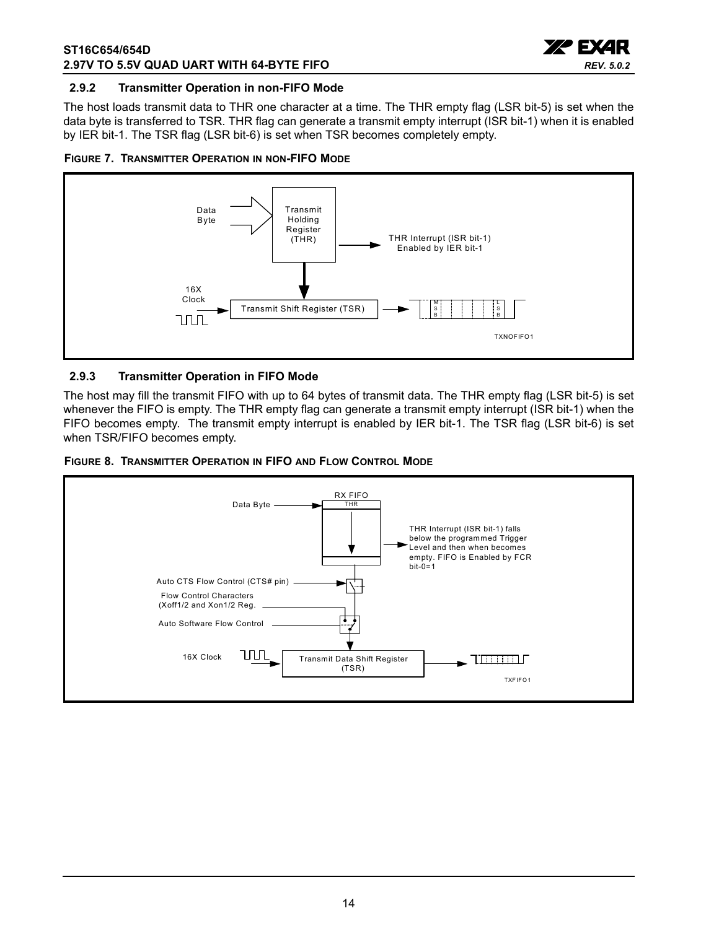

#### <span id="page-13-0"></span>**2.9.2 Transmitter Operation in non-FIFO Mode**

The host loads transmit data to THR one character at a time. The THR empty flag (LSR bit-5) is set when the data byte is transferred to TSR. THR flag can generate a transmit empty interrupt (ISR bit-1) when it is enabled by IER bit-1. The TSR flag (LSR bit-6) is set when TSR becomes completely empty.

<span id="page-13-1"></span>



#### <span id="page-13-2"></span>**2.9.3 Transmitter Operation in FIFO Mode**

The host may fill the transmit FIFO with up to 64 bytes of transmit data. The THR empty flag (LSR bit-5) is set whenever the FIFO is empty. The THR empty flag can generate a transmit empty interrupt (ISR bit-1) when the FIFO becomes empty. The transmit empty interrupt is enabled by IER bit-1. The TSR flag (LSR bit-6) is set when TSR/FIFO becomes empty.

<span id="page-13-3"></span>

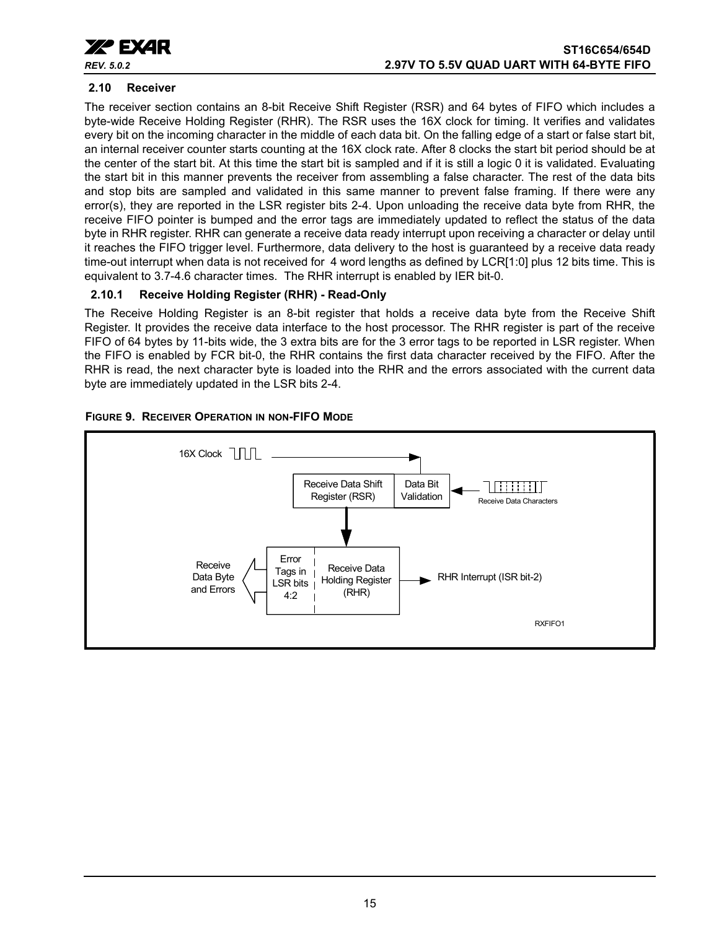

#### <span id="page-14-0"></span>**2.10 Receiver**

The receiver section contains an 8-bit Receive Shift Register (RSR) and 64 bytes of FIFO which includes a byte-wide Receive Holding Register (RHR). The RSR uses the 16X clock for timing. It verifies and validates every bit on the incoming character in the middle of each data bit. On the falling edge of a start or false start bit, an internal receiver counter starts counting at the 16X clock rate. After 8 clocks the start bit period should be at the center of the start bit. At this time the start bit is sampled and if it is still a logic 0 it is validated. Evaluating the start bit in this manner prevents the receiver from assembling a false character. The rest of the data bits and stop bits are sampled and validated in this same manner to prevent false framing. If there were any error(s), they are reported in the LSR register bits 2-4. Upon unloading the receive data byte from RHR, the receive FIFO pointer is bumped and the error tags are immediately updated to reflect the status of the data byte in RHR register. RHR can generate a receive data ready interrupt upon receiving a character or delay until it reaches the FIFO trigger level. Furthermore, data delivery to the host is guaranteed by a receive data ready time-out interrupt when data is not received for 4 word lengths as defined by LCR[1:0] plus 12 bits time. This is equivalent to 3.7-4.6 character times. The RHR interrupt is enabled by IER bit-0.

#### <span id="page-14-1"></span>**2.10.1 Receive Holding Register (RHR) - Read-Only**

The Receive Holding Register is an 8-bit register that holds a receive data byte from the Receive Shift Register. It provides the receive data interface to the host processor. The RHR register is part of the receive FIFO of 64 bytes by 11-bits wide, the 3 extra bits are for the 3 error tags to be reported in LSR register. When the FIFO is enabled by FCR bit-0, the RHR contains the first data character received by the FIFO. After the RHR is read, the next character byte is loaded into the RHR and the errors associated with the current data byte are immediately updated in the LSR bits 2-4.

#### <span id="page-14-2"></span>**FIGURE 9. RECEIVER OPERATION IN NON-FIFO MODE**

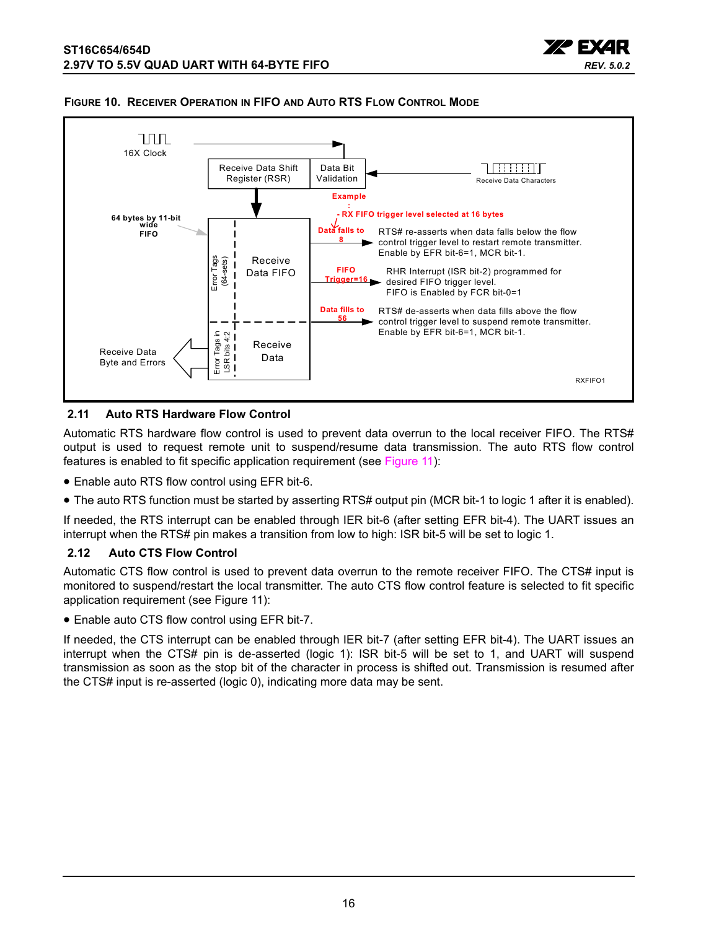



#### <span id="page-15-0"></span>**FIGURE 10. RECEIVER OPERATION IN FIFO AND AUTO RTS FLOW CONTROL MODE**

#### <span id="page-15-1"></span>**2.11 Auto RTS Hardware Flow Control**

Automatic RTS hardware flow control is used to prevent data overrun to the local receiver FIFO. The RTS# output is used to request remote unit to suspend/resume data transmission. The auto RTS flow control features is enabled to fit specific application requirement (see [Figure](#page-16-0) 11):

- Enable auto RTS flow control using EFR bit-6.
- The auto RTS function must be started by asserting RTS# output pin (MCR bit-1 to logic 1 after it is enabled).

If needed, the RTS interrupt can be enabled through IER bit-6 (after setting EFR bit-4). The UART issues an interrupt when the RTS# pin makes a transition from low to high: ISR bit-5 will be set to logic 1.

#### <span id="page-15-2"></span>**2.12 Auto CTS Flow Control**

Automatic CTS flow control is used to prevent data overrun to the remote receiver FIFO. The CTS# input is monitored to suspend/restart the local transmitter. The auto CTS flow control feature is selected to fit specific application requirement (see [Figure](#page-16-0) 11):

• Enable auto CTS flow control using EFR bit-7.

If needed, the CTS interrupt can be enabled through IER bit-7 (after setting EFR bit-4). The UART issues an interrupt when the CTS# pin is de-asserted (logic 1): ISR bit-5 will be set to 1, and UART will suspend transmission as soon as the stop bit of the character in process is shifted out. Transmission is resumed after the CTS# input is re-asserted (logic 0), indicating more data may be sent.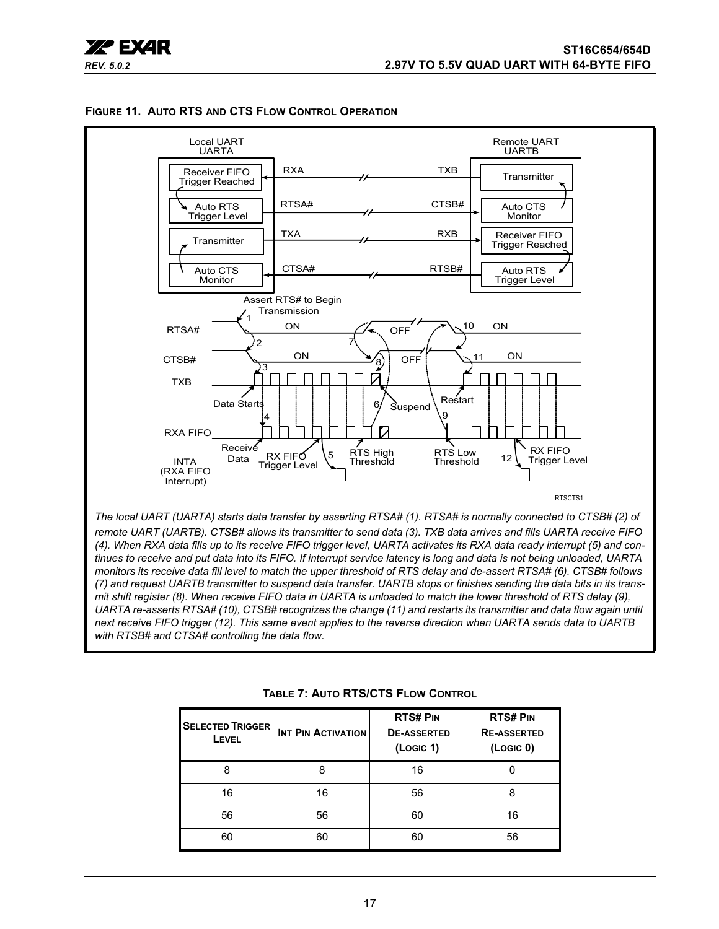



#### <span id="page-16-0"></span>**FIGURE 11. AUTO RTS AND CTS FLOW CONTROL OPERATION**

**TABLE 7: AUTO RTS/CTS FLOW CONTROL**

<span id="page-16-1"></span>

| <b>SELECTED TRIGGER</b><br>LEVEL | <b>INT PIN ACTIVATION</b> | <b>RTS# PIN</b><br><b>DE-ASSERTED</b><br>(Logic 1) | <b>RTS#PIN</b><br><b>RE-ASSERTED</b><br>(LogIC 0) |
|----------------------------------|---------------------------|----------------------------------------------------|---------------------------------------------------|
| 8                                | 8                         | 16                                                 |                                                   |
| 16                               | 16                        | 56                                                 | 8                                                 |
| 56                               | 56                        | 60                                                 | 16                                                |
| 60                               | 60                        | 60                                                 | 56                                                |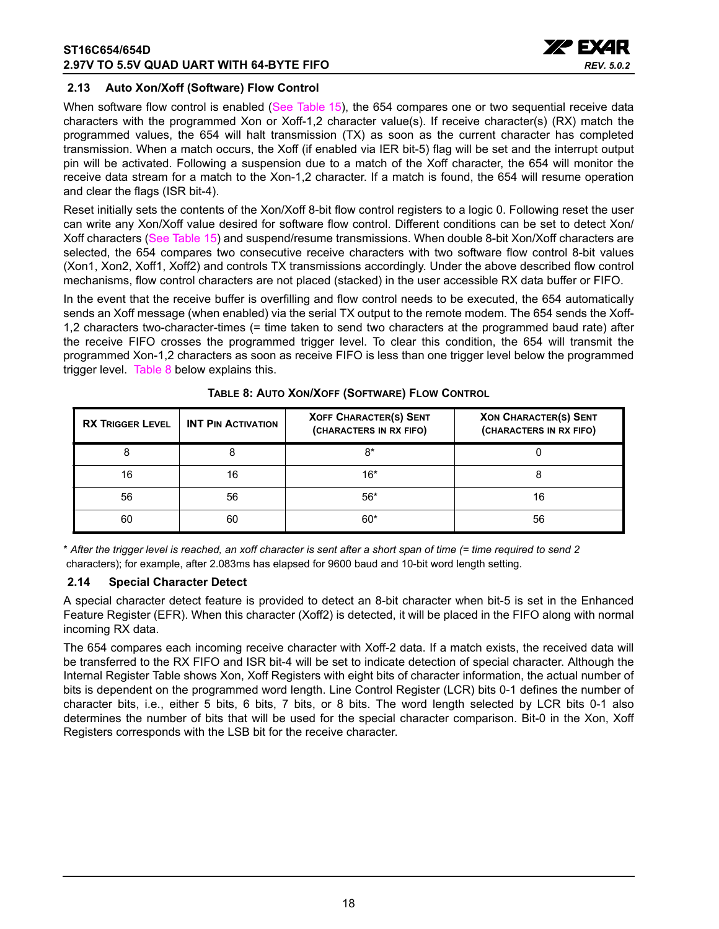

#### <span id="page-17-1"></span>**2.13 Auto Xon/Xoff (Software) Flow Control**

When software flow control is enabled ([See Table](#page-33-0) 15), the 654 compares one or two sequential receive data characters with the programmed Xon or Xoff-1,2 character value(s). If receive character(s) (RX) match the programmed values, the 654 will halt transmission (TX) as soon as the current character has completed transmission. When a match occurs, the Xoff (if enabled via IER bit-5) flag will be set and the interrupt output pin will be activated. Following a suspension due to a match of the Xoff character, the 654 will monitor the receive data stream for a match to the Xon-1,2 character. If a match is found, the 654 will resume operation and clear the flags (ISR bit-4).

Reset initially sets the contents of the Xon/Xoff 8-bit flow control registers to a logic 0. Following reset the user can write any Xon/Xoff value desired for software flow control. Different conditions can be set to detect Xon/ Xoff characters ([See Table](#page-33-0) 15) and suspend/resume transmissions. When double 8-bit Xon/Xoff characters are selected, the 654 compares two consecutive receive characters with two software flow control 8-bit values (Xon1, Xon2, Xoff1, Xoff2) and controls TX transmissions accordingly. Under the above described flow control mechanisms, flow control characters are not placed (stacked) in the user accessible RX data buffer or FIFO.

In the event that the receive buffer is overfilling and flow control needs to be executed, the 654 automatically sends an Xoff message (when enabled) via the serial TX output to the remote modem. The 654 sends the Xoff-1,2 characters two-character-times (= time taken to send two characters at the programmed baud rate) after the receive FIFO crosses the programmed trigger level. To clear this condition, the 654 will transmit the programmed Xon-1,2 characters as soon as receive FIFO is less than one trigger level below the programmed trigger level. [Table](#page-17-0) 8 below explains this.

<span id="page-17-0"></span>

| <b>RX TRIGGER LEVEL</b> | <b>INT PIN ACTIVATION</b> | <b>XOFF CHARACTER(S) SENT</b><br>(CHARACTERS IN RX FIFO) | <b>XON CHARACTER(S) SENT</b><br>(CHARACTERS IN RX FIFO) |
|-------------------------|---------------------------|----------------------------------------------------------|---------------------------------------------------------|
|                         |                           | 8*                                                       |                                                         |
| 16                      | 16                        | $16*$                                                    |                                                         |
| 56                      | 56                        | $56*$                                                    | 16                                                      |
| 60                      | 60                        | $60*$                                                    | 56                                                      |

**TABLE 8: AUTO XON/XOFF (SOFTWARE) FLOW CONTROL**

\* *After the trigger level is reached, an xoff character is sent after a short span of time (= time required to send 2* characters); for example, after 2.083ms has elapsed for 9600 baud and 10-bit word length setting.

#### <span id="page-17-2"></span>**2.14 Special Character Detect**

A special character detect feature is provided to detect an 8-bit character when bit-5 is set in the Enhanced Feature Register (EFR). When this character (Xoff2) is detected, it will be placed in the FIFO along with normal incoming RX data.

The 654 compares each incoming receive character with Xoff-2 data. If a match exists, the received data will be transferred to the RX FIFO and ISR bit-4 will be set to indicate detection of special character. Although the Internal Register Table shows Xon, Xoff Registers with eight bits of character information, the actual number of bits is dependent on the programmed word length. Line Control Register (LCR) bits 0-1 defines the number of character bits, i.e., either 5 bits, 6 bits, 7 bits, or 8 bits. The word length selected by LCR bits 0-1 also determines the number of bits that will be used for the special character comparison. Bit-0 in the Xon, Xoff Registers corresponds with the LSB bit for the receive character.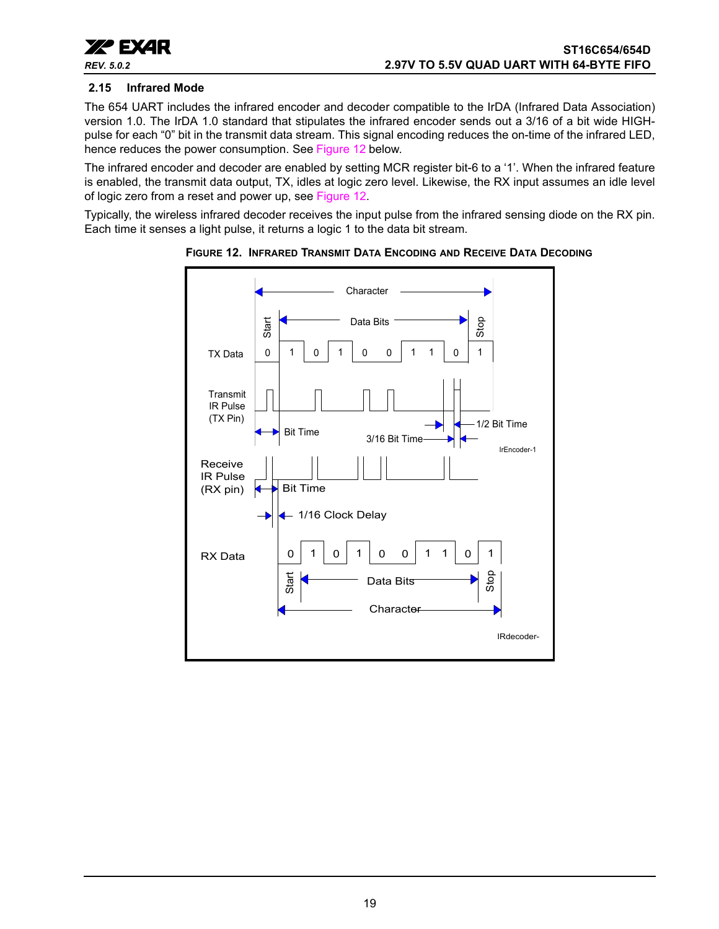

#### <span id="page-18-1"></span>**2.15 Infrared Mode**

The 654 UART includes the infrared encoder and decoder compatible to the IrDA (Infrared Data Association) version 1.0. The IrDA 1.0 standard that stipulates the infrared encoder sends out a 3/16 of a bit wide HIGHpulse for each "0" bit in the transmit data stream. This signal encoding reduces the on-time of the infrared LED, hence reduces the power consumption. See [Figure](#page-18-0) 12 below.

The infrared encoder and decoder are enabled by setting MCR register bit-6 to a '1'. When the infrared feature is enabled, the transmit data output, TX, idles at logic zero level. Likewise, the RX input assumes an idle level of logic zero from a reset and power up, see [Figure](#page-18-0) 12.

Typically, the wireless infrared decoder receives the input pulse from the infrared sensing diode on the RX pin. Each time it senses a light pulse, it returns a logic 1 to the data bit stream.



<span id="page-18-0"></span>**FIGURE 12. INFRARED TRANSMIT DATA ENCODING AND RECEIVE DATA DECODING**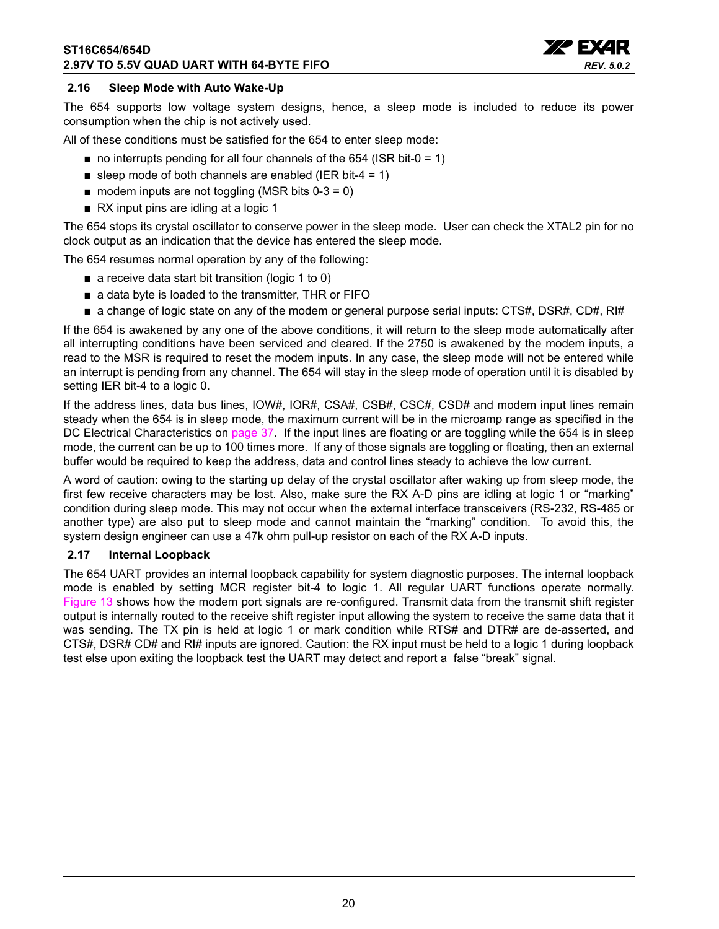

#### <span id="page-19-0"></span>**2.16 Sleep Mode with Auto Wake-Up**

The 654 supports low voltage system designs, hence, a sleep mode is included to reduce its power consumption when the chip is not actively used.

All of these conditions must be satisfied for the 654 to enter sleep mode:

- $\blacksquare$  no interrupts pending for all four channels of the 654 (ISR bit-0 = 1)
- sleep mode of both channels are enabled (IER bit-4 = 1)
- $\blacksquare$  modem inputs are not toggling (MSR bits 0-3 = 0)
- RX input pins are idling at a logic 1

The 654 stops its crystal oscillator to conserve power in the sleep mode. User can check the XTAL2 pin for no clock output as an indication that the device has entered the sleep mode.

The 654 resumes normal operation by any of the following:

- a receive data start bit transition (logic 1 to 0)
- a data byte is loaded to the transmitter, THR or FIFO
- a change of logic state on any of the modem or general purpose serial inputs: CTS#, DSR#, CD#, RI#

If the 654 is awakened by any one of the above conditions, it will return to the sleep mode automatically after all interrupting conditions have been serviced and cleared. If the 2750 is awakened by the modem inputs, a read to the MSR is required to reset the modem inputs. In any case, the sleep mode will not be entered while an interrupt is pending from any channel. The 654 will stay in the sleep mode of operation until it is disabled by setting IER bit-4 to a logic 0.

If the address lines, data bus lines, IOW#, IOR#, CSA#, CSB#, CSC#, CSD# and modem input lines remain steady when the 654 is in sleep mode, the maximum current will be in the microamp range as specified in the DC Electrical Characteristics on [page](#page-36-0) 37. If the input lines are floating or are toggling while the 654 is in sleep mode, the current can be up to 100 times more. If any of those signals are toggling or floating, then an external buffer would be required to keep the address, data and control lines steady to achieve the low current.

A word of caution: owing to the starting up delay of the crystal oscillator after waking up from sleep mode, the first few receive characters may be lost. Also, make sure the RX A-D pins are idling at logic 1 or "marking" condition during sleep mode. This may not occur when the external interface transceivers (RS-232, RS-485 or another type) are also put to sleep mode and cannot maintain the "marking" condition. To avoid this, the system design engineer can use a 47k ohm pull-up resistor on each of the RX A-D inputs.

#### <span id="page-19-1"></span>**2.17 Internal Loopback**

The 654 UART provides an internal loopback capability for system diagnostic purposes. The internal loopback mode is enabled by setting MCR register bit-4 to logic 1. All regular UART functions operate normally. [Figure](#page-20-0) 13 shows how the modem port signals are re-configured. Transmit data from the transmit shift register output is internally routed to the receive shift register input allowing the system to receive the same data that it was sending. The TX pin is held at logic 1 or mark condition while RTS# and DTR# are de-asserted, and CTS#, DSR# CD# and RI# inputs are ignored. Caution: the RX input must be held to a logic 1 during loopback test else upon exiting the loopback test the UART may detect and report a false "break" signal.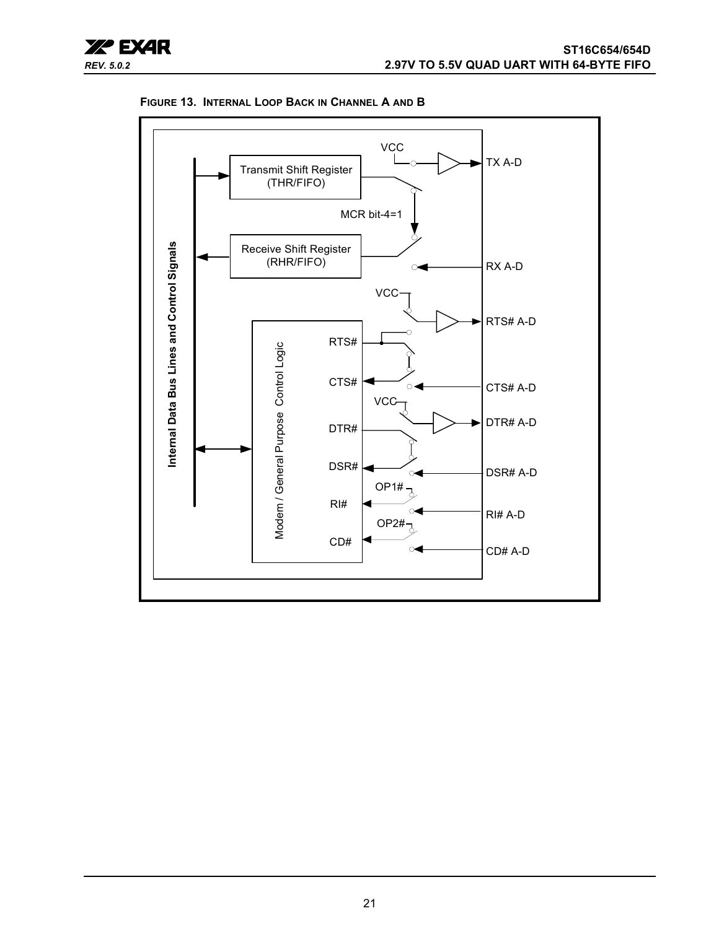



<span id="page-20-0"></span>**FIGURE 13. INTERNAL LOOP BACK IN CHANNEL A AND B**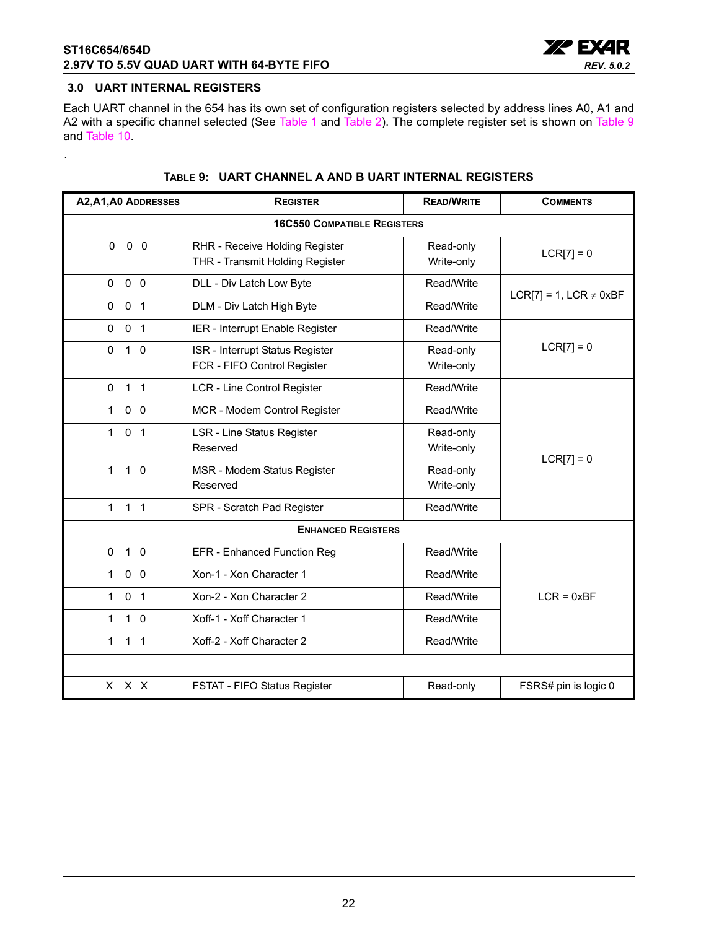

#### <span id="page-21-0"></span>**3.0 UART INTERNAL REGISTERS**

<span id="page-21-1"></span>.

Each UART channel in the 654 has its own set of configuration registers selected by address lines A0, A1 and A2 with a specific channel selected (See [Table](#page-21-1) 1 and Table 2). The complete register set is shown on Table 9 and [Table](#page-22-0) 10.

| A2, A1, A0 ADDRESSES                          | <b>REGISTER</b>                                                   | <b>READ/WRITE</b>       | <b>COMMENTS</b>             |  |  |  |  |  |  |  |
|-----------------------------------------------|-------------------------------------------------------------------|-------------------------|-----------------------------|--|--|--|--|--|--|--|
|                                               | <b>16C550 COMPATIBLE REGISTERS</b>                                |                         |                             |  |  |  |  |  |  |  |
| $0\quad 0$<br>$\Omega$                        | RHR - Receive Holding Register<br>THR - Transmit Holding Register | Read-only<br>Write-only | $LCR[7] = 0$                |  |  |  |  |  |  |  |
| $0\quad 0$<br>0                               | DLL - Div Latch Low Byte                                          | Read/Write              | LCR[7] = 1, LCR $\neq$ 0xBF |  |  |  |  |  |  |  |
| 0 <sub>1</sub><br>$\mathbf{0}$                | DLM - Div Latch High Byte                                         | Read/Write              |                             |  |  |  |  |  |  |  |
| 0 <sub>1</sub><br>0                           | IER - Interrupt Enable Register                                   | Read/Write              |                             |  |  |  |  |  |  |  |
| $1\quad0$<br>$\Omega$                         | ISR - Interrupt Status Register<br>FCR - FIFO Control Register    | Read-only<br>Write-only | $LCR[7] = 0$                |  |  |  |  |  |  |  |
| $\mathbf 0$<br>1 <sub>1</sub>                 | <b>LCR - Line Control Register</b>                                | Read/Write              |                             |  |  |  |  |  |  |  |
| $\mathbf{1}$<br>0 <sub>0</sub>                | MCR - Modem Control Register                                      | Read/Write              |                             |  |  |  |  |  |  |  |
| $\mathbf{1}$<br>0 <sub>1</sub>                | <b>LSR - Line Status Register</b><br>Reserved                     | Read-only<br>Write-only | $LCR[7] = 0$                |  |  |  |  |  |  |  |
| $\mathbf{1}$<br>$1\quad0$                     | MSR - Modem Status Register<br>Reserved                           | Read-only<br>Write-only |                             |  |  |  |  |  |  |  |
| 1 <sub>1</sub><br>$\mathbf{1}$                | SPR - Scratch Pad Register                                        |                         |                             |  |  |  |  |  |  |  |
|                                               | <b>ENHANCED REGISTERS</b>                                         |                         |                             |  |  |  |  |  |  |  |
| $1\quad 0$<br>$\Omega$                        | EFR - Enhanced Function Reg                                       | Read/Write              |                             |  |  |  |  |  |  |  |
| $0\quad 0$<br>$\mathbf{1}$                    | Xon-1 - Xon Character 1                                           | Read/Write              |                             |  |  |  |  |  |  |  |
| $\mathbf{1}$<br>$\mathbf 0$<br>$\overline{1}$ | Xon-2 - Xon Character 2                                           | Read/Write              | $LCR = 0xBF$                |  |  |  |  |  |  |  |
| $1\quad 0$<br>$\mathbf{1}$                    | Xoff-1 - Xoff Character 1<br>Read/Write                           |                         |                             |  |  |  |  |  |  |  |
| $1 \quad 1$<br>$\mathbf{1}$                   | Xoff-2 - Xoff Character 2                                         | Read/Write              |                             |  |  |  |  |  |  |  |
|                                               |                                                                   |                         |                             |  |  |  |  |  |  |  |
| x x x                                         | FSTAT - FIFO Status Register                                      | Read-only               | FSRS# pin is logic 0        |  |  |  |  |  |  |  |

#### **TABLE 9: UART CHANNEL A AND B UART INTERNAL REGISTERS**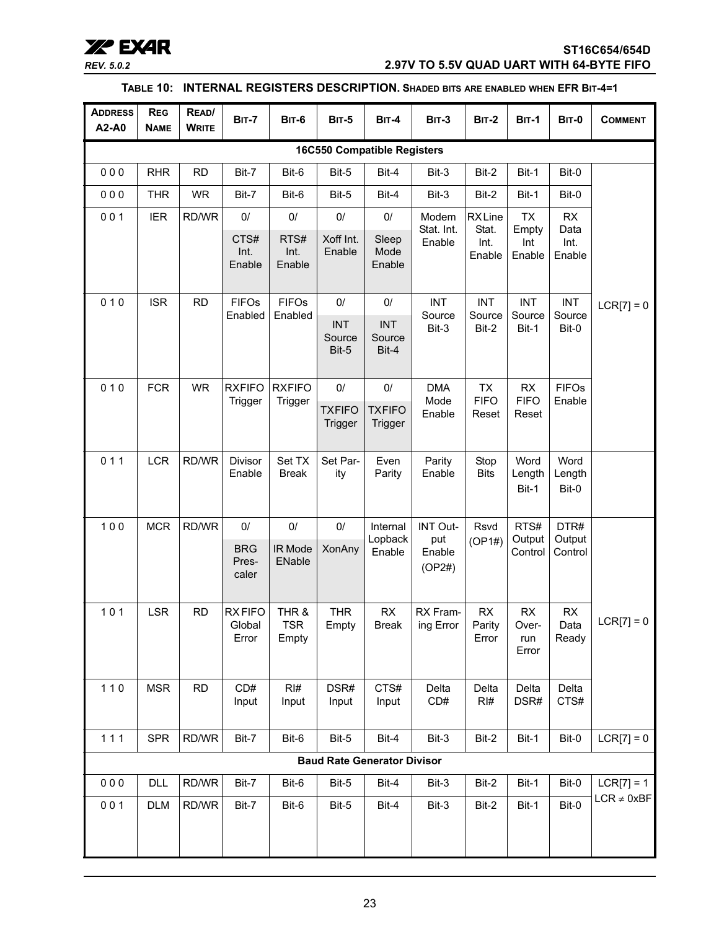### **XX<sup>o</sup> EXAR** ST16C654/654D<br>*REV. 5.0.2* ST16C654/654D<br>2.97V TO 5.5V QUAD UART WITH 64-BYTE FIFO *REV. 5.0.2* **2.97V TO 5.5V QUAD UART WITH 64-BYTE FIFO**

#### **TABLE 10: INTERNAL REGISTERS DESCRIPTION. SHADED BITS ARE ENABLED WHEN EFR BIT-4=1**

<span id="page-22-0"></span>

| <b>ADDRESS</b><br>A2-A0            | <b>REG</b><br><b>NAME</b> | READ/<br><b>WRITE</b> | <b>BIT-7</b>                     | <b>BIT-6</b>                 | <b>BIT-5</b>                  | <b>BIT-4</b>                       | <b>BIT-3</b>            | <b>BIT-2</b>                 | <b>BIT-1</b>                       | <b>BIT-0</b>               | <b>COMMENT</b>  |
|------------------------------------|---------------------------|-----------------------|----------------------------------|------------------------------|-------------------------------|------------------------------------|-------------------------|------------------------------|------------------------------------|----------------------------|-----------------|
| <b>16C550 Compatible Registers</b> |                           |                       |                                  |                              |                               |                                    |                         |                              |                                    |                            |                 |
| 000                                | <b>RHR</b>                | <b>RD</b>             | Bit-7                            | Bit-6                        | Bit-5                         | Bit-4                              | Bit-3                   | Bit-2                        | Bit-1                              | Bit-0                      |                 |
| 000                                | <b>THR</b>                | <b>WR</b>             | Bit-7                            | Bit-6                        | Bit-5                         | Bit-4                              | Bit-3                   | Bit-2                        | Bit-1                              | Bit-0                      |                 |
| 001                                | <b>IER</b>                | RD/WR                 | $0/$                             | $0/$                         | $0/$                          | 0/                                 | Modem                   | <b>RXLine</b>                | TX                                 | <b>RX</b>                  |                 |
|                                    |                           |                       | CTS#<br>Int.<br>Enable           | RTS#<br>Int.<br>Enable       | Xoff Int.<br>Enable           | Sleep<br>Mode<br>Enable            | Stat. Int.<br>Enable    | Stat.<br>Int.<br>Enable      | Empty<br>Int<br>Enable             | Data<br>Int.<br>Enable     |                 |
| 010                                | <b>ISR</b>                | <b>RD</b>             | <b>FIFOs</b>                     | <b>FIFOs</b>                 | $0/$                          | $0/$                               | <b>INT</b>              | <b>INT</b>                   | <b>INT</b>                         | <b>INT</b>                 | $LCR[7] = 0$    |
|                                    |                           |                       | Enabled                          | Enabled                      | <b>INT</b><br>Source<br>Bit-5 | <b>INT</b><br>Source<br>Bit-4      | Source<br>Bit-3         | Source<br>Bit-2              | Source<br>Bit-1                    | Source<br>Bit-0            |                 |
| 010                                | <b>FCR</b>                | <b>WR</b>             | <b>RXFIFO</b>                    | <b>RXFIFO</b>                | $0/$                          | $0/$                               | <b>DMA</b>              | <b>TX</b>                    | RX                                 | <b>FIFOs</b>               |                 |
|                                    |                           |                       | Trigger                          | Trigger                      | <b>TXFIFO</b><br>Trigger      | <b>TXFIFO</b><br>Trigger           | Mode<br>Enable          | <b>FIFO</b><br>Reset         | <b>FIFO</b><br>Reset               | Enable                     |                 |
| 011                                | <b>LCR</b>                | RD/WR                 | Divisor                          | Set TX                       | Set Par-                      | Even                               | Parity                  | Stop                         | Word                               | Word                       |                 |
|                                    |                           |                       | Enable                           | <b>Break</b>                 | ity                           | Parity                             | Enable                  | <b>Bits</b>                  | Length<br>Bit-1                    | Length<br>Bit-0            |                 |
| 100                                | <b>MCR</b>                | RD/WR                 | $0/$                             | 0/                           | $0/$                          | Internal                           | INT Out-                | Rsvd                         | RTS#                               | DTR#                       |                 |
|                                    |                           |                       | <b>BRG</b><br>Pres-<br>caler     | IR Mode<br>ENable            | <b>XonAny</b>                 | Lopback<br>Enable                  | put<br>Enable<br>(OP2#) | (OP1#)                       | Output<br>Control                  | Output<br>Control          |                 |
| 101                                | <b>LSR</b>                | <b>RD</b>             | <b>RXFIFO</b><br>Global<br>Error | THR &<br><b>TSR</b><br>Empty | <b>THR</b><br>Empty           | RX<br><b>Break</b>                 | RX Fram-<br>ing Error   | <b>RX</b><br>Parity<br>Error | <b>RX</b><br>Over-<br>run<br>Error | <b>RX</b><br>Data<br>Ready | $LCR[7] = 0$    |
| $110$                              | <b>MSR</b>                | <b>RD</b>             | CD#<br>Input                     | RI#<br>Input                 | DSR#<br>Input                 | CTS#<br>Input                      | Delta<br>CD#            | Delta<br>RI#                 | Delta<br>DSR#                      | Delta<br>CTS#              |                 |
| 111                                | <b>SPR</b>                | RD/WR                 | Bit-7                            | Bit-6                        | Bit-5                         | Bit-4                              | Bit-3                   | Bit-2                        | Bit-1                              | Bit-0                      | $LCR[7] = 0$    |
|                                    |                           |                       |                                  |                              |                               | <b>Baud Rate Generator Divisor</b> |                         |                              |                                    |                            |                 |
| 000                                | <b>DLL</b>                | RD/WR                 | Bit-7                            | Bit-6                        | Bit-5                         | Bit-4                              | Bit-3                   | Bit-2                        | Bit-1                              | Bit-0                      | $LCR[7] = 1$    |
| 001                                | <b>DLM</b>                | RD/WR                 | Bit-7                            | Bit-6                        | Bit-5                         | Bit-4                              | Bit-3                   | Bit-2                        | Bit-1                              | Bit-0                      | $LCR \neq 0xBF$ |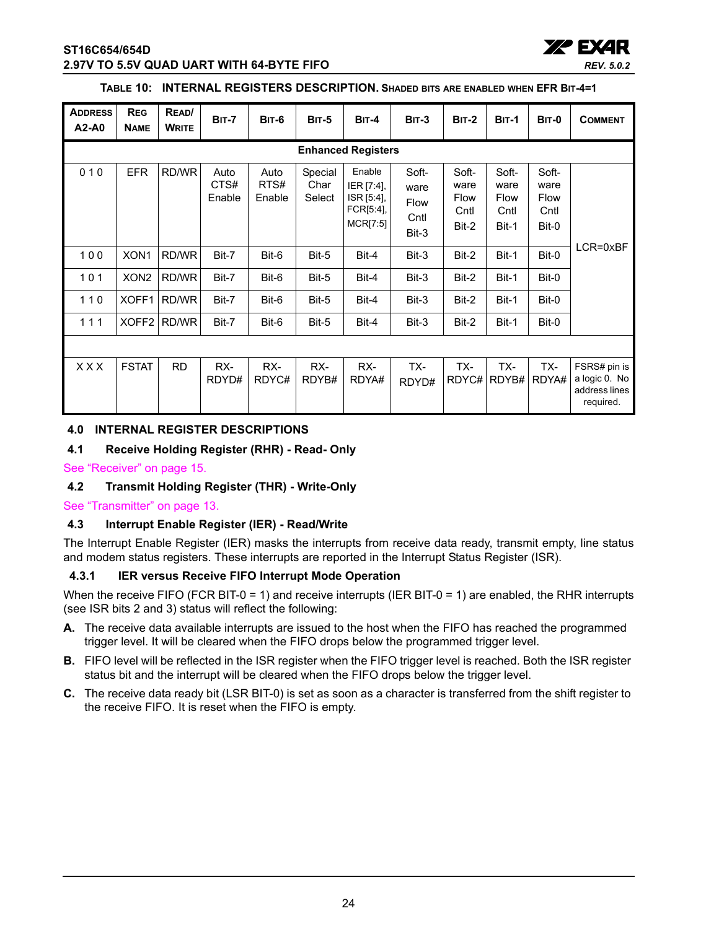

#### **TABLE 10: INTERNAL REGISTERS DESCRIPTION. SHADED BITS ARE ENABLED WHEN EFR BIT-4=1**

| <b>ADDRESS</b><br>A2-A0 | <b>REG</b><br><b>NAME</b> | READ/<br><b>WRITE</b> | <b>BIT-7</b>           | BIT-6                  | <b>BIT-5</b>              | $BIT-4$                                                     | $BIT-3$                                | <b>BIT-2</b>                                  | <b>BIT-1</b>                                  | <b>BIT-0</b>                           | <b>COMMENT</b>                                              |
|-------------------------|---------------------------|-----------------------|------------------------|------------------------|---------------------------|-------------------------------------------------------------|----------------------------------------|-----------------------------------------------|-----------------------------------------------|----------------------------------------|-------------------------------------------------------------|
|                         |                           |                       |                        |                        |                           | <b>Enhanced Registers</b>                                   |                                        |                                               |                                               |                                        |                                                             |
| 010                     | <b>EFR</b>                | RD/WR                 | Auto<br>CTS#<br>Enable | Auto<br>RTS#<br>Enable | Special<br>Char<br>Select | Enable<br>IER [7:4],<br>ISR [5:4],<br>FCR[5:4],<br>MCR[7:5] | Soft-<br>ware<br>Flow<br>Cntl<br>Bit-3 | Soft-<br>ware<br><b>Flow</b><br>Cntl<br>Bit-2 | Soft-<br>ware<br><b>Flow</b><br>Cntl<br>Bit-1 | Soft-<br>ware<br>Flow<br>Cntl<br>Bit-0 |                                                             |
| 100                     | XON <sub>1</sub>          | RD/WR                 | Bit-7                  | Bit-6                  | Bit-5                     | Bit-4                                                       | Bit-3                                  | Bit-2                                         | Bit-1                                         | Bit-0                                  | LCR=0xBF                                                    |
| 101                     | XON <sub>2</sub>          | RD/WR                 | Bit-7                  | Bit-6                  | Bit-5                     | Bit-4                                                       | Bit-3                                  | Bit-2                                         | Bit-1                                         | Bit-0                                  |                                                             |
| 110                     | XOFF1                     | RD/WR                 | Bit-7                  | Bit-6                  | Bit-5                     | Bit-4                                                       | Bit-3                                  | Bit-2                                         | Bit-1                                         | Bit-0                                  |                                                             |
| 111                     | XOFF <sub>2</sub>         | RD/WR                 | Bit-7                  | Bit-6                  | Bit-5                     | Bit-4                                                       | Bit-3                                  | Bit-2                                         | Bit-1                                         | Bit-0                                  |                                                             |
|                         |                           |                       |                        |                        |                           |                                                             |                                        |                                               |                                               |                                        |                                                             |
| XXX                     | <b>FSTAT</b>              | <b>RD</b>             | RX-<br>RDYD#           | RX-<br>RDYC#           | RX-<br>RDYB#              | RX-<br>RDYA#                                                | TX-<br>RDYD#                           | TX-<br>RDYC#                                  | TX-<br>RDYB#                                  | TX-<br>RDYA#                           | FSRS# pin is<br>a logic 0. No<br>address lines<br>required. |

#### <span id="page-23-0"></span>**4.0 INTERNAL REGISTER DESCRIPTIONS**

#### <span id="page-23-1"></span>**4.1 Receive Holding Register (RHR) - Read- Only**

[See "Receiver" on page](#page-14-0) 15.

#### <span id="page-23-2"></span>**4.2 Transmit Holding Register (THR) - Write-Only**

[See "Transmitter" on page](#page-12-2) 13.

#### <span id="page-23-3"></span>**4.3 Interrupt Enable Register (IER) - Read/Write**

The Interrupt Enable Register (IER) masks the interrupts from receive data ready, transmit empty, line status and modem status registers. These interrupts are reported in the Interrupt Status Register (ISR).

#### <span id="page-23-4"></span>**4.3.1 IER versus Receive FIFO Interrupt Mode Operation**

When the receive FIFO (FCR BIT-0 = 1) and receive interrupts (IER BIT-0 = 1) are enabled, the RHR interrupts (see ISR bits 2 and 3) status will reflect the following:

- **A.** The receive data available interrupts are issued to the host when the FIFO has reached the programmed trigger level. It will be cleared when the FIFO drops below the programmed trigger level.
- **B.** FIFO level will be reflected in the ISR register when the FIFO trigger level is reached. Both the ISR register status bit and the interrupt will be cleared when the FIFO drops below the trigger level.
- **C.** The receive data ready bit (LSR BIT-0) is set as soon as a character is transferred from the shift register to the receive FIFO. It is reset when the FIFO is empty.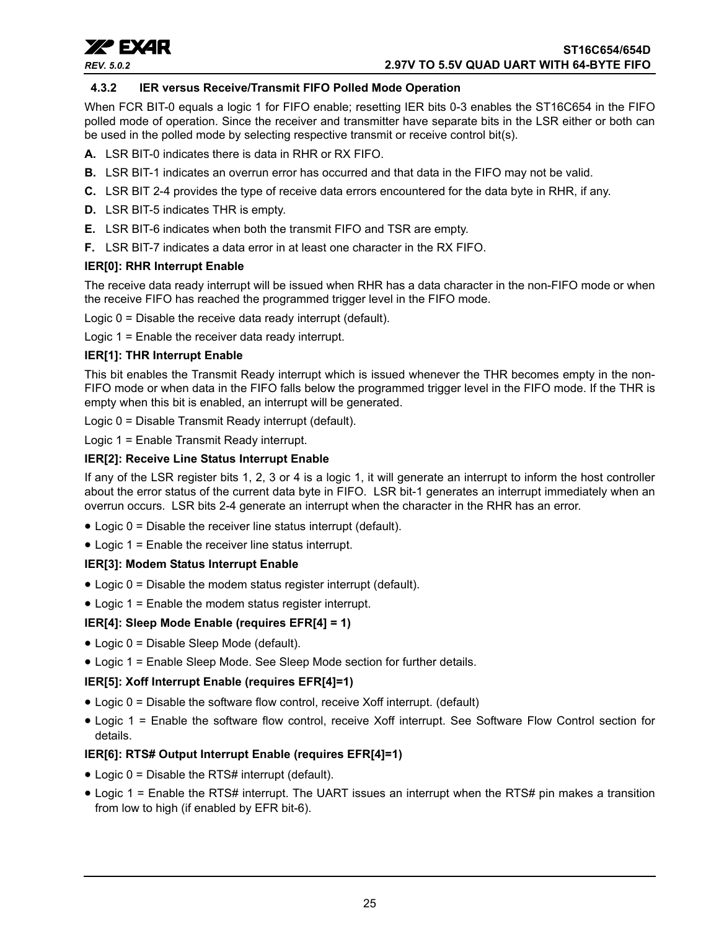

#### <span id="page-24-0"></span>**4.3.2 IER versus Receive/Transmit FIFO Polled Mode Operation**

When FCR BIT-0 equals a logic 1 for FIFO enable; resetting IER bits 0-3 enables the ST16C654 in the FIFO polled mode of operation. Since the receiver and transmitter have separate bits in the LSR either or both can be used in the polled mode by selecting respective transmit or receive control bit(s).

- **A.** LSR BIT-0 indicates there is data in RHR or RX FIFO.
- **B.** LSR BIT-1 indicates an overrun error has occurred and that data in the FIFO may not be valid.
- **C.** LSR BIT 2-4 provides the type of receive data errors encountered for the data byte in RHR, if any.
- **D.** LSR BIT-5 indicates THR is empty.
- **E.** LSR BIT-6 indicates when both the transmit FIFO and TSR are empty.
- **F.** LSR BIT-7 indicates a data error in at least one character in the RX FIFO.

#### **IER[0]: RHR Interrupt Enable**

The receive data ready interrupt will be issued when RHR has a data character in the non-FIFO mode or when the receive FIFO has reached the programmed trigger level in the FIFO mode.

Logic 0 = Disable the receive data ready interrupt (default).

Logic 1 = Enable the receiver data ready interrupt.

#### **IER[1]: THR Interrupt Enable**

This bit enables the Transmit Ready interrupt which is issued whenever the THR becomes empty in the non-FIFO mode or when data in the FIFO falls below the programmed trigger level in the FIFO mode. If the THR is empty when this bit is enabled, an interrupt will be generated.

Logic 0 = Disable Transmit Ready interrupt (default).

Logic 1 = Enable Transmit Ready interrupt.

#### **IER[2]: Receive Line Status Interrupt Enable**

If any of the LSR register bits 1, 2, 3 or 4 is a logic 1, it will generate an interrupt to inform the host controller about the error status of the current data byte in FIFO. LSR bit-1 generates an interrupt immediately when an overrun occurs. LSR bits 2-4 generate an interrupt when the character in the RHR has an error.

- Logic 0 = Disable the receiver line status interrupt (default).
- Logic 1 = Enable the receiver line status interrupt.

#### **IER[3]: Modem Status Interrupt Enable**

- Logic 0 = Disable the modem status register interrupt (default).
- Logic 1 = Enable the modem status register interrupt.

#### **IER[4]: Sleep Mode Enable (requires EFR[4] = 1)**

- Logic 0 = Disable Sleep Mode (default).
- Logic 1 = Enable Sleep Mode. See Sleep Mode section for further details.

#### **IER[5]: Xoff Interrupt Enable (requires EFR[4]=1)**

- Logic 0 = Disable the software flow control, receive Xoff interrupt. (default)
- Logic 1 = Enable the software flow control, receive Xoff interrupt. See Software Flow Control section for details.

#### **IER[6]: RTS# Output Interrupt Enable (requires EFR[4]=1)**

- Logic 0 = Disable the RTS# interrupt (default).
- Logic 1 = Enable the RTS# interrupt. The UART issues an interrupt when the RTS# pin makes a transition from low to high (if enabled by EFR bit-6).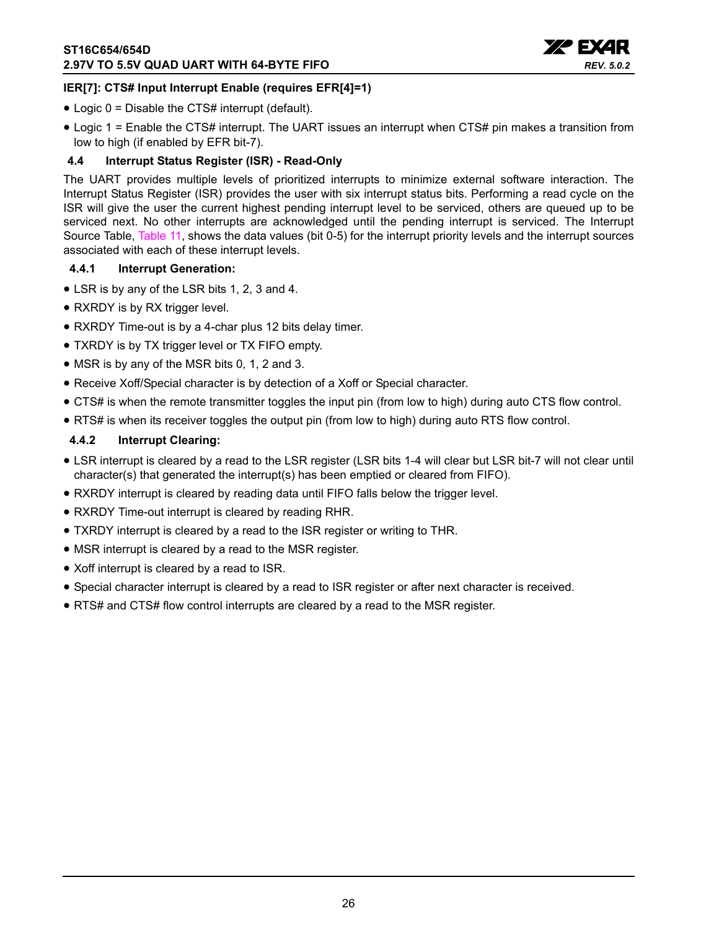

#### **IER[7]: CTS# Input Interrupt Enable (requires EFR[4]=1)**

- Logic 0 = Disable the CTS# interrupt (default).
- Logic 1 = Enable the CTS# interrupt. The UART issues an interrupt when CTS# pin makes a transition from low to high (if enabled by EFR bit-7).

#### <span id="page-25-0"></span>**4.4 Interrupt Status Register (ISR) - Read-Only**

The UART provides multiple levels of prioritized interrupts to minimize external software interaction. The Interrupt Status Register (ISR) provides the user with six interrupt status bits. Performing a read cycle on the ISR will give the user the current highest pending interrupt level to be serviced, others are queued up to be serviced next. No other interrupts are acknowledged until the pending interrupt is serviced. The Interrupt Source Table, [Table](#page-26-0) 11, shows the data values (bit 0-5) for the interrupt priority levels and the interrupt sources associated with each of these interrupt levels.

#### <span id="page-25-1"></span>**4.4.1 Interrupt Generation:**

- LSR is by any of the LSR bits 1, 2, 3 and 4.
- RXRDY is by RX trigger level.
- RXRDY Time-out is by a 4-char plus 12 bits delay timer.
- TXRDY is by TX trigger level or TX FIFO empty.
- MSR is by any of the MSR bits 0, 1, 2 and 3.
- Receive Xoff/Special character is by detection of a Xoff or Special character.
- CTS# is when the remote transmitter toggles the input pin (from low to high) during auto CTS flow control.
- RTS# is when its receiver toggles the output pin (from low to high) during auto RTS flow control.

#### <span id="page-25-2"></span>**4.4.2 Interrupt Clearing:**

- LSR interrupt is cleared by a read to the LSR register (LSR bits 1-4 will clear but LSR bit-7 will not clear until character(s) that generated the interrupt(s) has been emptied or cleared from FIFO).
- RXRDY interrupt is cleared by reading data until FIFO falls below the trigger level.
- RXRDY Time-out interrupt is cleared by reading RHR.
- TXRDY interrupt is cleared by a read to the ISR register or writing to THR.
- MSR interrupt is cleared by a read to the MSR register.
- Xoff interrupt is cleared by a read to ISR.
- Special character interrupt is cleared by a read to ISR register or after next character is received.
- RTS# and CTS# flow control interrupts are cleared by a read to the MSR register.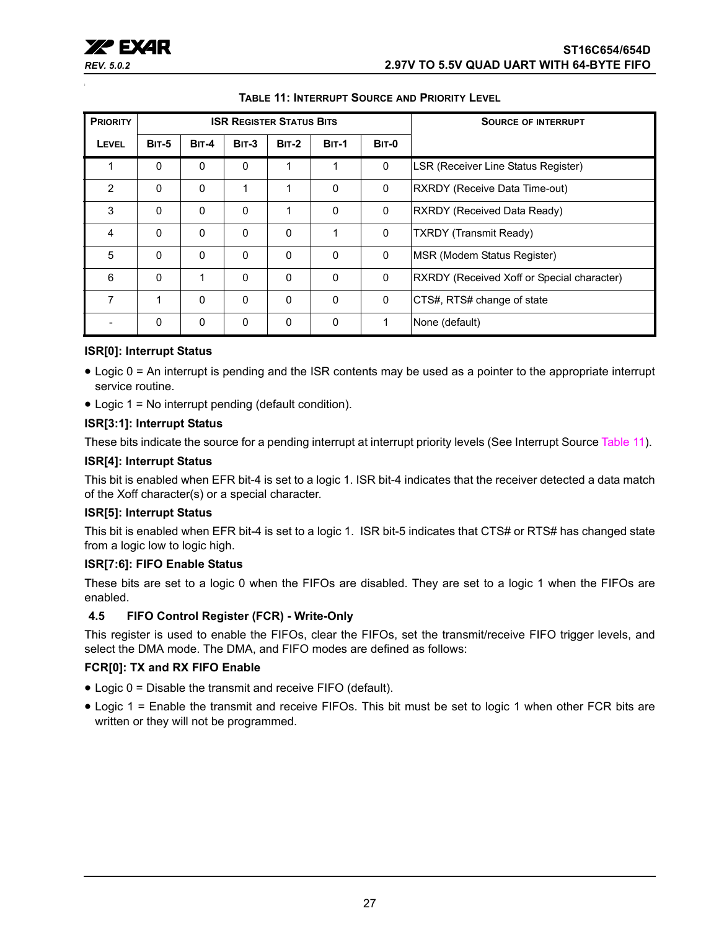

<span id="page-26-0"></span>

| <b>PRIORITY</b> |              |              | <b>ISR REGISTER STATUS BITS</b> |              |              | <b>SOURCE OF INTERRUPT</b> |                                            |
|-----------------|--------------|--------------|---------------------------------|--------------|--------------|----------------------------|--------------------------------------------|
| <b>LEVEL</b>    | <b>BIT-5</b> | $BIT-4$      | $BIT-3$                         | $BIT-2$      | <b>BIT-1</b> | BIT-0                      |                                            |
|                 | $\mathbf{0}$ | $\mathbf{0}$ | $\mathbf{0}$                    | 1            | 1            | 0                          | LSR (Receiver Line Status Register)        |
| $\overline{2}$  | $\mathbf{0}$ | $\Omega$     | 1                               | 1            | $\Omega$     | 0                          | RXRDY (Receive Data Time-out)              |
| 3               | $\mathbf{0}$ | $\mathbf{0}$ | $\mathbf{0}$                    | 1            | $\Omega$     | $\mathbf 0$                | <b>RXRDY (Received Data Ready)</b>         |
| 4               | $\Omega$     | $\Omega$     | $\mathbf{0}$                    | $\Omega$     | 1            | $\mathbf 0$                | <b>TXRDY</b> (Transmit Ready)              |
| 5               | $\mathbf{0}$ | $\Omega$     | $\mathbf{0}$                    | $\mathbf{0}$ | $\Omega$     | 0                          | MSR (Modem Status Register)                |
| 6               | $\mathbf{0}$ | 1            | $\mathbf{0}$                    | $\Omega$     | $\Omega$     | $\mathbf 0$                | RXRDY (Received Xoff or Special character) |
| 7               | 1            | $\Omega$     | $\Omega$                        | $\Omega$     | $\Omega$     | $\mathbf{0}$               | CTS#, RTS# change of state                 |
|                 | 0            | $\mathbf 0$  | 0                               | 0            | $\Omega$     | 1                          | None (default)                             |

#### **TABLE 11: INTERRUPT SOURCE AND PRIORITY LEVEL**

#### **ISR[0]: Interrupt Status**

- Logic 0 = An interrupt is pending and the ISR contents may be used as a pointer to the appropriate interrupt service routine.
- Logic 1 = No interrupt pending (default condition).

#### **ISR[3:1]: Interrupt Status**

These bits indicate the source for a pending interrupt at interrupt priority levels (See Interrupt Source [Table](#page-26-0) 11).

#### **ISR[4]: Interrupt Status**

This bit is enabled when EFR bit-4 is set to a logic 1. ISR bit-4 indicates that the receiver detected a data match of the Xoff character(s) or a special character.

#### **ISR[5]: Interrupt Status**

This bit is enabled when EFR bit-4 is set to a logic 1. ISR bit-5 indicates that CTS# or RTS# has changed state from a logic low to logic high.

#### **ISR[7:6]: FIFO Enable Status**

These bits are set to a logic 0 when the FIFOs are disabled. They are set to a logic 1 when the FIFOs are enabled.

#### <span id="page-26-1"></span>**4.5 FIFO Control Register (FCR) - Write-Only**

This register is used to enable the FIFOs, clear the FIFOs, set the transmit/receive FIFO trigger levels, and select the DMA mode. The DMA, and FIFO modes are defined as follows:

#### **FCR[0]: TX and RX FIFO Enable**

- Logic 0 = Disable the transmit and receive FIFO (default).
- Logic 1 = Enable the transmit and receive FIFOs. This bit must be set to logic 1 when other FCR bits are written or they will not be programmed.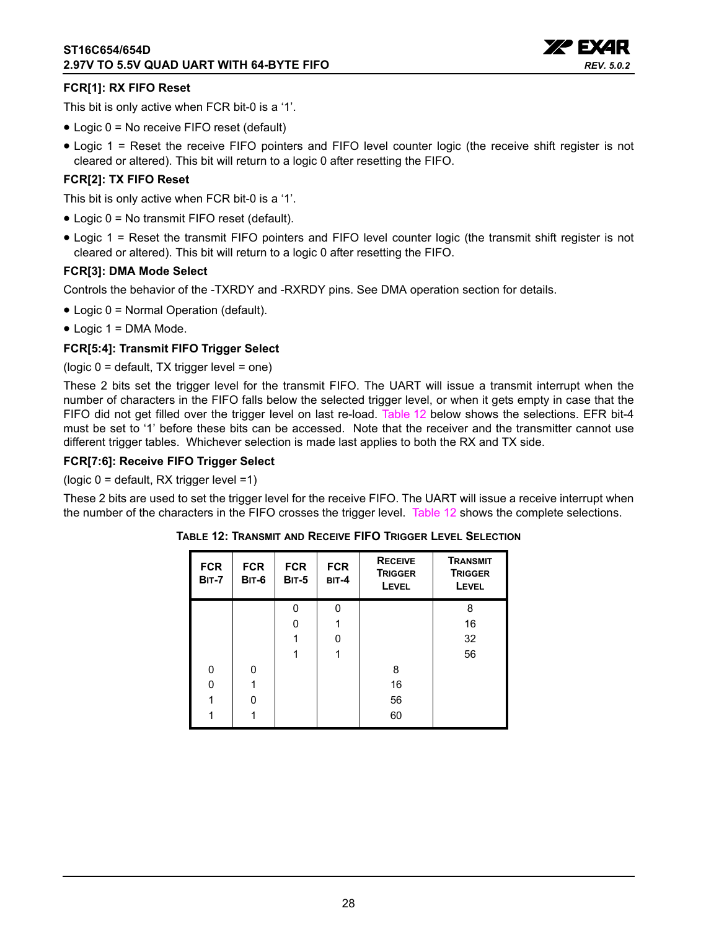

#### **FCR[1]: RX FIFO Reset**

This bit is only active when FCR bit-0 is a '1'.

- Logic 0 = No receive FIFO reset (default)
- Logic 1 = Reset the receive FIFO pointers and FIFO level counter logic (the receive shift register is not cleared or altered). This bit will return to a logic 0 after resetting the FIFO.

#### **FCR[2]: TX FIFO Reset**

This bit is only active when FCR bit-0 is a '1'.

- Logic 0 = No transmit FIFO reset (default).
- Logic 1 = Reset the transmit FIFO pointers and FIFO level counter logic (the transmit shift register is not cleared or altered). This bit will return to a logic 0 after resetting the FIFO.

#### **FCR[3]: DMA Mode Select**

Controls the behavior of the -TXRDY and -RXRDY pins. See DMA operation section for details.

- Logic 0 = Normal Operation (default).
- Logic 1 = DMA Mode.

#### **FCR[5:4]: Transmit FIFO Trigger Select**

(logic 0 = default, TX trigger level = one)

These 2 bits set the trigger level for the transmit FIFO. The UART will issue a transmit interrupt when the number of characters in the FIFO falls below the selected trigger level, or when it gets empty in case that the FIFO did not get filled over the trigger level on last re-load. [Table](#page-27-0) 12 below shows the selections. EFR bit-4 must be set to '1' before these bits can be accessed. Note that the receiver and the transmitter cannot use different trigger tables. Whichever selection is made last applies to both the RX and TX side.

#### **FCR[7:6]: Receive FIFO Trigger Select**

(logic 0 = default, RX trigger level =1)

<span id="page-27-0"></span>These 2 bits are used to set the trigger level for the receive FIFO. The UART will issue a receive interrupt when the number of the characters in the FIFO crosses the trigger level. [Table](#page-27-0) 12 shows the complete selections.

| <b>FCR</b><br><b>BIT-7</b> | <b>FCR</b><br><b>BIT-6</b> | <b>FCR</b><br><b>BIT-5</b> | <b>FCR</b><br>BIT-4 | <b>RECEIVE</b><br><b>TRIGGER</b><br><b>LEVEL</b> | <b>TRANSMIT</b><br><b>TRIGGER</b><br><b>LEVEL</b> |
|----------------------------|----------------------------|----------------------------|---------------------|--------------------------------------------------|---------------------------------------------------|
|                            |                            | O                          | O                   |                                                  | 8                                                 |
|                            |                            | n                          | 1                   |                                                  | 16                                                |
|                            |                            |                            | O                   |                                                  | 32                                                |
|                            |                            |                            | 1                   |                                                  | 56                                                |
| 0                          | 0                          |                            |                     | 8                                                |                                                   |
| 0                          |                            |                            |                     | 16                                               |                                                   |
|                            | ŋ                          |                            |                     | 56                                               |                                                   |
|                            |                            |                            |                     | 60                                               |                                                   |

#### **TABLE 12: TRANSMIT AND RECEIVE FIFO TRIGGER LEVEL SELECTION**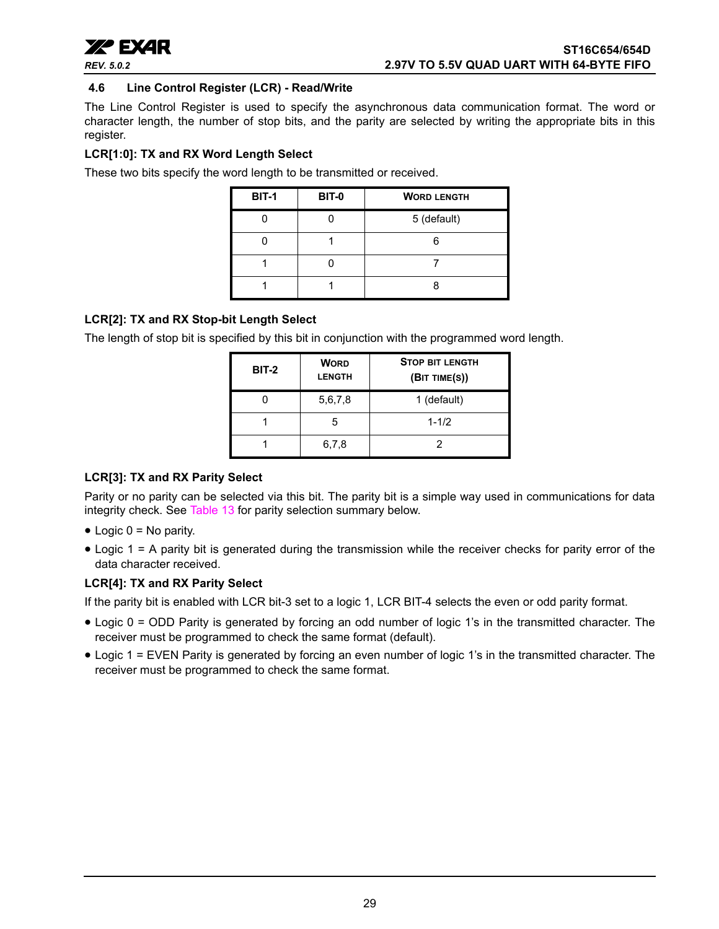

#### <span id="page-28-0"></span>**4.6 Line Control Register (LCR) - Read/Write**

The Line Control Register is used to specify the asynchronous data communication format. The word or character length, the number of stop bits, and the parity are selected by writing the appropriate bits in this register.

#### **LCR[1:0]: TX and RX Word Length Select**

These two bits specify the word length to be transmitted or received.

| <b>BIT-1</b> | <b>BIT-0</b> | <b>WORD LENGTH</b> |
|--------------|--------------|--------------------|
|              |              | 5 (default)        |
|              |              |                    |
|              |              |                    |
|              |              |                    |

#### **LCR[2]: TX and RX Stop-bit Length Select**

The length of stop bit is specified by this bit in conjunction with the programmed word length.

| <b>BIT-2</b> | <b>WORD</b><br><b>LENGTH</b> | <b>STOP BIT LENGTH</b><br>(BIT TIME(S)) |
|--------------|------------------------------|-----------------------------------------|
|              | 5,6,7,8                      | 1 (default)                             |
|              | 5                            | $1 - 1/2$                               |
|              | 6,7,8                        |                                         |

#### **LCR[3]: TX and RX Parity Select**

Parity or no parity can be selected via this bit. The parity bit is a simple way used in communications for data integrity check. See [Table](#page-29-0) 13 for parity selection summary below.

- $\bullet$  Logic 0 = No parity.
- Logic 1 = A parity bit is generated during the transmission while the receiver checks for parity error of the data character received.

#### **LCR[4]: TX and RX Parity Select**

If the parity bit is enabled with LCR bit-3 set to a logic 1, LCR BIT-4 selects the even or odd parity format.

- Logic 0 = ODD Parity is generated by forcing an odd number of logic 1's in the transmitted character. The receiver must be programmed to check the same format (default).
- Logic 1 = EVEN Parity is generated by forcing an even number of logic 1's in the transmitted character. The receiver must be programmed to check the same format.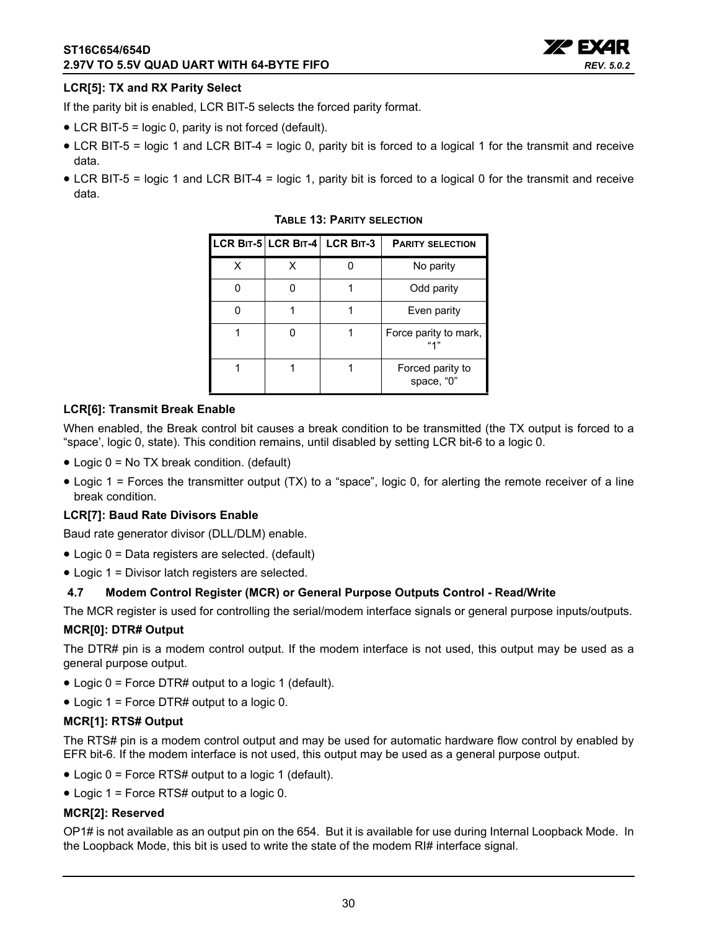

#### **LCR[5]: TX and RX Parity Select**

If the parity bit is enabled, LCR BIT-5 selects the forced parity format.

- LCR BIT-5 = logic 0, parity is not forced (default).
- LCR BIT-5 = logic 1 and LCR BIT-4 = logic 0, parity bit is forced to a logical 1 for the transmit and receive data.
- <span id="page-29-0"></span>• LCR BIT-5 = logic 1 and LCR BIT-4 = logic 1, parity bit is forced to a logical 0 for the transmit and receive data.

|   | LCR BIT-5 LCR BIT-4 LCR BIT-3 | <b>PARITY SELECTION</b>        |
|---|-------------------------------|--------------------------------|
| x |                               | No parity                      |
|   |                               | Odd parity                     |
|   |                               | Even parity                    |
|   |                               | Force parity to mark,          |
|   |                               | Forced parity to<br>space, "0" |

#### **TABLE 13: PARITY SELECTION**

#### **LCR[6]: Transmit Break Enable**

When enabled, the Break control bit causes a break condition to be transmitted (the TX output is forced to a "space', logic 0, state). This condition remains, until disabled by setting LCR bit-6 to a logic 0.

- Logic 0 = No TX break condition. (default)
- Logic 1 = Forces the transmitter output (TX) to a "space", logic 0, for alerting the remote receiver of a line break condition.

#### **LCR[7]: Baud Rate Divisors Enable**

Baud rate generator divisor (DLL/DLM) enable.

- Logic 0 = Data registers are selected. (default)
- Logic 1 = Divisor latch registers are selected.

#### <span id="page-29-1"></span>**4.7 Modem Control Register (MCR) or General Purpose Outputs Control - Read/Write**

The MCR register is used for controlling the serial/modem interface signals or general purpose inputs/outputs.

#### **MCR[0]: DTR# Output**

The DTR# pin is a modem control output. If the modem interface is not used, this output may be used as a general purpose output.

- Logic 0 = Force DTR# output to a logic 1 (default).
- Logic 1 = Force DTR# output to a logic 0.

#### **MCR[1]: RTS# Output**

The RTS# pin is a modem control output and may be used for automatic hardware flow control by enabled by EFR bit-6. If the modem interface is not used, this output may be used as a general purpose output.

- Logic 0 = Force RTS# output to a logic 1 (default).
- Logic 1 = Force RTS# output to a logic 0.

#### **MCR[2]: Reserved**

OP1# is not available as an output pin on the 654. But it is available for use during Internal Loopback Mode. In the Loopback Mode, this bit is used to write the state of the modem RI# interface signal.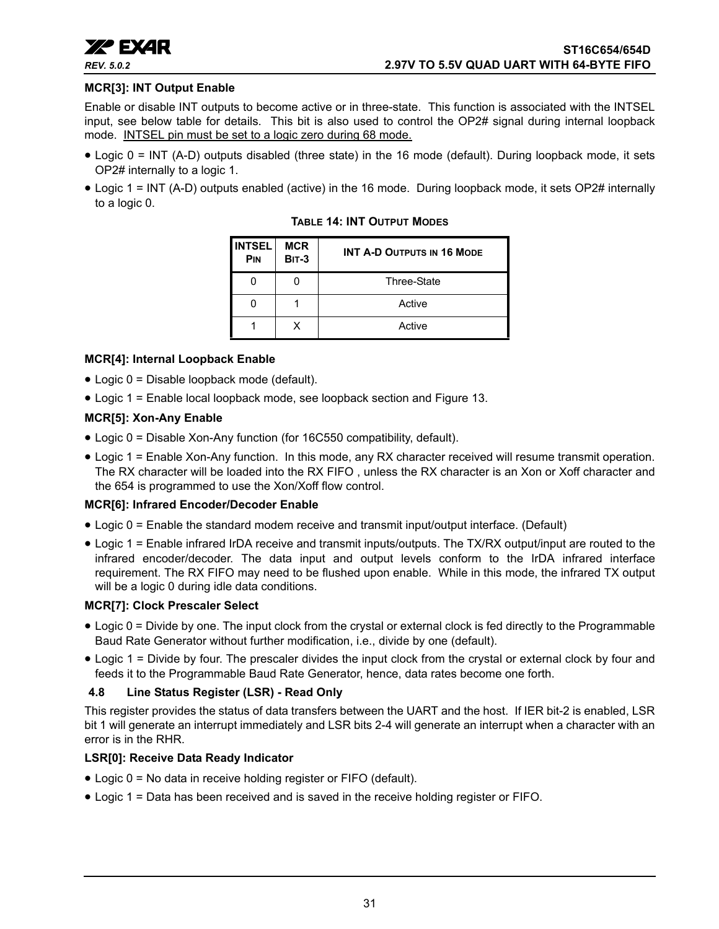

#### **MCR[3]: INT Output Enable**

Enable or disable INT outputs to become active or in three-state. This function is associated with the INTSEL input, see below table for details. This bit is also used to control the OP2# signal during internal loopback mode. INTSEL pin must be set to a logic zero during 68 mode.

- Logic 0 = INT (A-D) outputs disabled (three state) in the 16 mode (default). During loopback mode, it sets OP2# internally to a logic 1.
- <span id="page-30-0"></span>• Logic 1 = INT (A-D) outputs enabled (active) in the 16 mode. During loopback mode, it sets OP2# internally to a logic 0.

| <b>INTSEL</b><br>PIN | <b>MCR</b><br><b>BIT-3</b> | <b>INT A-D OUTPUTS IN 16 MODE</b> |
|----------------------|----------------------------|-----------------------------------|
|                      |                            | <b>Three-State</b>                |
|                      |                            | Active                            |
|                      | x                          | Active                            |

**TABLE 14: INT OUTPUT MODES**

#### **MCR[4]: Internal Loopback Enable**

- Logic 0 = Disable loopback mode (default).
- Logic 1 = Enable local loopback mode, see loopback section and [Figure](#page-20-0) 13.

#### **MCR[5]: Xon-Any Enable**

- Logic 0 = Disable Xon-Any function (for 16C550 compatibility, default).
- Logic 1 = Enable Xon-Any function. In this mode, any RX character received will resume transmit operation. The RX character will be loaded into the RX FIFO , unless the RX character is an Xon or Xoff character and the 654 is programmed to use the Xon/Xoff flow control.

#### **MCR[6]: Infrared Encoder/Decoder Enable**

- Logic 0 = Enable the standard modem receive and transmit input/output interface. (Default)
- Logic 1 = Enable infrared IrDA receive and transmit inputs/outputs. The TX/RX output/input are routed to the infrared encoder/decoder. The data input and output levels conform to the IrDA infrared interface requirement. The RX FIFO may need to be flushed upon enable. While in this mode, the infrared TX output will be a logic 0 during idle data conditions.

#### **MCR[7]: Clock Prescaler Select**

- Logic 0 = Divide by one. The input clock from the crystal or external clock is fed directly to the Programmable Baud Rate Generator without further modification, i.e., divide by one (default).
- Logic 1 = Divide by four. The prescaler divides the input clock from the crystal or external clock by four and feeds it to the Programmable Baud Rate Generator, hence, data rates become one forth.

#### <span id="page-30-1"></span>**4.8 Line Status Register (LSR) - Read Only**

This register provides the status of data transfers between the UART and the host. If IER bit-2 is enabled, LSR bit 1 will generate an interrupt immediately and LSR bits 2-4 will generate an interrupt when a character with an error is in the RHR.

#### **LSR[0]: Receive Data Ready Indicator**

- Logic 0 = No data in receive holding register or FIFO (default).
- Logic 1 = Data has been received and is saved in the receive holding register or FIFO.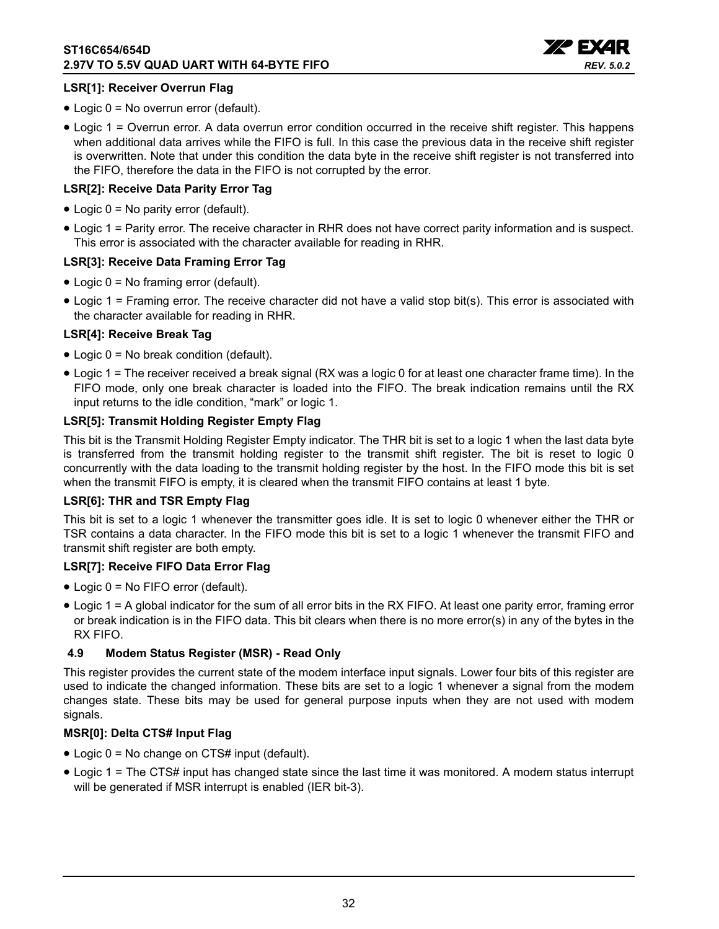

#### **LSR[1]: Receiver Overrun Flag**

- Logic 0 = No overrun error (default).
- Logic 1 = Overrun error. A data overrun error condition occurred in the receive shift register. This happens when additional data arrives while the FIFO is full. In this case the previous data in the receive shift register is overwritten. Note that under this condition the data byte in the receive shift register is not transferred into the FIFO, therefore the data in the FIFO is not corrupted by the error.

#### **LSR[2]: Receive Data Parity Error Tag**

- Logic 0 = No parity error (default).
- Logic 1 = Parity error. The receive character in RHR does not have correct parity information and is suspect. This error is associated with the character available for reading in RHR.

#### **LSR[3]: Receive Data Framing Error Tag**

- Logic 0 = No framing error (default).
- Logic 1 = Framing error. The receive character did not have a valid stop bit(s). This error is associated with the character available for reading in RHR.

#### **LSR[4]: Receive Break Tag**

- Logic 0 = No break condition (default).
- Logic 1 = The receiver received a break signal (RX was a logic 0 for at least one character frame time). In the FIFO mode, only one break character is loaded into the FIFO. The break indication remains until the RX input returns to the idle condition, "mark" or logic 1.

#### **LSR[5]: Transmit Holding Register Empty Flag**

This bit is the Transmit Holding Register Empty indicator. The THR bit is set to a logic 1 when the last data byte is transferred from the transmit holding register to the transmit shift register. The bit is reset to logic 0 concurrently with the data loading to the transmit holding register by the host. In the FIFO mode this bit is set when the transmit FIFO is empty, it is cleared when the transmit FIFO contains at least 1 byte.

#### **LSR[6]: THR and TSR Empty Flag**

This bit is set to a logic 1 whenever the transmitter goes idle. It is set to logic 0 whenever either the THR or TSR contains a data character. In the FIFO mode this bit is set to a logic 1 whenever the transmit FIFO and transmit shift register are both empty.

#### **LSR[7]: Receive FIFO Data Error Flag**

- Logic 0 = No FIFO error (default).
- Logic 1 = A global indicator for the sum of all error bits in the RX FIFO. At least one parity error, framing error or break indication is in the FIFO data. This bit clears when there is no more error(s) in any of the bytes in the RX FIFO.

#### <span id="page-31-0"></span>**4.9 Modem Status Register (MSR) - Read Only**

This register provides the current state of the modem interface input signals. Lower four bits of this register are used to indicate the changed information. These bits are set to a logic 1 whenever a signal from the modem changes state. These bits may be used for general purpose inputs when they are not used with modem signals.

#### **MSR[0]: Delta CTS# Input Flag**

- Logic 0 = No change on CTS# input (default).
- Logic 1 = The CTS# input has changed state since the last time it was monitored. A modem status interrupt will be generated if MSR interrupt is enabled (IER bit-3).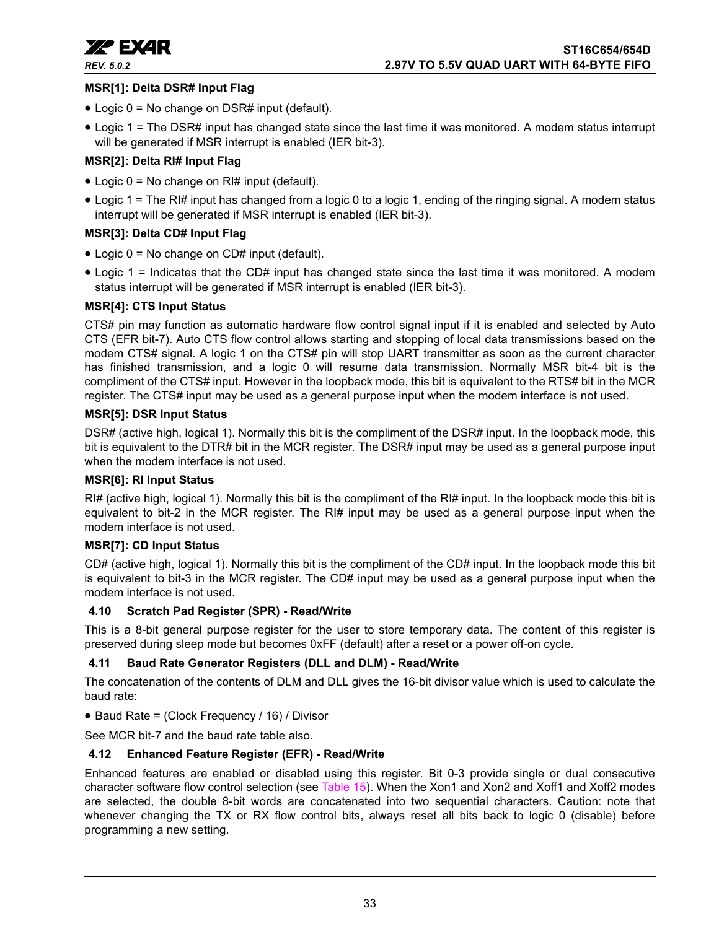

#### **MSR[1]: Delta DSR# Input Flag**

- Logic 0 = No change on DSR# input (default).
- Logic 1 = The DSR# input has changed state since the last time it was monitored. A modem status interrupt will be generated if MSR interrupt is enabled (IER bit-3).

#### **MSR[2]: Delta RI# Input Flag**

- Logic  $0 = No$  change on RI# input (default).
- Logic 1 = The RI# input has changed from a logic 0 to a logic 1, ending of the ringing signal. A modem status interrupt will be generated if MSR interrupt is enabled (IER bit-3).

#### **MSR[3]: Delta CD# Input Flag**

- Logic 0 = No change on CD# input (default).
- Logic 1 = Indicates that the CD# input has changed state since the last time it was monitored. A modem status interrupt will be generated if MSR interrupt is enabled (IER bit-3).

#### **MSR[4]: CTS Input Status**

CTS# pin may function as automatic hardware flow control signal input if it is enabled and selected by Auto CTS (EFR bit-7). Auto CTS flow control allows starting and stopping of local data transmissions based on the modem CTS# signal. A logic 1 on the CTS# pin will stop UART transmitter as soon as the current character has finished transmission, and a logic 0 will resume data transmission. Normally MSR bit-4 bit is the compliment of the CTS# input. However in the loopback mode, this bit is equivalent to the RTS# bit in the MCR register. The CTS# input may be used as a general purpose input when the modem interface is not used.

#### **MSR[5]: DSR Input Status**

DSR# (active high, logical 1). Normally this bit is the compliment of the DSR# input. In the loopback mode, this bit is equivalent to the DTR# bit in the MCR register. The DSR# input may be used as a general purpose input when the modem interface is not used.

#### **MSR[6]: RI Input Status**

RI# (active high, logical 1). Normally this bit is the compliment of the RI# input. In the loopback mode this bit is equivalent to bit-2 in the MCR register. The RI# input may be used as a general purpose input when the modem interface is not used.

#### **MSR[7]: CD Input Status**

CD# (active high, logical 1). Normally this bit is the compliment of the CD# input. In the loopback mode this bit is equivalent to bit-3 in the MCR register. The CD# input may be used as a general purpose input when the modem interface is not used.

#### <span id="page-32-0"></span>**4.10 Scratch Pad Register (SPR) - Read/Write**

This is a 8-bit general purpose register for the user to store temporary data. The content of this register is preserved during sleep mode but becomes 0xFF (default) after a reset or a power off-on cycle.

#### <span id="page-32-1"></span>**4.11 Baud Rate Generator Registers (DLL and DLM) - Read/Write**

The concatenation of the contents of DLM and DLL gives the 16-bit divisor value which is used to calculate the baud rate:

#### • Baud Rate = (Clock Frequency / 16) / Divisor

See MCR bit-7 and the baud rate table also.

#### <span id="page-32-2"></span>**4.12 Enhanced Feature Register (EFR) - Read/Write**

Enhanced features are enabled or disabled using this register. Bit 0-3 provide single or dual consecutive character software flow control selection (see [Table](#page-33-0) 15). When the Xon1 and Xon2 and Xoff1 and Xoff2 modes are selected, the double 8-bit words are concatenated into two sequential characters. Caution: note that whenever changing the TX or RX flow control bits, always reset all bits back to logic 0 (disable) before programming a new setting.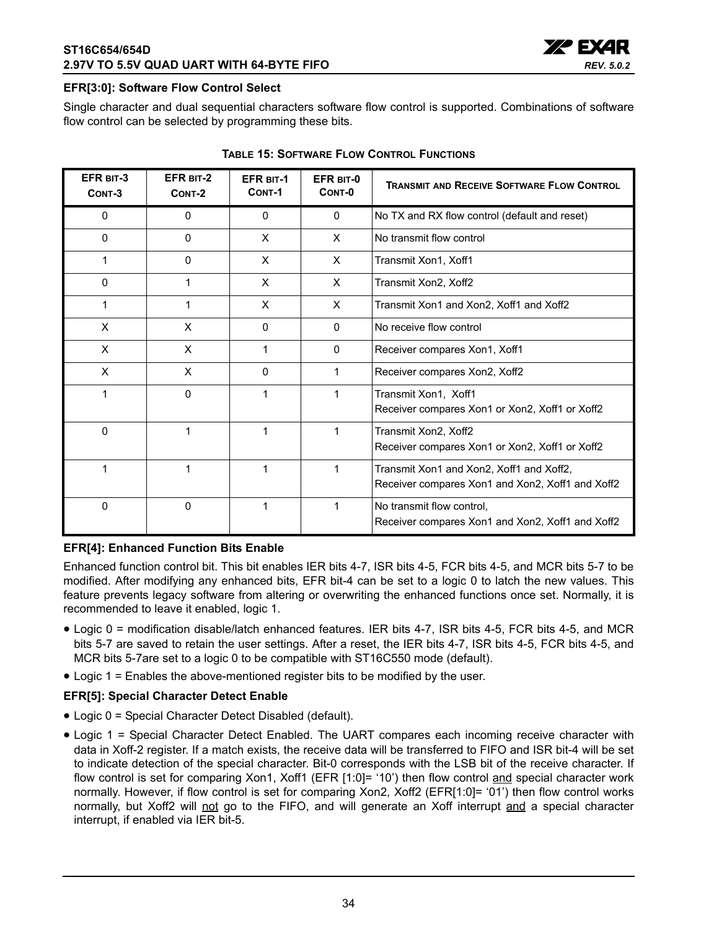

#### **EFR[3:0]: Software Flow Control Select**

Single character and dual sequential characters software flow control is supported. Combinations of software flow control can be selected by programming these bits.

<span id="page-33-0"></span>

| EFR BIT-3<br>CONT-3 | EFR BIT-2<br>CONT-2 | <b>EFR BIT-1</b><br>CONT-1 | EFR BIT-0<br>CONT-0 | <b>TRANSMIT AND RECEIVE SOFTWARE FLOW CONTROL</b>                                            |
|---------------------|---------------------|----------------------------|---------------------|----------------------------------------------------------------------------------------------|
| 0                   | 0                   | 0                          | $\mathbf{0}$        | No TX and RX flow control (default and reset)                                                |
| $\Omega$            | $\Omega$            | X                          | X                   | No transmit flow control                                                                     |
| 1                   | $\Omega$            | X                          | X                   | Transmit Xon1, Xoff1                                                                         |
| 0                   | 1                   | X                          | X                   | Transmit Xon2, Xoff2                                                                         |
|                     | 1                   | X                          | X                   | Transmit Xon1 and Xon2, Xoff1 and Xoff2                                                      |
| X                   | X                   | $\mathbf{0}$               | $\mathbf{0}$        | No receive flow control                                                                      |
| X                   | X                   | 1                          | $\mathbf{0}$        | Receiver compares Xon1, Xoff1                                                                |
| X                   | X                   | 0                          |                     | Receiver compares Xon2, Xoff2                                                                |
|                     | 0                   | 1                          |                     | Transmit Xon1, Xoff1<br>Receiver compares Xon1 or Xon2, Xoff1 or Xoff2                       |
| $\Omega$            | 1                   | 1                          |                     | Transmit Xon2, Xoff2<br>Receiver compares Xon1 or Xon2, Xoff1 or Xoff2                       |
|                     | 1                   | 1                          | 1                   | Transmit Xon1 and Xon2, Xoff1 and Xoff2,<br>Receiver compares Xon1 and Xon2, Xoff1 and Xoff2 |
| $\Omega$            | $\mathbf{0}$        | 1                          | 1                   | No transmit flow control,<br>Receiver compares Xon1 and Xon2, Xoff1 and Xoff2                |

#### **TABLE 15: SOFTWARE FLOW CONTROL FUNCTIONS**

#### **EFR[4]: Enhanced Function Bits Enable**

Enhanced function control bit. This bit enables IER bits 4-7, ISR bits 4-5, FCR bits 4-5, and MCR bits 5-7 to be modified. After modifying any enhanced bits, EFR bit-4 can be set to a logic 0 to latch the new values. This feature prevents legacy software from altering or overwriting the enhanced functions once set. Normally, it is recommended to leave it enabled, logic 1.

- Logic 0 = modification disable/latch enhanced features. IER bits 4-7, ISR bits 4-5, FCR bits 4-5, and MCR bits 5-7 are saved to retain the user settings. After a reset, the IER bits 4-7, ISR bits 4-5, FCR bits 4-5, and MCR bits 5-7are set to a logic 0 to be compatible with ST16C550 mode (default).
- Logic 1 = Enables the above-mentioned register bits to be modified by the user.

#### **EFR[5]: Special Character Detect Enable**

- Logic 0 = Special Character Detect Disabled (default).
- Logic 1 = Special Character Detect Enabled. The UART compares each incoming receive character with data in Xoff-2 register. If a match exists, the receive data will be transferred to FIFO and ISR bit-4 will be set to indicate detection of the special character. Bit-0 corresponds with the LSB bit of the receive character. If flow control is set for comparing Xon1, Xoff1 (EFR [1:0]= '10') then flow control and special character work normally. However, if flow control is set for comparing Xon2, Xoff2 (EFR[1:0]= '01') then flow control works normally, but Xoff2 will not go to the FIFO, and will generate an Xoff interrupt and a special character interrupt, if enabled via IER bit-5.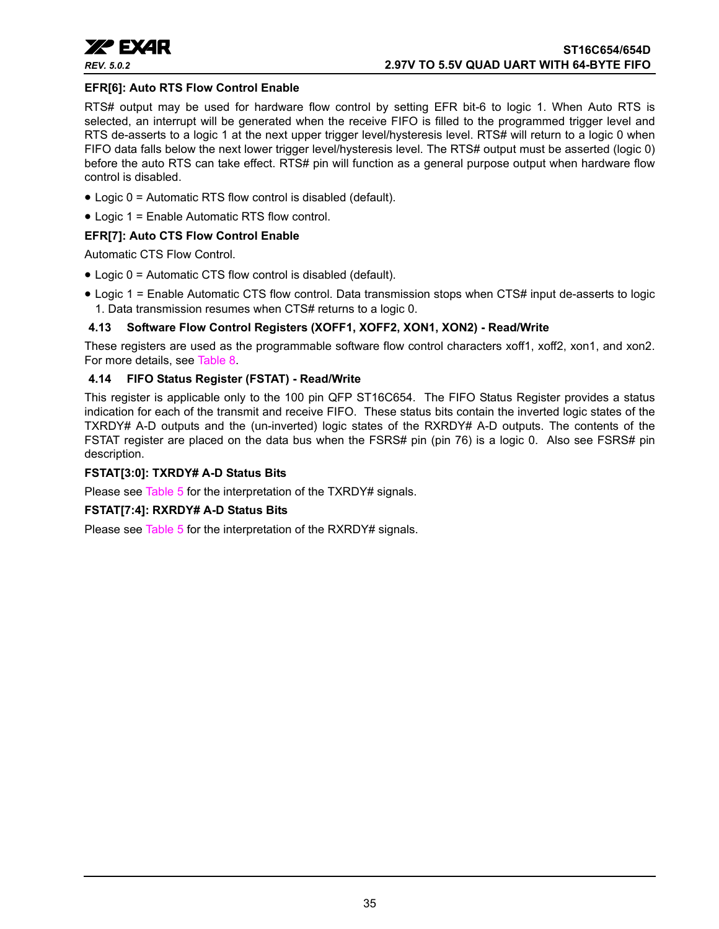

#### **EFR[6]: Auto RTS Flow Control Enable**

RTS# output may be used for hardware flow control by setting EFR bit-6 to logic 1. When Auto RTS is selected, an interrupt will be generated when the receive FIFO is filled to the programmed trigger level and RTS de-asserts to a logic 1 at the next upper trigger level/hysteresis level. RTS# will return to a logic 0 when FIFO data falls below the next lower trigger level/hysteresis level. The RTS# output must be asserted (logic 0) before the auto RTS can take effect. RTS# pin will function as a general purpose output when hardware flow control is disabled.

- Logic 0 = Automatic RTS flow control is disabled (default).
- Logic 1 = Enable Automatic RTS flow control.

### **EFR[7]: Auto CTS Flow Control Enable**

Automatic CTS Flow Control.

- Logic 0 = Automatic CTS flow control is disabled (default).
- Logic 1 = Enable Automatic CTS flow control. Data transmission stops when CTS# input de-asserts to logic 1. Data transmission resumes when CTS# returns to a logic 0.

#### <span id="page-34-0"></span>**4.13 Software Flow Control Registers (XOFF1, XOFF2, XON1, XON2) - Read/Write**

These registers are used as the programmable software flow control characters xoff1, xoff2, xon1, and xon2. For more details, see [Table](#page-17-0) 8.

#### <span id="page-34-1"></span>**4.14 FIFO Status Register (FSTAT) - Read/Write**

This register is applicable only to the 100 pin QFP ST16C654. The FIFO Status Register provides a status indication for each of the transmit and receive FIFO. These status bits contain the inverted logic states of the TXRDY# A-D outputs and the (un-inverted) logic states of the RXRDY# A-D outputs. The contents of the FSTAT register are placed on the data bus when the FSRS# pin (pin 76) is a logic 0. Also see FSRS# pin description.

#### **FSTAT[3:0]: TXRDY# A-D Status Bits**

Please see [Table](#page-11-0) 5 for the interpretation of the TXRDY# signals.

#### **FSTAT[7:4]: RXRDY# A-D Status Bits**

Please see [Table](#page-11-0) 5 for the interpretation of the RXRDY# signals.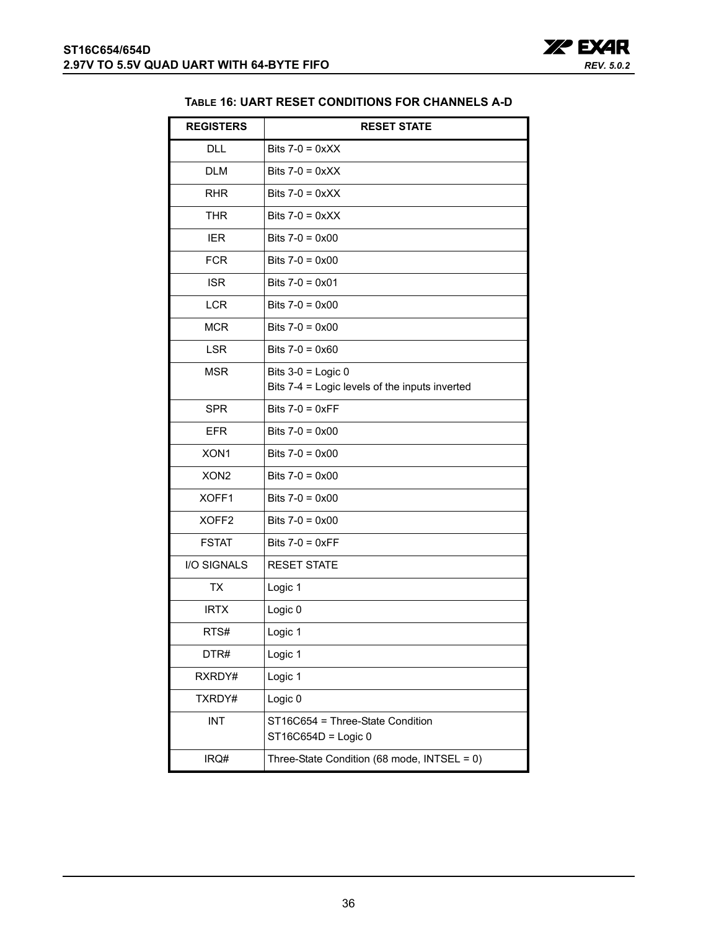

#### **TABLE 16: UART RESET CONDITIONS FOR CHANNELS A-D**

<span id="page-35-0"></span>

| <b>REGISTERS</b>  | <b>RESET STATE</b>                                      |
|-------------------|---------------------------------------------------------|
| DLL               | Bits $7-0 = 0xXX$                                       |
| <b>DLM</b>        | Bits $7-0 = 0 \times X$                                 |
| <b>RHR</b>        | Bits $7-0 = 0 \times XX$                                |
| <b>THR</b>        | Bits $7-0 = 0 \times X$                                 |
| <b>IER</b>        | Bits $7-0 = 0 \times 00$                                |
| <b>FCR</b>        | Bits $7-0 = 0 \times 00$                                |
| <b>ISR</b>        | Bits $7-0 = 0 \times 01$                                |
| <b>LCR</b>        | Bits $7-0 = 0 \times 00$                                |
| <b>MCR</b>        | Bits $7-0 = 0 \times 00$                                |
| <b>LSR</b>        | Bits $7-0 = 0 \times 60$                                |
| <b>MSR</b>        | Bits $3-0$ = Logic 0                                    |
|                   | Bits 7-4 = Logic levels of the inputs inverted          |
| <b>SPR</b>        | Bits $7-0 = 0 \times FF$                                |
| <b>EFR</b>        | Bits $7-0 = 0 \times 00$                                |
| XON1              | Bits $7-0 = 0 \times 00$                                |
| XON <sub>2</sub>  | Bits $7-0 = 0 \times 00$                                |
| XOFF1             | Bits $7-0 = 0 \times 00$                                |
| XOFF <sub>2</sub> | Bits $7-0 = 0 \times 00$                                |
| <b>FSTAT</b>      | Bits $7-0 = 0 \times FF$                                |
| I/O SIGNALS       | <b>RESET STATE</b>                                      |
| <b>TX</b>         | Logic 1                                                 |
| <b>IRTX</b>       | Logic 0                                                 |
| RTS#              | Logic 1                                                 |
| DTR#              | Logic 1                                                 |
| RXRDY#            | Logic 1                                                 |
| TXRDY#            | Logic 0                                                 |
| <b>INT</b>        | ST16C654 = Three-State Condition<br>ST16C654D = Logic 0 |
| IRQ#              | Three-State Condition (68 mode, INTSEL = 0)             |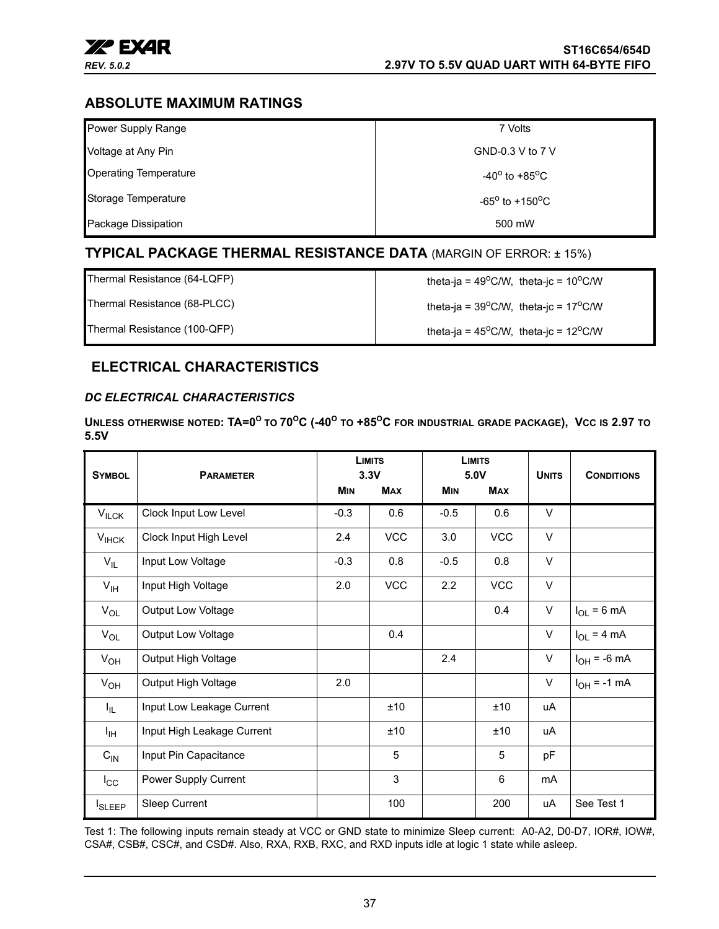

### <span id="page-36-1"></span>**ABSOLUTE MAXIMUM RATINGS**

| Power Supply Range           | 7 Volts                           |
|------------------------------|-----------------------------------|
| Voltage at Any Pin           | GND-0.3 V to 7 V                  |
| <b>Operating Temperature</b> | $-40^{\circ}$ to $+85^{\circ}$ C  |
| Storage Temperature          | $-65^{\circ}$ to $+150^{\circ}$ C |
| Package Dissipation          | 500 mW                            |

### <span id="page-36-2"></span>**TYPICAL PACKAGE THERMAL RESISTANCE DATA** (MARGIN OF ERROR: ± 15%)

Thermal Resistance (64-LQFP)  $\qquad \qquad$  theta-ja = 49<sup>o</sup>C/W, theta-jc = 10<sup>o</sup>C/W

Thermal Resistance (68-PLCC)  $\qquad \qquad$  theta-ja = 39<sup>o</sup>C/W, theta-jc = 17<sup>o</sup>C/W

Thermal Resistance (100-QFP) theta-ja = 45<sup>o</sup>C/W, theta-jc = 12<sup>o</sup>C/W

### <span id="page-36-3"></span>**ELECTRICAL CHARACTERISTICS**

#### <span id="page-36-0"></span>*DC ELECTRICAL CHARACTERISTICS*

**UNLESS OTHERWISE NOTED: TA=0<sup>O</sup> TO 70OC (-40O TO +85OC FOR INDUSTRIAL GRADE PACKAGE), VCC IS 2.97 TO 5.5V** 

| <b>SYMBOL</b>   | <b>PARAMETER</b>           |            | <b>LIMITS</b><br>3.3V |            | <b>LIMITS</b><br>5.0V | <b>UNITS</b> | <b>CONDITIONS</b> |
|-----------------|----------------------------|------------|-----------------------|------------|-----------------------|--------------|-------------------|
|                 |                            | <b>MIN</b> | <b>MAX</b>            | <b>MIN</b> | <b>MAX</b>            |              |                   |
| $V_{ILCK}$      | Clock Input Low Level      | $-0.3$     | 0.6                   | $-0.5$     | 0.6                   | $\vee$       |                   |
| $V_{IHCK}$      | Clock Input High Level     | 2.4        | <b>VCC</b>            | 3.0        | <b>VCC</b>            | $\vee$       |                   |
| $V_{IL}$        | Input Low Voltage          | $-0.3$     | 0.8                   | $-0.5$     | 0.8                   | $\vee$       |                   |
| $V_{\text{IH}}$ | Input High Voltage         | 2.0        | <b>VCC</b>            | 2.2        | <b>VCC</b>            | $\vee$       |                   |
| $V_{OL}$        | Output Low Voltage         |            |                       |            | 0.4                   | $\vee$       | $I_{OL}$ = 6 mA   |
| $V_{OL}$        | <b>Output Low Voltage</b>  |            | 0.4                   |            |                       | $\vee$       | $I_{OL}$ = 4 mA   |
| $V_{OH}$        | Output High Voltage        |            |                       | 2.4        |                       | $\vee$       | $I_{OH} = -6$ mA  |
| $V_{OH}$        | Output High Voltage        | 2.0        |                       |            |                       | $\vee$       | $I_{OH} = -1$ mA  |
| I <sub>IL</sub> | Input Low Leakage Current  |            | ±10                   |            | ±10                   | uA           |                   |
| ŀщ              | Input High Leakage Current |            | ±10                   |            | ±10                   | uA           |                   |
| $C_{\text{IN}}$ | Input Pin Capacitance      |            | 5                     |            | 5                     | рF           |                   |
| $I_{\rm CC}$    | Power Supply Current       |            | 3                     |            | 6                     | mA           |                   |
| <b>I</b> SLEEP  | Sleep Current              |            | 100                   |            | 200                   | uA           | See Test 1        |

Test 1: The following inputs remain steady at VCC or GND state to minimize Sleep current: A0-A2, D0-D7, IOR#, IOW#, CSA#, CSB#, CSC#, and CSD#. Also, RXA, RXB, RXC, and RXD inputs idle at logic 1 state while asleep.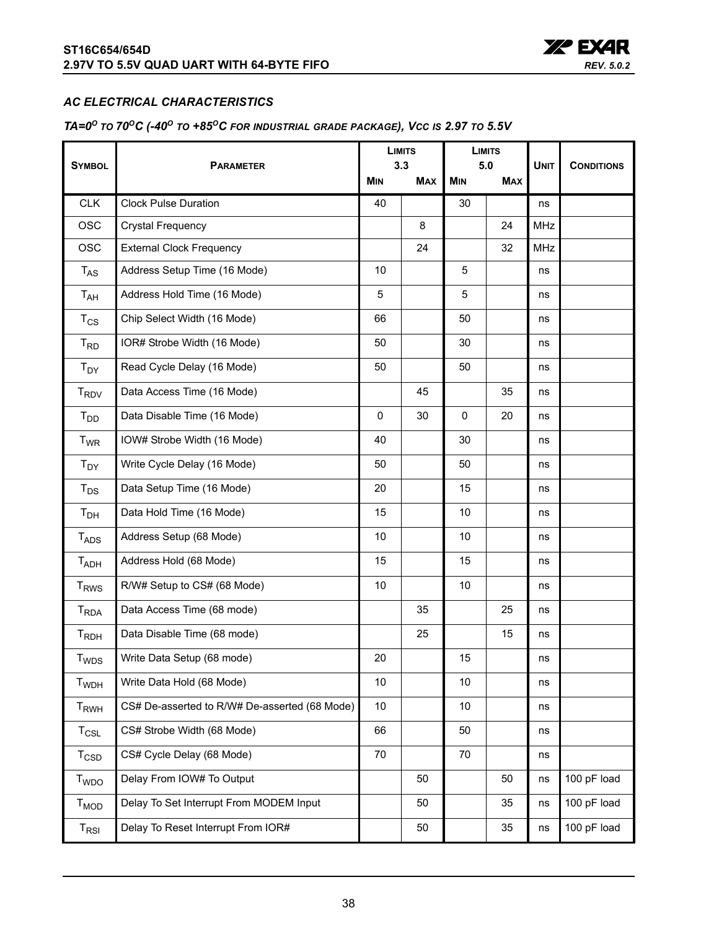

#### <span id="page-37-0"></span>*AC ELECTRICAL CHARACTERISTICS*

#### <span id="page-37-1"></span>*TA=0O TO 70OC (-40O TO +85OC FOR INDUSTRIAL GRADE PACKAGE), VCC IS 2.97 TO 5.5V*

|                                |                                               | <b>LIMITS</b><br>3.3 |            | <b>LIMITS</b><br>5.0 |            |             |                   |
|--------------------------------|-----------------------------------------------|----------------------|------------|----------------------|------------|-------------|-------------------|
| <b>SYMBOL</b>                  | <b>PARAMETER</b>                              | <b>MIN</b>           | <b>MAX</b> | <b>MIN</b>           | <b>MAX</b> | <b>UNIT</b> | <b>CONDITIONS</b> |
| <b>CLK</b>                     | <b>Clock Pulse Duration</b>                   | 40                   |            | 30                   |            | ns          |                   |
| <b>OSC</b>                     | Crystal Frequency                             |                      | 8          |                      | 24         | <b>MHz</b>  |                   |
| <b>OSC</b>                     | <b>External Clock Frequency</b>               |                      | 24         |                      | 32         | MHz         |                   |
| $T_{AS}$                       | Address Setup Time (16 Mode)                  | 10                   |            | 5                    |            | ns          |                   |
| $T_{AH}$                       | Address Hold Time (16 Mode)                   | 5                    |            | 5                    |            | ns          |                   |
| $T_{CS}$                       | Chip Select Width (16 Mode)                   | 66                   |            | 50                   |            | ns          |                   |
| $T_{RD}$                       | IOR# Strobe Width (16 Mode)                   | 50                   |            | 30                   |            | ns          |                   |
| $T_{DY}$                       | Read Cycle Delay (16 Mode)                    | 50                   |            | 50                   |            | ns          |                   |
| $T_{\mathsf{RDV}}$             | Data Access Time (16 Mode)                    |                      | 45         |                      | 35         | ns          |                   |
| $T_{DD}$                       | Data Disable Time (16 Mode)                   | $\mathbf{0}$         | 30         | $\Omega$             | 20         | ns          |                   |
| <b>T<sub>WR</sub></b>          | IOW# Strobe Width (16 Mode)                   | 40                   |            | 30                   |            | ns          |                   |
| $T_{DY}$                       | Write Cycle Delay (16 Mode)                   | 50                   |            | 50                   |            | ns          |                   |
| $T_{DS}$                       | Data Setup Time (16 Mode)                     | 20                   |            | 15                   |            | ns          |                   |
| T <sub>DH</sub>                | Data Hold Time (16 Mode)                      | 15                   |            | 10                   |            | ns          |                   |
| <b>T<sub>ADS</sub></b>         | Address Setup (68 Mode)                       | 10                   |            | 10                   |            | ns          |                   |
| T <sub>ADH</sub>               | Address Hold (68 Mode)                        | 15                   |            | 15                   |            | ns          |                   |
| <b>T</b> <sub>RWS</sub>        | R/W# Setup to CS# (68 Mode)                   | 10                   |            | 10                   |            | ns          |                   |
| $T_{RDA}$                      | Data Access Time (68 mode)                    |                      | 35         |                      | 25         | ns          |                   |
| $T_{RDH}$                      | Data Disable Time (68 mode)                   |                      | 25         |                      | 15         | ns          |                   |
| T <sub>WDS</sub>               | Write Data Setup (68 mode)                    | 20                   |            | 15                   |            | ns          |                   |
| <b>T</b> <sub>WDH</sub>        | Write Data Hold (68 Mode)                     | 10                   |            | 10                   |            | ns          |                   |
| T <sub>RWH</sub>               | CS# De-asserted to R/W# De-asserted (68 Mode) | 10                   |            | 10                   |            | ns          |                   |
| $T_{CSL}$                      | CS# Strobe Width (68 Mode)                    | 66                   |            | 50                   |            | ns          |                   |
| $T_{\scriptstyle{\text{CSD}}}$ | CS# Cycle Delay (68 Mode)                     | 70                   |            | 70                   |            | ns          |                   |
| T <sub>WDO</sub>               | Delay From IOW# To Output                     |                      | 50         |                      | 50         | ns          | 100 pF load       |
| $T_{MOD}$                      | Delay To Set Interrupt From MODEM Input       |                      | 50         |                      | 35         | ns          | 100 pF load       |
| $\mathsf{T}_{\mathsf{RSI}}$    | Delay To Reset Interrupt From IOR#            |                      | 50         |                      | 35         | ns          | 100 pF load       |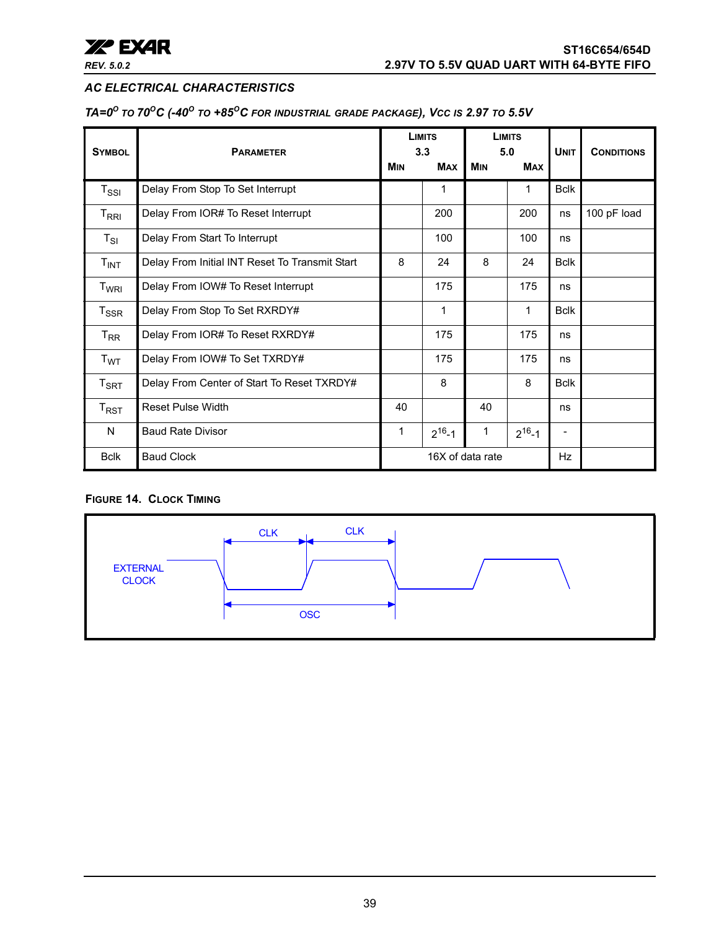

#### *AC ELECTRICAL CHARACTERISTICS*

*TA=0O TO 70OC (-40O TO +85OC FOR INDUSTRIAL GRADE PACKAGE), VCC IS 2.97 TO 5.5V*

| <b>SYMBOL</b>                                 | <b>PARAMETER</b>                               |                  | <b>LIMITS</b><br>3.3 |            | <b>LIMITS</b><br>5.0 | <b>UNIT</b> | <b>CONDITIONS</b> |
|-----------------------------------------------|------------------------------------------------|------------------|----------------------|------------|----------------------|-------------|-------------------|
|                                               |                                                | <b>MIN</b>       | <b>MAX</b>           | <b>MIN</b> | <b>MAX</b>           |             |                   |
| $T_{\rm SSI}$                                 | Delay From Stop To Set Interrupt               |                  | 1                    |            | 1                    | <b>Bclk</b> |                   |
| $\mathsf{T}_{\mathsf{R}\mathsf{R}\mathsf{I}}$ | Delay From IOR# To Reset Interrupt             |                  | 200                  |            | 200                  | ns          | 100 pF load       |
| $T_{SI}$                                      | Delay From Start To Interrupt                  |                  | 100                  |            | 100                  | ns          |                   |
| $T_{INT}$                                     | Delay From Initial INT Reset To Transmit Start | 8                | 24                   | 8          | 24                   | <b>Bclk</b> |                   |
| T <sub>WRI</sub>                              | Delay From IOW# To Reset Interrupt             |                  | 175                  |            | 175                  | ns          |                   |
| $T_{\rm SSR}$                                 | Delay From Stop To Set RXRDY#                  |                  | 1                    |            | 1                    | <b>Bclk</b> |                   |
| $T_{\sf RR}$                                  | Delay From IOR# To Reset RXRDY#                |                  | 175                  |            | 175                  | ns          |                   |
| T <sub>WT</sub>                               | Delay From IOW# To Set TXRDY#                  |                  | 175                  |            | 175                  | ns          |                   |
| $T_{\sf SRT}$                                 | Delay From Center of Start To Reset TXRDY#     |                  | 8                    |            | 8                    | <b>Bclk</b> |                   |
| $T_{RST}$                                     | <b>Reset Pulse Width</b>                       | 40               |                      | 40         |                      | ns          |                   |
| N                                             | <b>Baud Rate Divisor</b>                       | 1                | $2^{16} - 1$         | 1          | $2^{16} - 1$         |             |                   |
| <b>Bclk</b>                                   | <b>Baud Clock</b>                              | 16X of data rate |                      |            | <b>Hz</b>            |             |                   |

#### <span id="page-38-0"></span>**FIGURE 14. CLOCK TIMING**

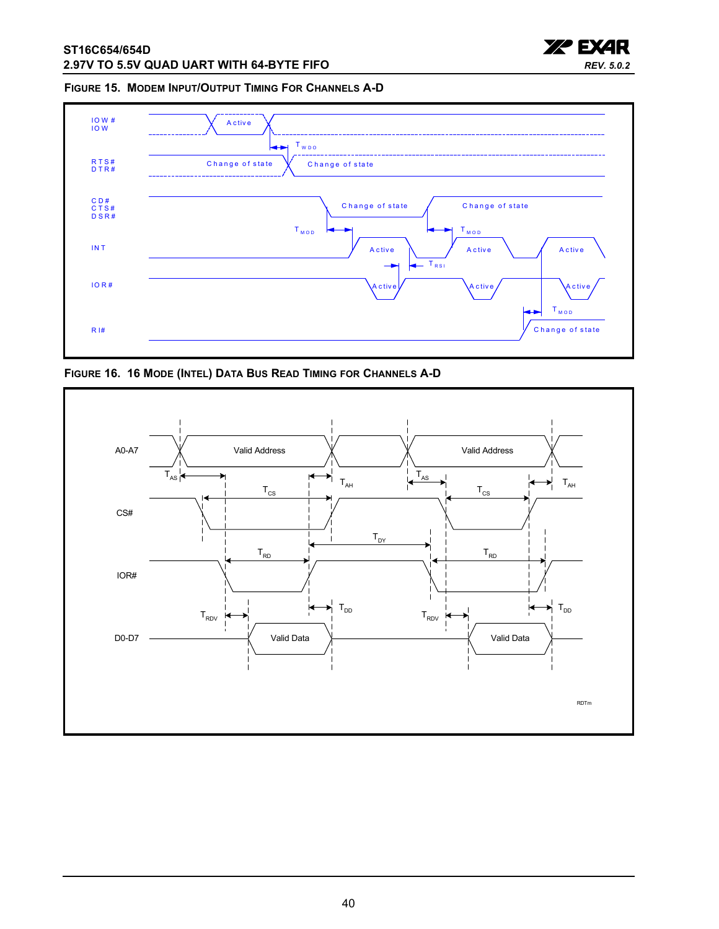

#### <span id="page-39-0"></span>**FIGURE 15. MODEM INPUT/OUTPUT TIMING FOR CHANNELS A-D**



<span id="page-39-1"></span>**FIGURE 16. 16 MODE (INTEL) DATA BUS READ TIMING FOR CHANNELS A-D**

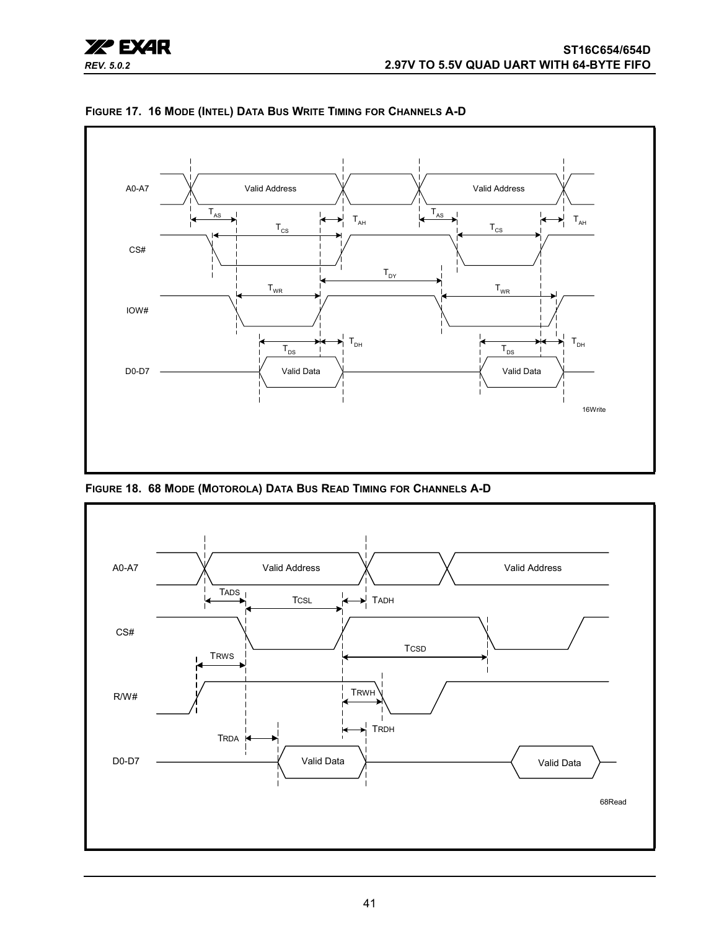

<span id="page-40-0"></span>**FIGURE 17. 16 MODE (INTEL) DATA BUS WRITE TIMING FOR CHANNELS A-D**

<span id="page-40-1"></span>**FIGURE 18. 68 MODE (MOTOROLA) DATA BUS READ TIMING FOR CHANNELS A-D**

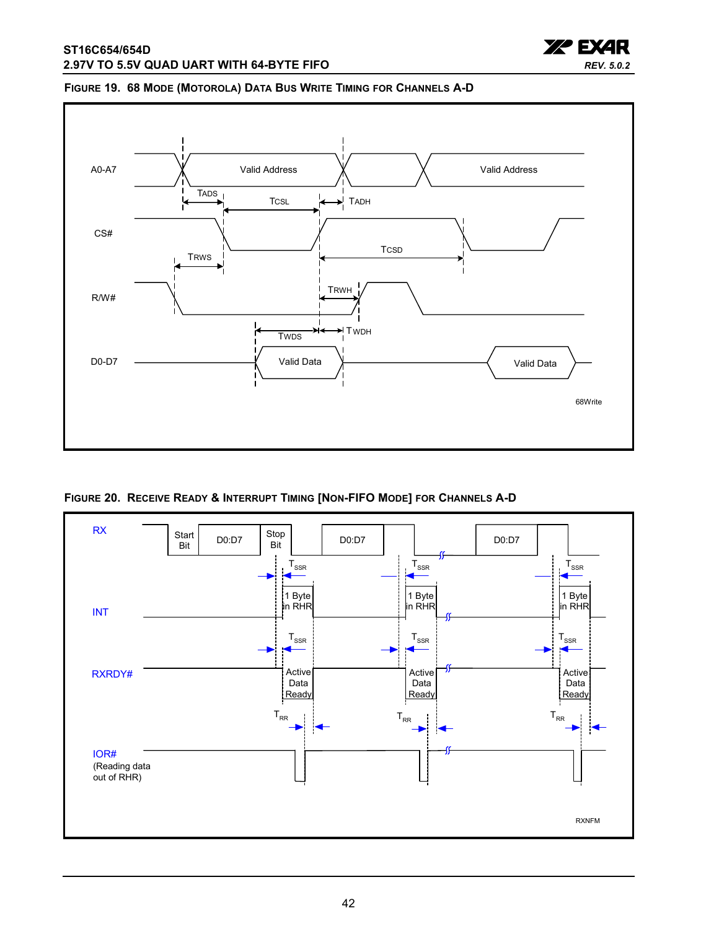

#### <span id="page-41-1"></span>**FIGURE 19. 68 MODE (MOTOROLA) DATA BUS WRITE TIMING FOR CHANNELS A-D**



<span id="page-41-0"></span>**FIGURE 20. RECEIVE READY & INTERRUPT TIMING [NON-FIFO MODE] FOR CHANNELS A-D**

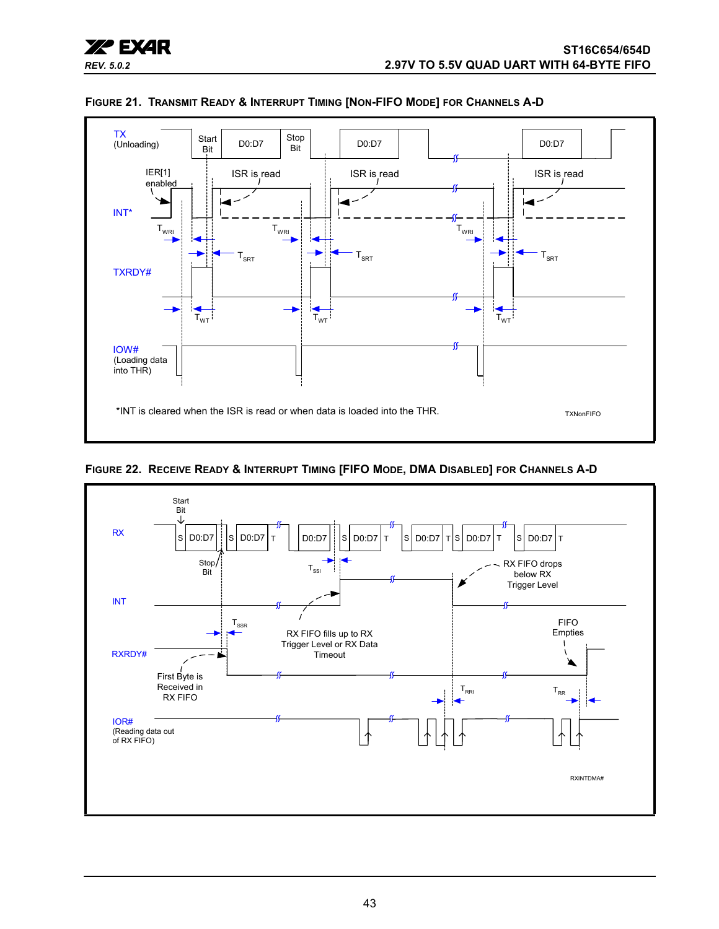<span id="page-42-0"></span>

**FIGURE 21. TRANSMIT READY & INTERRUPT TIMING [NON-FIFO MODE] FOR CHANNELS A-D**

<span id="page-42-1"></span>

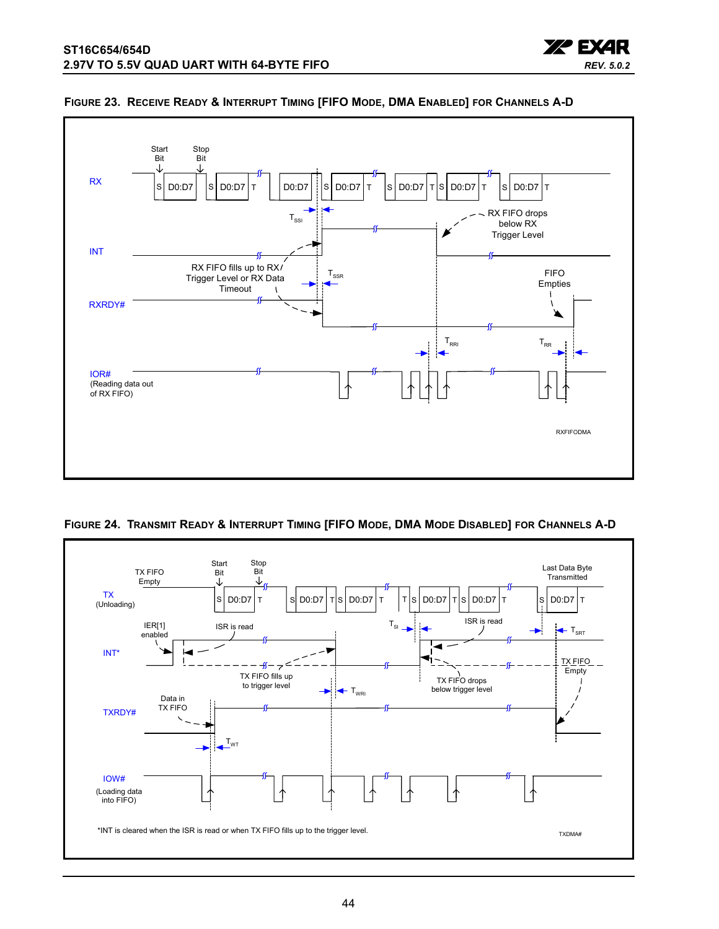

#### <span id="page-43-0"></span>**FIGURE 23. RECEIVE READY & INTERRUPT TIMING [FIFO MODE, DMA ENABLED] FOR CHANNELS A-D**

**XP EXAR** 

*REV. 5.0.2*

<span id="page-43-1"></span>

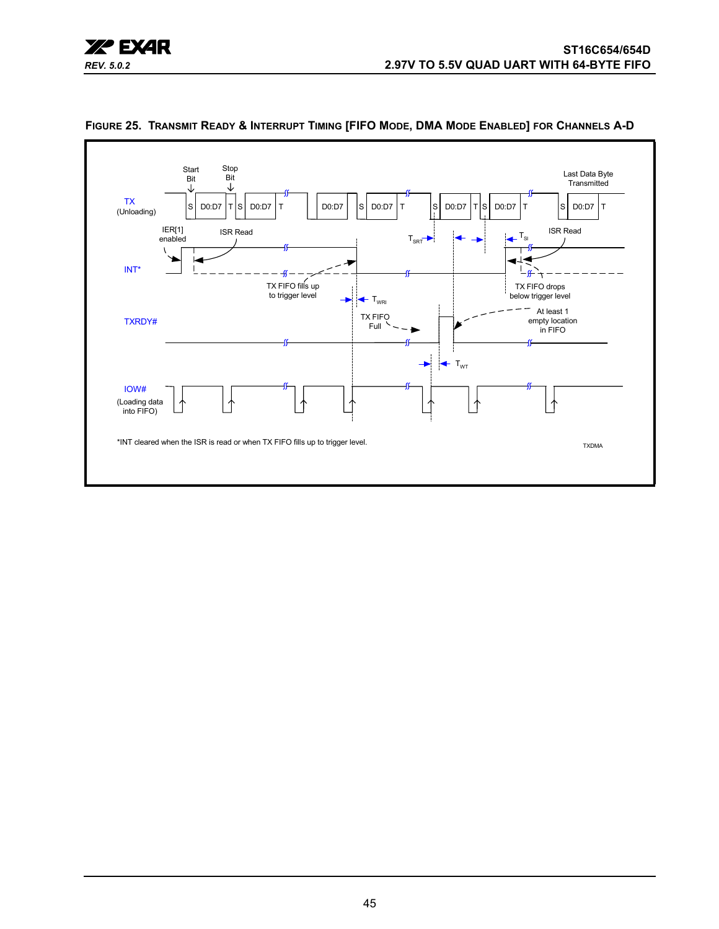



<span id="page-44-0"></span>**FIGURE 25. TRANSMIT READY & INTERRUPT TIMING [FIFO MODE, DMA MODE ENABLED] FOR CHANNELS A-D**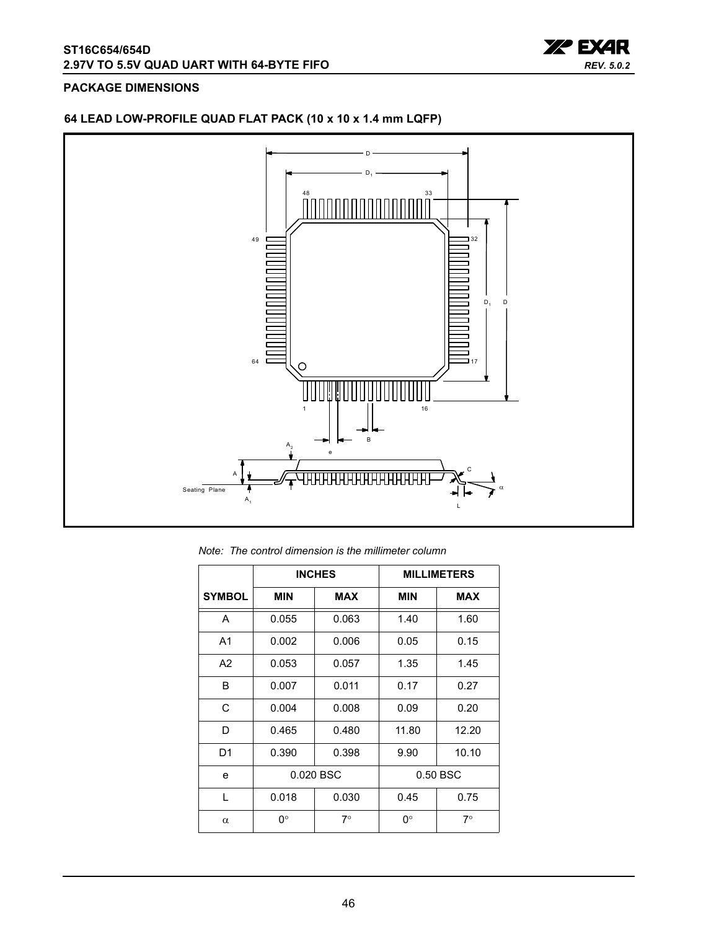

#### <span id="page-45-0"></span>**PACKAGE DIMENSIONS**

### **64 LEAD LOW-PROFILE QUAD FLAT PACK (10 x 10 x 1.4 mm LQFP)**



*Note: The control dimension is the millimeter column*

|                |            | <b>INCHES</b> | <b>MILLIMETERS</b> |            |  |  |
|----------------|------------|---------------|--------------------|------------|--|--|
| <b>SYMBOL</b>  | <b>MIN</b> | <b>MAX</b>    | <b>MIN</b>         | <b>MAX</b> |  |  |
| A              | 0.055      | 0.063         | 1.40               | 1.60       |  |  |
| A <sub>1</sub> | 0.002      | 0.006         | 0.05               | 0.15       |  |  |
| A <sub>2</sub> | 0.053      | 0.057         | 1.35               | 1.45       |  |  |
| B              | 0.007      | 0.011         | 0.17               | 0.27       |  |  |
| C              | 0.004      | 0.008         | 0.09               | 0.20       |  |  |
| D              | 0.465      | 0.480         | 11.80              | 12.20      |  |  |
| D <sub>1</sub> | 0.390      | 0.398         | 9.90               | 10.10      |  |  |
| e              |            | 0.020 BSC     | 0.50 BSC           |            |  |  |
| $\mathbf{L}$   | 0.018      | 0.030         | 0.45               | 0.75       |  |  |
| $\alpha$       | 0°         | $7^{\circ}$   | 0°                 | $7^\circ$  |  |  |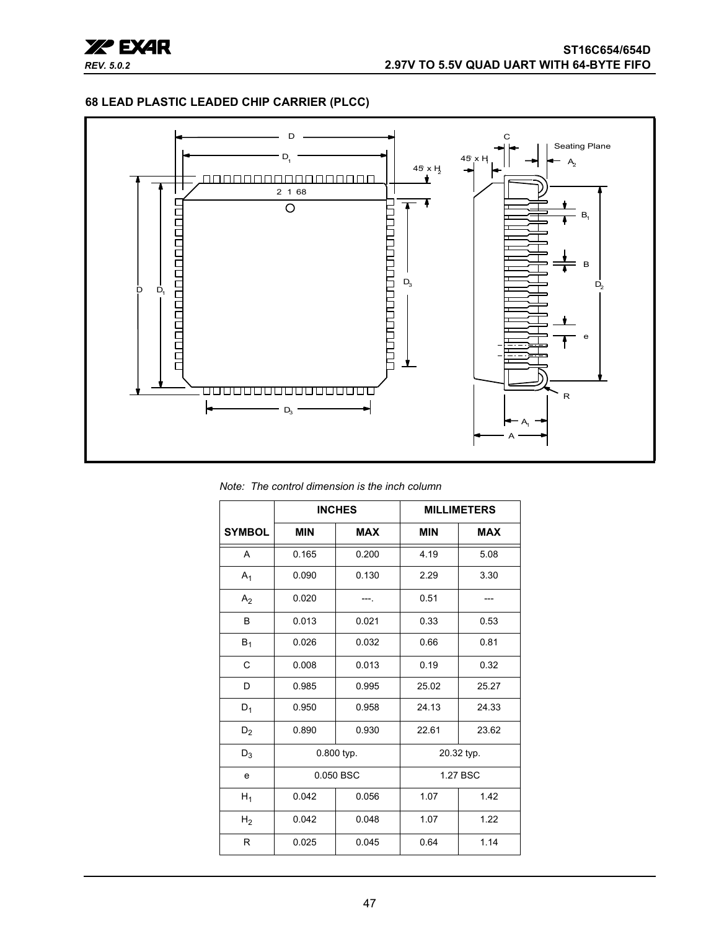

#### **68 LEAD PLASTIC LEADED CHIP CARRIER (PLCC)**



*Note: The control dimension is the inch column*

|                |            | <b>INCHES</b> | <b>MILLIMETERS</b> |            |  |
|----------------|------------|---------------|--------------------|------------|--|
| <b>SYMBOL</b>  | <b>MIN</b> | <b>MAX</b>    |                    | <b>MAX</b> |  |
| A              | 0.165      | 0.200         | 4.19               | 5.08       |  |
| $A_1$          | 0.090      | 0.130         | 2.29               | 3.30       |  |
| A <sub>2</sub> | 0.020      |               | 0.51               |            |  |
| B              | 0.013      | 0.021         | 0.33               | 0.53       |  |
| $B_1$          | 0.026      | 0.032         | 0.66               | 0.81       |  |
| $\mathsf{C}$   | 0.008      | 0.013         | 0.19               | 0.32       |  |
| D              | 0.985      | 0.995         | 25.02              | 25.27      |  |
| $D_1$          | 0.950      | 0.958         | 24.13              | 24.33      |  |
| D <sub>2</sub> | 0.890      | 0.930         | 22.61              | 23.62      |  |
| $D_3$          |            | 0.800 typ.    | 20.32 typ.         |            |  |
| е              |            | 0.050 BSC     | 1.27 BSC           |            |  |
| $H_1$          | 0.042      | 0.056         | 1.07               | 1.42       |  |
| H <sub>2</sub> | 0.042      | 0.048         | 1.07               | 1.22       |  |
| R              | 0.025      | 0.045         | 0.64               | 1.14       |  |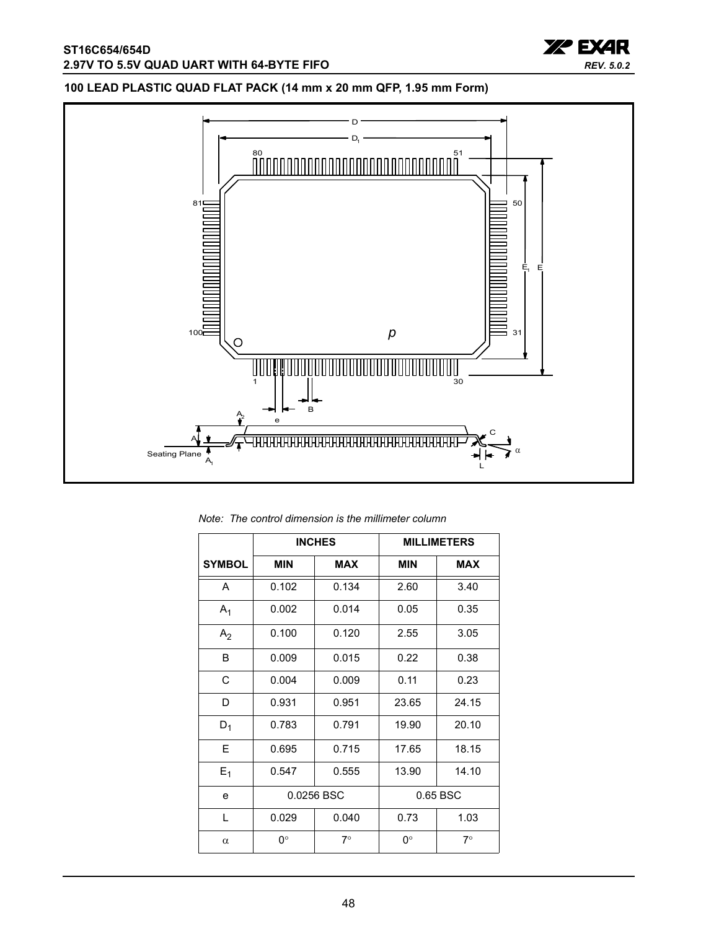

### **100 LEAD PLASTIC QUAD FLAT PACK (14 mm x 20 mm QFP, 1.95 mm Form)**



|  |  |  |  | Note: The control dimension is the millimeter column |
|--|--|--|--|------------------------------------------------------|
|--|--|--|--|------------------------------------------------------|

|                |            | <b>INCHES</b> | <b>MILLIMETERS</b> |            |  |
|----------------|------------|---------------|--------------------|------------|--|
| <b>SYMBOL</b>  | <b>MIN</b> | <b>MAX</b>    |                    | <b>MAX</b> |  |
| A              | 0.102      | 0.134         | 2.60               | 3.40       |  |
| A <sub>1</sub> | 0.002      | 0.014         | 0.05               | 0.35       |  |
| A <sub>2</sub> | 0.100      | 0.120         | 2.55               | 3.05       |  |
| B              | 0.009      | 0.015         | 0.22               | 0.38       |  |
| C              | 0.004      | 0.009         | 0.11               | 0.23       |  |
| D              | 0.931      | 0.951         | 23.65              | 24.15      |  |
| $D_1$          | 0.783      | 0.791         | 19.90              | 20.10      |  |
| E              | 0.695      | 0.715         | 17.65              | 18.15      |  |
| $E_1$          | 0.547      | 0.555         | 13.90              | 14.10      |  |
| e              |            | 0.0256 BSC    |                    | 0.65 BSC   |  |
| L              | 0.029      | 0.040         | 0.73               | 1.03       |  |
| $\alpha$       | 0°         | $7^\circ$     | 0°                 | 7∘         |  |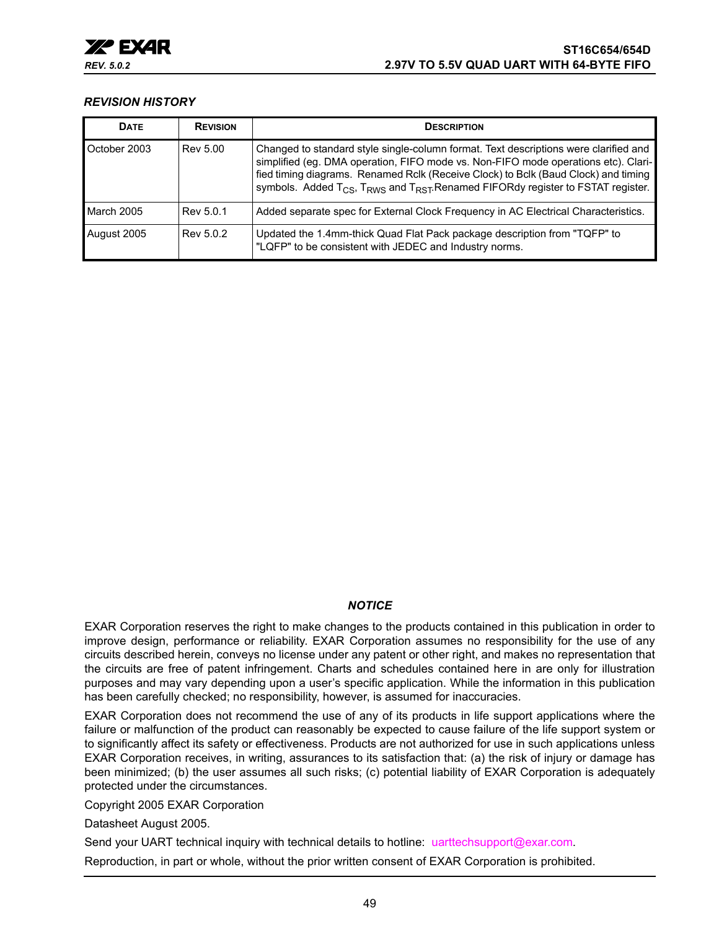

#### <span id="page-48-0"></span>*REVISION HISTORY*

| <b>DATE</b>  | <b>REVISION</b> | <b>DESCRIPTION</b>                                                                                                                                                                                                                                                                                                                                                                      |
|--------------|-----------------|-----------------------------------------------------------------------------------------------------------------------------------------------------------------------------------------------------------------------------------------------------------------------------------------------------------------------------------------------------------------------------------------|
| October 2003 | Rev 5.00        | Changed to standard style single-column format. Text descriptions were clarified and<br>simplified (eg. DMA operation, FIFO mode vs. Non-FIFO mode operations etc). Clari-<br>fied timing diagrams. Renamed Rclk (Receive Clock) to Bclk (Baud Clock) and timing<br>symbols. Added T <sub>CS</sub> , T <sub>RWS</sub> and T <sub>RST</sub> .Renamed FIFORdy register to FSTAT register. |
| March 2005   | Rev 5.0.1       | Added separate spec for External Clock Frequency in AC Electrical Characteristics.                                                                                                                                                                                                                                                                                                      |
| August 2005  | Rev 5.0.2       | Updated the 1.4mm-thick Quad Flat Pack package description from "TQFP" to<br>"LQFP" to be consistent with JEDEC and Industry norms.                                                                                                                                                                                                                                                     |

#### *NOTICE*

EXAR Corporation reserves the right to make changes to the products contained in this publication in order to improve design, performance or reliability. EXAR Corporation assumes no responsibility for the use of any circuits described herein, conveys no license under any patent or other right, and makes no representation that the circuits are free of patent infringement. Charts and schedules contained here in are only for illustration purposes and may vary depending upon a user's specific application. While the information in this publication has been carefully checked; no responsibility, however, is assumed for inaccuracies.

EXAR Corporation does not recommend the use of any of its products in life support applications where the failure or malfunction of the product can reasonably be expected to cause failure of the life support system or to significantly affect its safety or effectiveness. Products are not authorized for use in such applications unless EXAR Corporation receives, in writing, assurances to its satisfaction that: (a) the risk of injury or damage has been minimized; (b) the user assumes all such risks; (c) potential liability of EXAR Corporation is adequately protected under the circumstances.

Copyright 2005 EXAR Corporation

Datasheet August 2005.

Send your UART technical inquiry with technical details to hotline: uarttechsupport@exar.com.

Reproduction, in part or whole, without the prior written consent of EXAR Corporation is prohibited.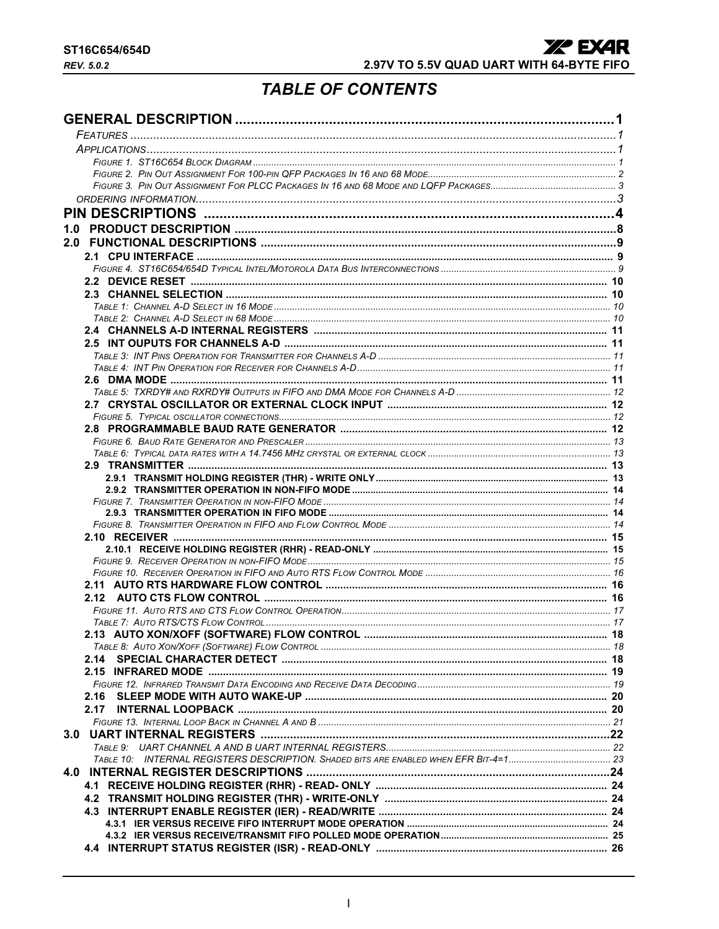## **TABLE OF CONTENTS**

<span id="page-49-0"></span>

|      | 18 |
|------|----|
|      |    |
|      |    |
|      |    |
| 2.16 |    |
|      |    |
|      |    |
|      |    |
|      |    |
|      |    |
|      |    |
|      |    |
|      |    |
|      |    |
|      |    |
|      |    |
|      |    |